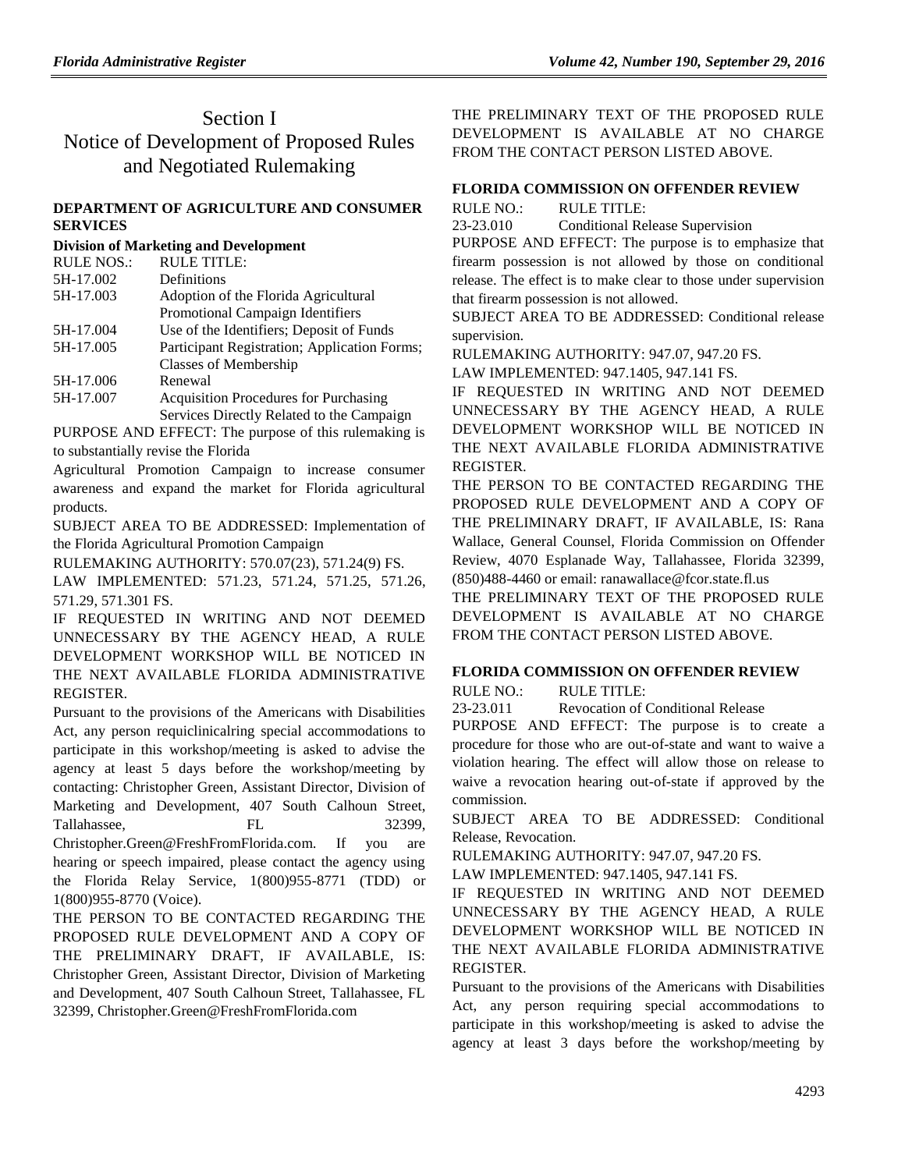# Section I Notice of Development of Proposed Rules and Negotiated Rulemaking

## **[DEPARTMENT OF AGRICULTURE AND CONSUMER](https://www.flrules.org/gateway/department.asp?id=5)  [SERVICES](https://www.flrules.org/gateway/department.asp?id=5)**

## **[Division of Marketing and Development](https://www.flrules.org/gateway/organization.asp?id=168)**

| <b>RULE NOS.:</b> | <b>RULE TITLE:</b>                           |
|-------------------|----------------------------------------------|
| 5H-17.002         | Definitions                                  |
| 5H-17.003         | Adoption of the Florida Agricultural         |
|                   | Promotional Campaign Identifiers             |
| 5H-17.004         | Use of the Identifiers; Deposit of Funds     |
| 5H-17.005         | Participant Registration; Application Forms; |
|                   | Classes of Membership                        |
| 5H-17.006         | Renewal                                      |
| 5H-17.007         | Acquisition Procedures for Purchasing        |
|                   |                                              |

Services Directly Related to the Campaign PURPOSE AND EFFECT: The purpose of this rulemaking is to substantially revise the Florida

Agricultural Promotion Campaign to increase consumer awareness and expand the market for Florida agricultural products.

SUBJECT AREA TO BE ADDRESSED: Implementation of the Florida Agricultural Promotion Campaign

RULEMAKING AUTHORITY: [570.07\(23\),](https://www.flrules.org/gateway/statute.asp?id=570.07(23)) [571.24\(9\)](https://www.flrules.org/gateway/statute.asp?id=%20571.24(9)) FS.

LAW IMPLEMENTED: [571.23,](https://www.flrules.org/gateway/statute.asp?id=571.23) [571.24,](https://www.flrules.org/gateway/statute.asp?id=%20571.24) [571.25,](https://www.flrules.org/gateway/statute.asp?id=%20571.25) [571.26,](https://www.flrules.org/gateway/statute.asp?id=%20571.26) [571.29,](https://www.flrules.org/gateway/statute.asp?id=%20571.29) [571.301](https://www.flrules.org/gateway/statute.asp?id=%20571.301) FS.

IF REQUESTED IN WRITING AND NOT DEEMED UNNECESSARY BY THE AGENCY HEAD, A RULE DEVELOPMENT WORKSHOP WILL BE NOTICED IN THE NEXT AVAILABLE FLORIDA ADMINISTRATIVE REGISTER.

Pursuant to the provisions of the Americans with Disabilities Act, any person requiclinicalring special accommodations to participate in this workshop/meeting is asked to advise the agency at least 5 days before the workshop/meeting by contacting: Christopher Green, Assistant Director, Division of Marketing and Development, 407 South Calhoun Street, Tallahassee, FL 32399, Christopher.Green@FreshFromFlorida.com. If you are hearing or speech impaired, please contact the agency using the Florida Relay Service, 1(800)955-8771 (TDD) or 1(800)955-8770 (Voice).

THE PERSON TO BE CONTACTED REGARDING THE PROPOSED RULE DEVELOPMENT AND A COPY OF THE PRELIMINARY DRAFT, IF AVAILABLE, IS: Christopher Green, Assistant Director, Division of Marketing and Development, 407 South Calhoun Street, Tallahassee, FL 32399, Christopher.Green@FreshFromFlorida.com

THE PRELIMINARY TEXT OF THE PROPOSED RULE DEVELOPMENT IS AVAILABLE AT NO CHARGE FROM THE CONTACT PERSON LISTED ABOVE.

# **[FLORIDA COMMISSION ON OFFENDER REVIEW](https://www.flrules.org/gateway/department.asp?id=23)**

RULE NO.: RULE TITLE:

[23-23.010](https://www.flrules.org/gateway/ruleNo.asp?id=23-23.010) Conditional Release Supervision

PURPOSE AND EFFECT: The purpose is to emphasize that firearm possession is not allowed by those on conditional release. The effect is to make clear to those under supervision that firearm possession is not allowed.

SUBJECT AREA TO BE ADDRESSED: Conditional release supervision.

RULEMAKING AUTHORITY: [947.07, 947.20 FS.](https://www.flrules.org/gateway/cfr.asp?id=947.07,%20947.20%20FS)

LAW IMPLEMENTED: [947.1405, 947.141 FS.](https://www.flrules.org/gateway/cfr.asp?id=947.1405,%20947.141%20FS)

IF REQUESTED IN WRITING AND NOT DEEMED UNNECESSARY BY THE AGENCY HEAD, A RULE DEVELOPMENT WORKSHOP WILL BE NOTICED IN THE NEXT AVAILABLE FLORIDA ADMINISTRATIVE REGISTER.

THE PERSON TO BE CONTACTED REGARDING THE PROPOSED RULE DEVELOPMENT AND A COPY OF THE PRELIMINARY DRAFT, IF AVAILABLE, IS: Rana Wallace, General Counsel, Florida Commission on Offender Review, 4070 Esplanade Way, Tallahassee, Florida 32399, (850)488-4460 or email: ranawallace@fcor.state.fl.us

THE PRELIMINARY TEXT OF THE PROPOSED RULE DEVELOPMENT IS AVAILABLE AT NO CHARGE FROM THE CONTACT PERSON LISTED ABOVE.

# **[FLORIDA COMMISSION ON OFFENDER REVIEW](https://www.flrules.org/gateway/department.asp?id=23)**

RULE NO.: RULE TITLE:

[23-23.011](https://www.flrules.org/gateway/ruleNo.asp?id=23-23.011) Revocation of Conditional Release

PURPOSE AND EFFECT: The purpose is to create a procedure for those who are out-of-state and want to waive a violation hearing. The effect will allow those on release to waive a revocation hearing out-of-state if approved by the commission.

SUBJECT AREA TO BE ADDRESSED: Conditional Release, Revocation.

RULEMAKING AUTHORITY: [947.07, 947.20 FS.](https://www.flrules.org/gateway/cfr.asp?id=947.07,%20947.20%20FS)

LAW IMPLEMENTED: [947.1405, 947.141 FS.](https://www.flrules.org/gateway/cfr.asp?id=947.1405,%20947.141%20FS)

IF REQUESTED IN WRITING AND NOT DEEMED UNNECESSARY BY THE AGENCY HEAD, A RULE DEVELOPMENT WORKSHOP WILL BE NOTICED IN THE NEXT AVAILABLE FLORIDA ADMINISTRATIVE REGISTER.

Pursuant to the provisions of the Americans with Disabilities Act, any person requiring special accommodations to participate in this workshop/meeting is asked to advise the agency at least 3 days before the workshop/meeting by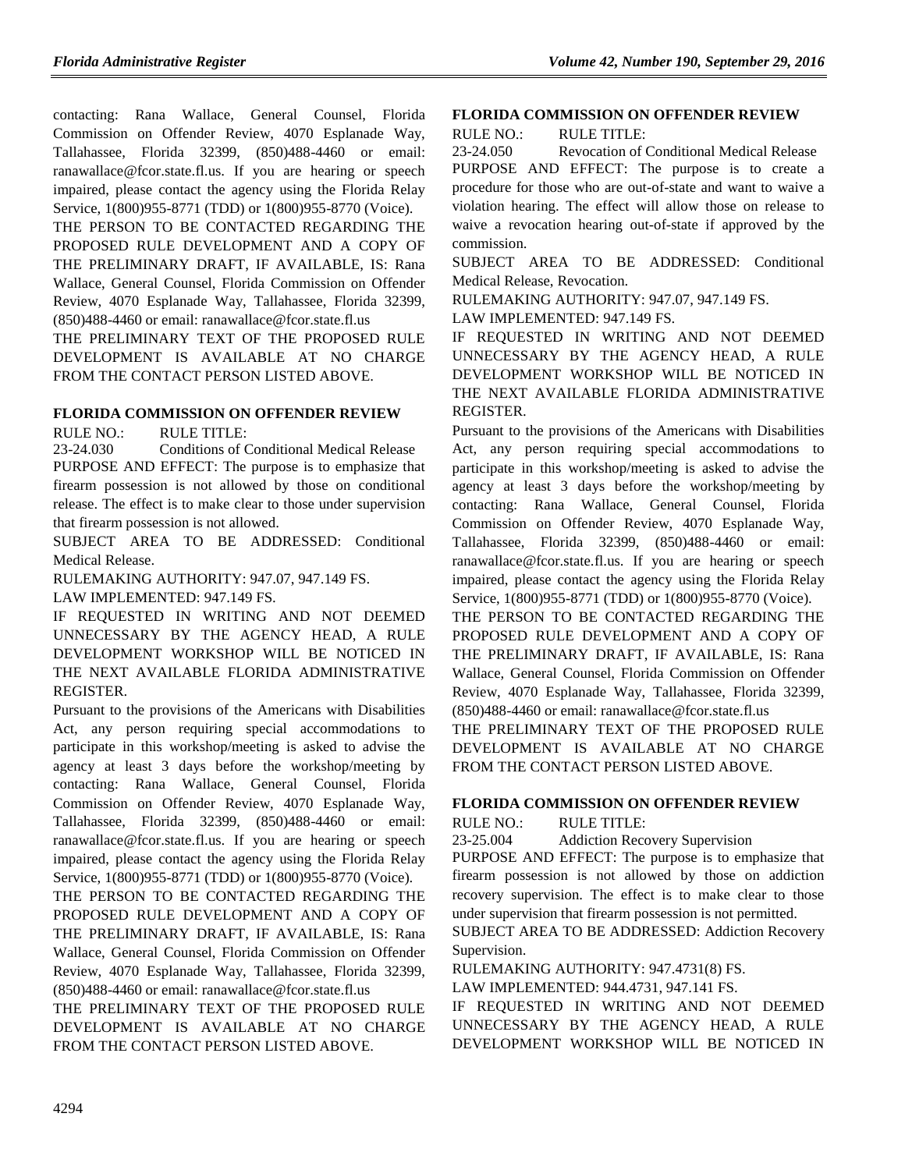contacting: Rana Wallace, General Counsel, Florida Commission on Offender Review, 4070 Esplanade Way, Tallahassee, Florida 32399, (850)488-4460 or email: ranawallace@fcor.state.fl.us. If you are hearing or speech impaired, please contact the agency using the Florida Relay Service, 1(800)955-8771 (TDD) or 1(800)955-8770 (Voice).

THE PERSON TO BE CONTACTED REGARDING THE PROPOSED RULE DEVELOPMENT AND A COPY OF THE PRELIMINARY DRAFT, IF AVAILABLE, IS: Rana Wallace, General Counsel, Florida Commission on Offender Review, 4070 Esplanade Way, Tallahassee, Florida 32399,  $(850)488-4460$  or email: ranawallace@fcor.state.fl.us

THE PRELIMINARY TEXT OF THE PROPOSED RULE DEVELOPMENT IS AVAILABLE AT NO CHARGE FROM THE CONTACT PERSON LISTED ABOVE.

## **[FLORIDA COMMISSION ON OFFENDER REVIEW](https://www.flrules.org/gateway/department.asp?id=23)**

RULE NO.: RULE TITLE:

[23-24.030](https://www.flrules.org/gateway/ruleNo.asp?id=23-24.030) Conditions of Conditional Medical Release PURPOSE AND EFFECT: The purpose is to emphasize that firearm possession is not allowed by those on conditional release. The effect is to make clear to those under supervision that firearm possession is not allowed.

SUBJECT AREA TO BE ADDRESSED: Conditional Medical Release.

RULEMAKING AUTHORITY: [947.07, 947.149 FS.](https://www.flrules.org/gateway/cfr.asp?id=947.07,%20947.149%20FS)

LAW IMPLEMENTED: [947.149 FS.](https://www.flrules.org/gateway/cfr.asp?id=947.149%20FS)

IF REQUESTED IN WRITING AND NOT DEEMED UNNECESSARY BY THE AGENCY HEAD, A RULE DEVELOPMENT WORKSHOP WILL BE NOTICED IN THE NEXT AVAILABLE FLORIDA ADMINISTRATIVE REGISTER.

Pursuant to the provisions of the Americans with Disabilities Act, any person requiring special accommodations to participate in this workshop/meeting is asked to advise the agency at least 3 days before the workshop/meeting by contacting: Rana Wallace, General Counsel, Florida Commission on Offender Review, 4070 Esplanade Way, Tallahassee, Florida 32399, (850)488-4460 or email: ranawallace@fcor.state.fl.us. If you are hearing or speech impaired, please contact the agency using the Florida Relay Service, 1(800)955-8771 (TDD) or 1(800)955-8770 (Voice).

THE PERSON TO BE CONTACTED REGARDING THE PROPOSED RULE DEVELOPMENT AND A COPY OF THE PRELIMINARY DRAFT, IF AVAILABLE, IS: Rana Wallace, General Counsel, Florida Commission on Offender Review, 4070 Esplanade Way, Tallahassee, Florida 32399, (850)488-4460 or email: ranawallace@fcor.state.fl.us

THE PRELIMINARY TEXT OF THE PROPOSED RULE DEVELOPMENT IS AVAILABLE AT NO CHARGE FROM THE CONTACT PERSON LISTED ABOVE.

#### **[FLORIDA COMMISSION ON OFFENDER REVIEW](https://www.flrules.org/gateway/department.asp?id=23)**

RULE NO.: RULE TITLE:

[23-24.050](https://www.flrules.org/gateway/ruleNo.asp?id=23-24.050) Revocation of Conditional Medical Release PURPOSE AND EFFECT: The purpose is to create a procedure for those who are out-of-state and want to waive a violation hearing. The effect will allow those on release to waive a revocation hearing out-of-state if approved by the commission.

SUBJECT AREA TO BE ADDRESSED: Conditional Medical Release, Revocation.

RULEMAKING AUTHORITY: [947.07, 947.149 FS.](https://www.flrules.org/gateway/cfr.asp?id=947.07,%20947.149%20FS)

LAW IMPLEMENTED: [947.149 FS.](https://www.flrules.org/gateway/cfr.asp?id=947.149%20FS)

IF REQUESTED IN WRITING AND NOT DEEMED UNNECESSARY BY THE AGENCY HEAD, A RULE DEVELOPMENT WORKSHOP WILL BE NOTICED IN THE NEXT AVAILABLE FLORIDA ADMINISTRATIVE REGISTER.

Pursuant to the provisions of the Americans with Disabilities Act, any person requiring special accommodations to participate in this workshop/meeting is asked to advise the agency at least 3 days before the workshop/meeting by contacting: Rana Wallace, General Counsel, Florida Commission on Offender Review, 4070 Esplanade Way, Tallahassee, Florida 32399, (850)488-4460 or email: ranawallace@fcor.state.fl.us. If you are hearing or speech impaired, please contact the agency using the Florida Relay Service, 1(800)955-8771 (TDD) or 1(800)955-8770 (Voice).

THE PERSON TO BE CONTACTED REGARDING THE PROPOSED RULE DEVELOPMENT AND A COPY OF THE PRELIMINARY DRAFT, IF AVAILABLE, IS: Rana Wallace, General Counsel, Florida Commission on Offender Review, 4070 Esplanade Way, Tallahassee, Florida 32399, (850)488-4460 or email: ranawallace@fcor.state.fl.us

THE PRELIMINARY TEXT OF THE PROPOSED RULE DEVELOPMENT IS AVAILABLE AT NO CHARGE FROM THE CONTACT PERSON LISTED ABOVE.

#### **[FLORIDA COMMISSION ON OFFENDER REVIEW](https://www.flrules.org/gateway/department.asp?id=23)**

RULE NO.: RULE TITLE:

[23-25.004](https://www.flrules.org/gateway/ruleNo.asp?id=23-25.004) Addiction Recovery Supervision

PURPOSE AND EFFECT: The purpose is to emphasize that firearm possession is not allowed by those on addiction recovery supervision. The effect is to make clear to those under supervision that firearm possession is not permitted.

SUBJECT AREA TO BE ADDRESSED: Addiction Recovery Supervision.

RULEMAKING AUTHORITY: [947.4731\(8\) FS.](https://www.flrules.org/gateway/statute.asp?id=947.4731(8)%20FS.)

LAW IMPLEMENTED: [944.4731,](https://www.flrules.org/gateway/statute.asp?id=944.4731) [947.141 FS.](https://www.flrules.org/gateway/statute.asp?id=%20947.141%20FS.)

IF REQUESTED IN WRITING AND NOT DEEMED UNNECESSARY BY THE AGENCY HEAD, A RULE DEVELOPMENT WORKSHOP WILL BE NOTICED IN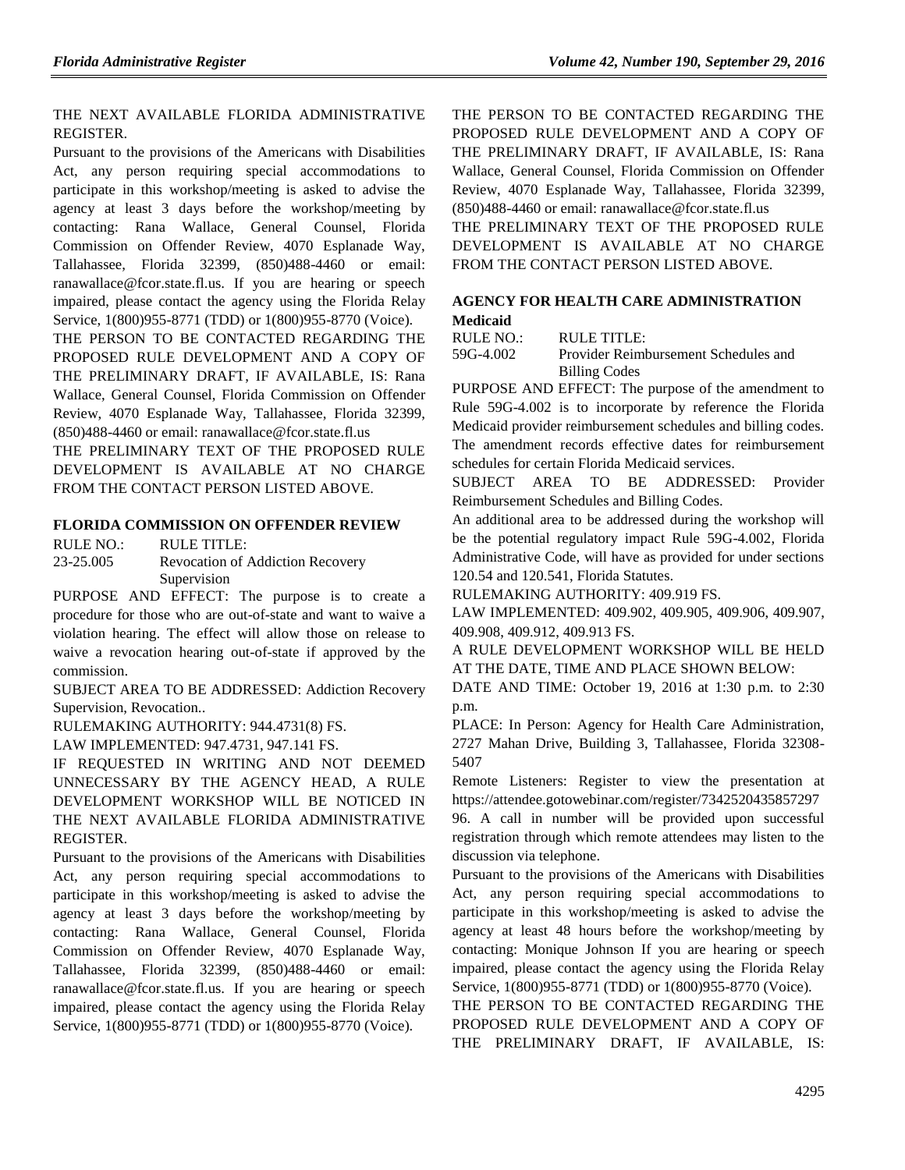### THE NEXT AVAILABLE FLORIDA ADMINISTRATIVE REGISTER.

Pursuant to the provisions of the Americans with Disabilities Act, any person requiring special accommodations to participate in this workshop/meeting is asked to advise the agency at least 3 days before the workshop/meeting by contacting: Rana Wallace, General Counsel, Florida Commission on Offender Review, 4070 Esplanade Way, Tallahassee, Florida 32399, (850)488-4460 or email: ranawallace@fcor.state.fl.us. If you are hearing or speech impaired, please contact the agency using the Florida Relay Service, 1(800)955-8771 (TDD) or 1(800)955-8770 (Voice).

THE PERSON TO BE CONTACTED REGARDING THE PROPOSED RULE DEVELOPMENT AND A COPY OF THE PRELIMINARY DRAFT, IF AVAILABLE, IS: Rana Wallace, General Counsel, Florida Commission on Offender Review, 4070 Esplanade Way, Tallahassee, Florida 32399, (850)488-4460 or email: ranawallace@fcor.state.fl.us

THE PRELIMINARY TEXT OF THE PROPOSED RULE DEVELOPMENT IS AVAILABLE AT NO CHARGE FROM THE CONTACT PERSON LISTED ABOVE.

### **[FLORIDA COMMISSION ON OFFENDER REVIEW](https://www.flrules.org/gateway/department.asp?id=23)**

RULE NO.: RULE TITLE: [23-25.005](https://www.flrules.org/gateway/ruleNo.asp?id=23-25.005) Revocation of Addiction Recovery Supervision

PURPOSE AND EFFECT: The purpose is to create a procedure for those who are out-of-state and want to waive a violation hearing. The effect will allow those on release to waive a revocation hearing out-of-state if approved by the commission.

SUBJECT AREA TO BE ADDRESSED: Addiction Recovery Supervision, Revocation..

RULEMAKING AUTHORITY: [944.4731\(8\) FS.](https://www.flrules.org/gateway/cfr.asp?id=944.4731(8)%20FS)

LAW IMPLEMENTED: [947.4731, 947.141 FS.](https://www.flrules.org/gateway/cfr.asp?id=947.4731,%20947.141%20FS)

IF REQUESTED IN WRITING AND NOT DEEMED UNNECESSARY BY THE AGENCY HEAD, A RULE DEVELOPMENT WORKSHOP WILL BE NOTICED IN THE NEXT AVAILABLE FLORIDA ADMINISTRATIVE REGISTER.

Pursuant to the provisions of the Americans with Disabilities Act, any person requiring special accommodations to participate in this workshop/meeting is asked to advise the agency at least 3 days before the workshop/meeting by contacting: Rana Wallace, General Counsel, Florida Commission on Offender Review, 4070 Esplanade Way, Tallahassee, Florida 32399, (850)488-4460 or email: ranawallace@fcor.state.fl.us. If you are hearing or speech impaired, please contact the agency using the Florida Relay Service, 1(800)955-8771 (TDD) or 1(800)955-8770 (Voice).

THE PERSON TO BE CONTACTED REGARDING THE PROPOSED RULE DEVELOPMENT AND A COPY OF THE PRELIMINARY DRAFT, IF AVAILABLE, IS: Rana Wallace, General Counsel, Florida Commission on Offender Review, 4070 Esplanade Way, Tallahassee, Florida 32399, (850)488-4460 or email: ranawallace@fcor.state.fl.us

THE PRELIMINARY TEXT OF THE PROPOSED RULE DEVELOPMENT IS AVAILABLE AT NO CHARGE FROM THE CONTACT PERSON LISTED ABOVE.

### **[AGENCY FOR HEALTH CARE ADMINISTRATION](https://www.flrules.org/gateway/department.asp?id=59) [Medicaid](https://www.flrules.org/gateway/organization.asp?id=192)**

RULE NO.: RULE TITLE:

[59G-4.002](https://www.flrules.org/gateway/ruleNo.asp?id=59G-4.002) Provider Reimbursement Schedules and Billing Codes

PURPOSE AND EFFECT: The purpose of the amendment to Rule 59G-4.002 is to incorporate by reference the Florida Medicaid provider reimbursement schedules and billing codes. The amendment records effective dates for reimbursement schedules for certain Florida Medicaid services.

SUBJECT AREA TO BE ADDRESSED: Provider Reimbursement Schedules and Billing Codes.

An additional area to be addressed during the workshop will be the potential regulatory impact Rule 59G-4.002, Florida Administrative Code, will have as provided for under sections 120.54 and 120.541, Florida Statutes.

RULEMAKING AUTHORITY: [409.919 FS.](https://www.flrules.org/gateway/statute.asp?id=409.919%20FS.)

LAW IMPLEMENTED: [409.902,](https://www.flrules.org/gateway/statute.asp?id=409.902) [409.905,](https://www.flrules.org/gateway/statute.asp?id=%20409.905) [409.906,](https://www.flrules.org/gateway/statute.asp?id=%20409.906) [409.907,](https://www.flrules.org/gateway/statute.asp?id=%20409.907) [409.908,](https://www.flrules.org/gateway/statute.asp?id=%20409.908) [409.912,](https://www.flrules.org/gateway/statute.asp?id=%20409.912) [409.913 FS.](https://www.flrules.org/gateway/statute.asp?id=%20409.913%20FS.)

A RULE DEVELOPMENT WORKSHOP WILL BE HELD AT THE DATE, TIME AND PLACE SHOWN BELOW:

DATE AND TIME: October 19, 2016 at 1:30 p.m. to 2:30 p.m.

PLACE: In Person: Agency for Health Care Administration, 2727 Mahan Drive, Building 3, Tallahassee, Florida 32308- 5407

Remote Listeners: Register to view the presentation at [https://attendee.gotowebinar.com/register/7342520435857297](https://attendee.gotowebinar.com/register/734252043585729796) [96.](https://attendee.gotowebinar.com/register/734252043585729796) A call in number will be provided upon successful registration through which remote attendees may listen to the discussion via telephone.

Pursuant to the provisions of the Americans with Disabilities Act, any person requiring special accommodations to participate in this workshop/meeting is asked to advise the agency at least 48 hours before the workshop/meeting by contacting: Monique Johnson If you are hearing or speech impaired, please contact the agency using the Florida Relay Service, 1(800)955-8771 (TDD) or 1(800)955-8770 (Voice).

THE PERSON TO BE CONTACTED REGARDING THE PROPOSED RULE DEVELOPMENT AND A COPY OF THE PRELIMINARY DRAFT, IF AVAILABLE, IS: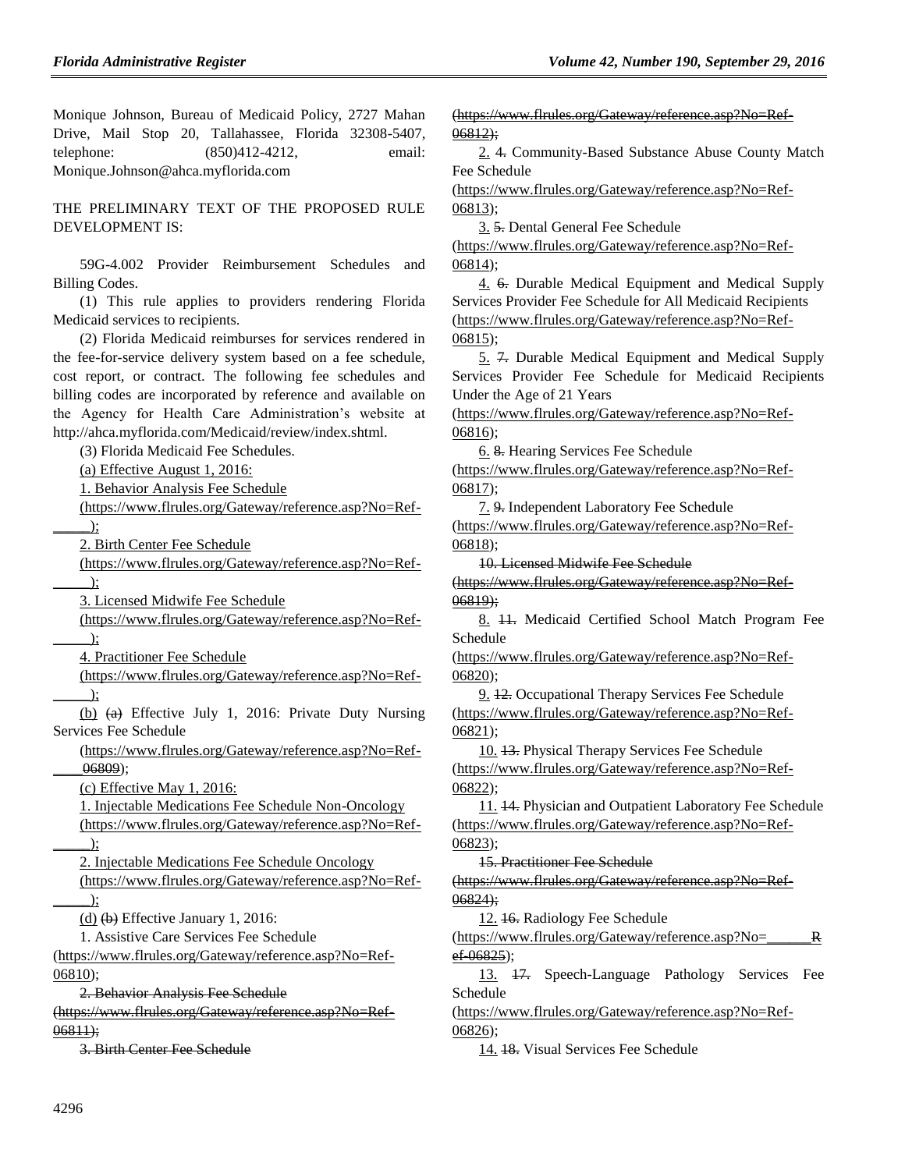Monique Johnson, Bureau of Medicaid Policy, 2727 Mahan Drive, Mail Stop 20, Tallahassee, Florida 32308-5407, telephone: (850)412-4212, email: Monique.Johnson@ahca.myflorida.com

THE PRELIMINARY TEXT OF THE PROPOSED RULE DEVELOPMENT IS:

59G-4.002 Provider Reimbursement Schedules and Billing Codes.

(1) This rule applies to providers rendering Florida Medicaid services to recipients.

(2) Florida Medicaid reimburses for services rendered in the fee-for-service delivery system based on a fee schedule, cost report, or contract. The following fee schedules and billing codes are incorporated by reference and available on the Agency for Health Care Administration's website at http://ahca.myflorida.com/Medicaid/review/index.shtml.

(3) Florida Medicaid Fee Schedules.

(a) Effective August 1, 2016:

1. Behavior Analysis Fee Schedule

[\(https://www.flrules.org/Gateway/reference.asp?No=Ref-](https://www.flrules.org/Gateway/reference.asp?No=Ref-_____)

 $\sum$ 

2. Birth Center Fee Schedule

[\(https://www.flrules.org/Gateway/reference.asp?No=Ref-](https://www.flrules.org/Gateway/reference.asp?No=Ref-_____)

 $\Box$ );

3. Licensed Midwife Fee Schedule

[\(https://www.flrules.org/Gateway/reference.asp?No=Ref-](https://www.flrules.org/Gateway/reference.asp?No=Ref-_____)  $\cdot$ 

4. Practitioner Fee Schedule

[\(https://www.flrules.org/Gateway/reference.asp?No=Ref-](https://www.flrules.org/Gateway/reference.asp?No=Ref-_____)  $\cdot$ 

(b) (a) Effective July 1, 2016: Private Duty Nursing Services Fee Schedule

[\(https://www.flrules.org/Gateway/reference.asp?No=Ref-](https://www.flrules.org/Gateway/reference.asp?No=Ref-____06809) [\\_\\_\\_\\_06809\)](https://www.flrules.org/Gateway/reference.asp?No=Ref-____06809);

(c) Effective May 1, 2016:

1. Injectable Medications Fee Schedule Non-Oncology

[\(https://www.flrules.org/Gateway/reference.asp?No=Ref-](https://www.flrules.org/Gateway/reference.asp?No=Ref-_____)  $\rightarrow$ ;

2. Injectable Medications Fee Schedule Oncology

[\(https://www.flrules.org/Gateway/reference.asp?No=Ref-](https://www.flrules.org/Gateway/reference.asp?No=Ref-_____)  $\sum_{i=1}^{n}$ 

(d)  $(b)$  Effective January 1, 2016:

1. Assistive Care Services Fee Schedule

[\(https://www.flrules.org/Gateway/reference.asp?No=Ref-](https://www.flrules.org/Gateway/reference.asp?No=Ref-06810)[06810\)](https://www.flrules.org/Gateway/reference.asp?No=Ref-06810);

2. Behavior Analysis Fee Schedule

[\(https://www.flrules.org/Gateway/reference.asp?No=Ref-](https://www.flrules.org/Gateway/reference.asp?No=Ref-06811) $06811;$ 

3. Birth Center Fee Schedule

[\(https://www.flrules.org/Gateway/reference.asp?No=Ref-](https://www.flrules.org/Gateway/reference.asp?No=Ref-06812) $06812;$ 

2. 4. Community-Based Substance Abuse County Match Fee Schedule

[\(https://www.flrules.org/Gateway/reference.asp?No=Ref-](https://www.flrules.org/Gateway/reference.asp?No=Ref-06813)[06813\)](https://www.flrules.org/Gateway/reference.asp?No=Ref-06813);

3. 5. Dental General Fee Schedule

[\(https://www.flrules.org/Gateway/reference.asp?No=Ref-](https://www.flrules.org/Gateway/reference.asp?No=Ref-06814)[06814\)](https://www.flrules.org/Gateway/reference.asp?No=Ref-06814);

4. 6. Durable Medical Equipment and Medical Supply Services Provider Fee Schedule for All Medicaid Recipients [\(https://www.flrules.org/Gateway/reference.asp?No=Ref-](https://www.flrules.org/Gateway/reference.asp?No=Ref-06815)[06815\)](https://www.flrules.org/Gateway/reference.asp?No=Ref-06815);

5. 7. Durable Medical Equipment and Medical Supply Services Provider Fee Schedule for Medicaid Recipients Under the Age of 21 Years

[\(https://www.flrules.org/Gateway/reference.asp?No=Ref-](https://www.flrules.org/Gateway/reference.asp?No=Ref-06816)[06816\)](https://www.flrules.org/Gateway/reference.asp?No=Ref-06816);

6. 8. Hearing Services Fee Schedule

[\(https://www.flrules.org/Gateway/reference.asp?No=Ref-](https://www.flrules.org/Gateway/reference.asp?No=Ref-06817)[06817\)](https://www.flrules.org/Gateway/reference.asp?No=Ref-06817);

7. 9. Independent Laboratory Fee Schedule

[\(https://www.flrules.org/Gateway/reference.asp?No=Ref-](https://www.flrules.org/Gateway/reference.asp?No=Ref-06818)[06818\)](https://www.flrules.org/Gateway/reference.asp?No=Ref-06818);

10. Licensed Midwife Fee Schedule

[\(https://www.flrules.org/Gateway/reference.asp?No=Ref-](https://www.flrules.org/Gateway/reference.asp?No=Ref-06819) $06819;$ 

8. 11. Medicaid Certified School Match Program Fee Schedule

[\(https://www.flrules.org/Gateway/reference.asp?No=Ref-](https://www.flrules.org/Gateway/reference.asp?No=Ref-06820)[06820\)](https://www.flrules.org/Gateway/reference.asp?No=Ref-06820);

9. 12. Occupational Therapy Services Fee Schedule [\(https://www.flrules.org/Gateway/reference.asp?No=Ref-](https://www.flrules.org/Gateway/reference.asp?No=Ref-06821)[06821\)](https://www.flrules.org/Gateway/reference.asp?No=Ref-06821);

10. 13. Physical Therapy Services Fee Schedule [\(https://www.flrules.org/Gateway/reference.asp?No=Ref-](https://www.flrules.org/Gateway/reference.asp?No=Ref-06822)[06822\)](https://www.flrules.org/Gateway/reference.asp?No=Ref-06822);

11. 14. Physician and Outpatient Laboratory Fee Schedule [\(https://www.flrules.org/Gateway/reference.asp?No=Ref-](https://www.flrules.org/Gateway/reference.asp?No=Ref-06823)[06823\)](https://www.flrules.org/Gateway/reference.asp?No=Ref-06823);

15. Practitioner Fee Schedule

[\(https://www.flrules.org/Gateway/reference.asp?No=Ref-](https://www.flrules.org/Gateway/reference.asp?No=Ref-06824) $06824$ ;

12. 16. Radiology Fee Schedule

 $(\text{https://www.flrules.org/Gateway/reference.asp?No=$ [ef-06825\)](https://www.flrules.org/Gateway/reference.asp?No=______Ref-06825);

13. 17. Speech-Language Pathology Services Fee Schedule

[\(https://www.flrules.org/Gateway/reference.asp?No=Ref-](https://www.flrules.org/Gateway/reference.asp?No=Ref-06826)[06826\)](https://www.flrules.org/Gateway/reference.asp?No=Ref-06826);

14. 18. Visual Services Fee Schedule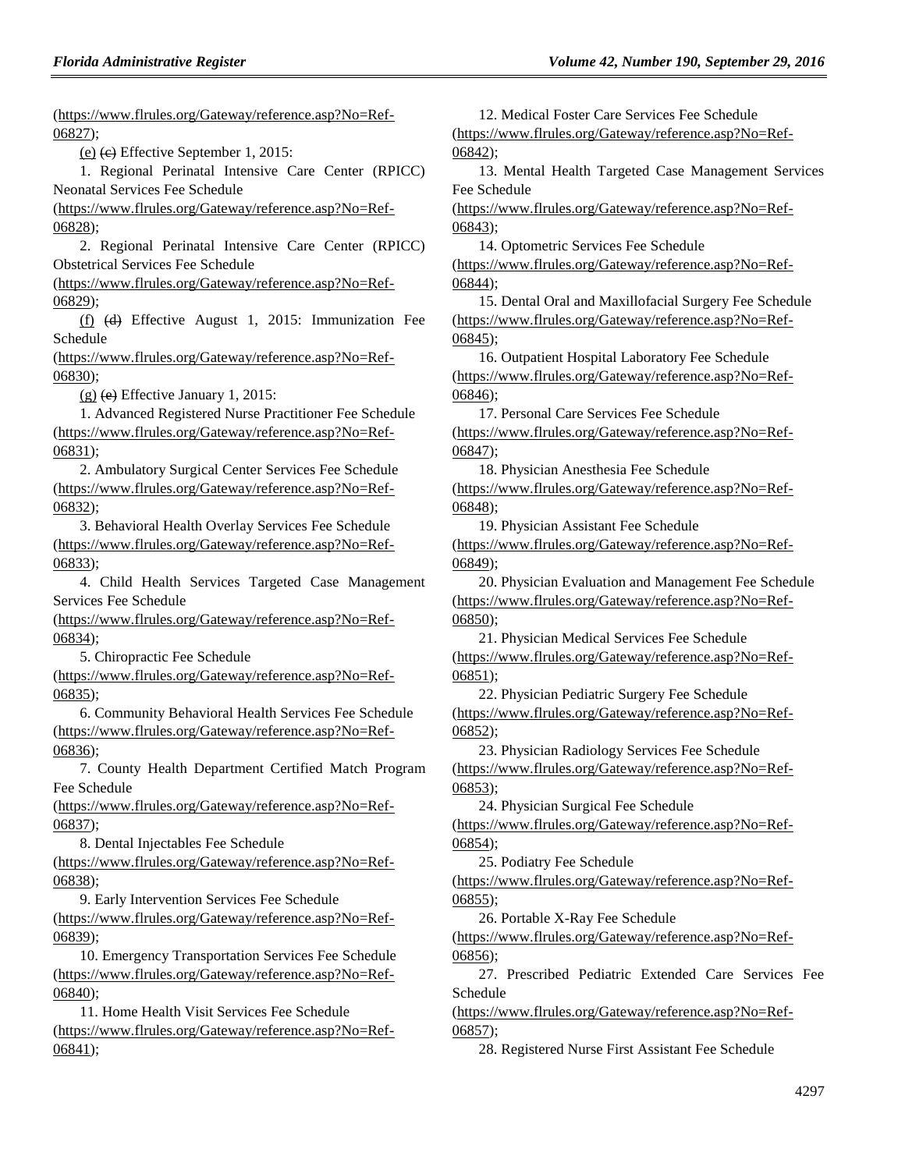[\(https://www.flrules.org/Gateway/reference.asp?No=Ref-](https://www.flrules.org/Gateway/reference.asp?No=Ref-06827)[06827\)](https://www.flrules.org/Gateway/reference.asp?No=Ref-06827);

(e) (c) Effective September 1, 2015:

1. Regional Perinatal Intensive Care Center (RPICC) Neonatal Services Fee Schedule

[\(https://www.flrules.org/Gateway/reference.asp?No=Ref-](https://www.flrules.org/Gateway/reference.asp?No=Ref-06828)[06828\)](https://www.flrules.org/Gateway/reference.asp?No=Ref-06828);

2. Regional Perinatal Intensive Care Center (RPICC) Obstetrical Services Fee Schedule

[\(https://www.flrules.org/Gateway/reference.asp?No=Ref-](https://www.flrules.org/Gateway/reference.asp?No=Ref-06829)[06829\)](https://www.flrules.org/Gateway/reference.asp?No=Ref-06829);

(f) (d) Effective August 1, 2015: Immunization Fee Schedule

[\(https://www.flrules.org/Gateway/reference.asp?No=Ref-](https://www.flrules.org/Gateway/reference.asp?No=Ref-06830)[06830\)](https://www.flrules.org/Gateway/reference.asp?No=Ref-06830);

 $(g)$  (e) Effective January 1, 2015:

1. Advanced Registered Nurse Practitioner Fee Schedule [\(https://www.flrules.org/Gateway/reference.asp?No=Ref-](https://www.flrules.org/Gateway/reference.asp?No=Ref-06831)[06831\)](https://www.flrules.org/Gateway/reference.asp?No=Ref-06831);

2. Ambulatory Surgical Center Services Fee Schedule [\(https://www.flrules.org/Gateway/reference.asp?No=Ref-](https://www.flrules.org/Gateway/reference.asp?No=Ref-06832)[06832\)](https://www.flrules.org/Gateway/reference.asp?No=Ref-06832);

3. Behavioral Health Overlay Services Fee Schedule [\(https://www.flrules.org/Gateway/reference.asp?No=Ref-](https://www.flrules.org/Gateway/reference.asp?No=Ref-06833)[06833\)](https://www.flrules.org/Gateway/reference.asp?No=Ref-06833);

4. Child Health Services Targeted Case Management Services Fee Schedule

[\(https://www.flrules.org/Gateway/reference.asp?No=Ref-](https://www.flrules.org/Gateway/reference.asp?No=Ref-06834)[06834\)](https://www.flrules.org/Gateway/reference.asp?No=Ref-06834);

5. Chiropractic Fee Schedule

[\(https://www.flrules.org/Gateway/reference.asp?No=Ref-](https://www.flrules.org/Gateway/reference.asp?No=Ref-06835)[06835\)](https://www.flrules.org/Gateway/reference.asp?No=Ref-06835);

6. Community Behavioral Health Services Fee Schedule [\(https://www.flrules.org/Gateway/reference.asp?No=Ref-](https://www.flrules.org/Gateway/reference.asp?No=Ref-06836)[06836\)](https://www.flrules.org/Gateway/reference.asp?No=Ref-06836);

7. County Health Department Certified Match Program Fee Schedule

[\(https://www.flrules.org/Gateway/reference.asp?No=Ref-](https://www.flrules.org/Gateway/reference.asp?No=Ref-06837)[06837\)](https://www.flrules.org/Gateway/reference.asp?No=Ref-06837);

8. Dental Injectables Fee Schedule

[\(https://www.flrules.org/Gateway/reference.asp?No=Ref-](https://www.flrules.org/Gateway/reference.asp?No=Ref-06838)[06838\)](https://www.flrules.org/Gateway/reference.asp?No=Ref-06838);

9. Early Intervention Services Fee Schedule

[\(https://www.flrules.org/Gateway/reference.asp?No=Ref-](https://www.flrules.org/Gateway/reference.asp?No=Ref-06839)[06839\)](https://www.flrules.org/Gateway/reference.asp?No=Ref-06839);

10. Emergency Transportation Services Fee Schedule [\(https://www.flrules.org/Gateway/reference.asp?No=Ref-](https://www.flrules.org/Gateway/reference.asp?No=Ref-06840)[06840\)](https://www.flrules.org/Gateway/reference.asp?No=Ref-06840);

11. Home Health Visit Services Fee Schedule [\(https://www.flrules.org/Gateway/reference.asp?No=Ref-](https://www.flrules.org/Gateway/reference.asp?No=Ref-06841)[06841\)](https://www.flrules.org/Gateway/reference.asp?No=Ref-06841);

12. Medical Foster Care Services Fee Schedule [\(https://www.flrules.org/Gateway/reference.asp?No=Ref-](https://www.flrules.org/Gateway/reference.asp?No=Ref-06842)[06842\)](https://www.flrules.org/Gateway/reference.asp?No=Ref-06842);

13. Mental Health Targeted Case Management Services Fee Schedule

[\(https://www.flrules.org/Gateway/reference.asp?No=Ref-](https://www.flrules.org/Gateway/reference.asp?No=Ref-06843)[06843\)](https://www.flrules.org/Gateway/reference.asp?No=Ref-06843);

14. Optometric Services Fee Schedule

[\(https://www.flrules.org/Gateway/reference.asp?No=Ref-](https://www.flrules.org/Gateway/reference.asp?No=Ref-06844)[06844\)](https://www.flrules.org/Gateway/reference.asp?No=Ref-06844);

15. Dental Oral and Maxillofacial Surgery Fee Schedule [\(https://www.flrules.org/Gateway/reference.asp?No=Ref-](https://www.flrules.org/Gateway/reference.asp?No=Ref-06845)[06845\)](https://www.flrules.org/Gateway/reference.asp?No=Ref-06845);

16. Outpatient Hospital Laboratory Fee Schedule [\(https://www.flrules.org/Gateway/reference.asp?No=Ref-](https://www.flrules.org/Gateway/reference.asp?No=Ref-06846)[06846\)](https://www.flrules.org/Gateway/reference.asp?No=Ref-06846);

17. Personal Care Services Fee Schedule

[\(https://www.flrules.org/Gateway/reference.asp?No=Ref-](https://www.flrules.org/Gateway/reference.asp?No=Ref-06847)[06847\)](https://www.flrules.org/Gateway/reference.asp?No=Ref-06847);

18. Physician Anesthesia Fee Schedule [\(https://www.flrules.org/Gateway/reference.asp?No=Ref-](https://www.flrules.org/Gateway/reference.asp?No=Ref-06848)[06848\)](https://www.flrules.org/Gateway/reference.asp?No=Ref-06848);

19. Physician Assistant Fee Schedule [\(https://www.flrules.org/Gateway/reference.asp?No=Ref-](https://www.flrules.org/Gateway/reference.asp?No=Ref-06849)[06849\)](https://www.flrules.org/Gateway/reference.asp?No=Ref-06849);

20. Physician Evaluation and Management Fee Schedule [\(https://www.flrules.org/Gateway/reference.asp?No=Ref-](https://www.flrules.org/Gateway/reference.asp?No=Ref-06850)[06850\)](https://www.flrules.org/Gateway/reference.asp?No=Ref-06850);

21. Physician Medical Services Fee Schedule [\(https://www.flrules.org/Gateway/reference.asp?No=Ref-](https://www.flrules.org/Gateway/reference.asp?No=Ref-06851)[06851\)](https://www.flrules.org/Gateway/reference.asp?No=Ref-06851);

22. Physician Pediatric Surgery Fee Schedule [\(https://www.flrules.org/Gateway/reference.asp?No=Ref-](https://www.flrules.org/Gateway/reference.asp?No=Ref-06852)[06852\)](https://www.flrules.org/Gateway/reference.asp?No=Ref-06852);

23. Physician Radiology Services Fee Schedule [\(https://www.flrules.org/Gateway/reference.asp?No=Ref-](https://www.flrules.org/Gateway/reference.asp?No=Ref-06853)[06853\)](https://www.flrules.org/Gateway/reference.asp?No=Ref-06853);

24. Physician Surgical Fee Schedule

[\(https://www.flrules.org/Gateway/reference.asp?No=Ref-](https://www.flrules.org/Gateway/reference.asp?No=Ref-06854)[06854\)](https://www.flrules.org/Gateway/reference.asp?No=Ref-06854);

25. Podiatry Fee Schedule

[\(https://www.flrules.org/Gateway/reference.asp?No=Ref-](https://www.flrules.org/Gateway/reference.asp?No=Ref-06855)[06855\)](https://www.flrules.org/Gateway/reference.asp?No=Ref-06855);

26. Portable X-Ray Fee Schedule

[\(https://www.flrules.org/Gateway/reference.asp?No=Ref-](https://www.flrules.org/Gateway/reference.asp?No=Ref-06856)[06856\)](https://www.flrules.org/Gateway/reference.asp?No=Ref-06856);

27. Prescribed Pediatric Extended Care Services Fee Schedule

[\(https://www.flrules.org/Gateway/reference.asp?No=Ref-](https://www.flrules.org/Gateway/reference.asp?No=Ref-06857)[06857\)](https://www.flrules.org/Gateway/reference.asp?No=Ref-06857);

28. Registered Nurse First Assistant Fee Schedule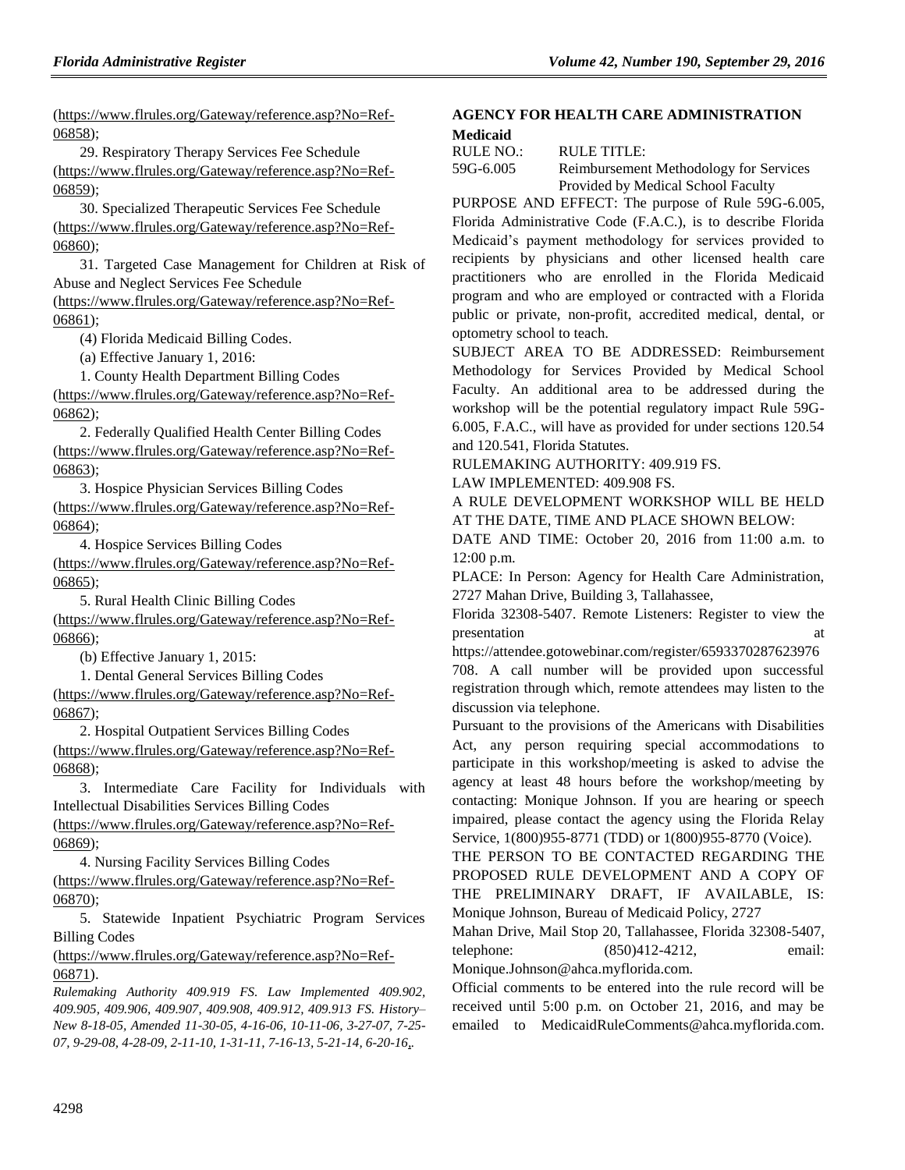[\(https://www.flrules.org/Gateway/reference.asp?No=Ref-](https://www.flrules.org/Gateway/reference.asp?No=Ref-06858)[06858\)](https://www.flrules.org/Gateway/reference.asp?No=Ref-06858);

29. Respiratory Therapy Services Fee Schedule [\(https://www.flrules.org/Gateway/reference.asp?No=Ref-](https://www.flrules.org/Gateway/reference.asp?No=Ref-06859)[06859\)](https://www.flrules.org/Gateway/reference.asp?No=Ref-06859);

30. Specialized Therapeutic Services Fee Schedule [\(https://www.flrules.org/Gateway/reference.asp?No=Ref-](https://www.flrules.org/Gateway/reference.asp?No=Ref-06860)[06860\)](https://www.flrules.org/Gateway/reference.asp?No=Ref-06860);

31. Targeted Case Management for Children at Risk of Abuse and Neglect Services Fee Schedule

[\(https://www.flrules.org/Gateway/reference.asp?No=Ref-](https://www.flrules.org/Gateway/reference.asp?No=Ref-06861)[06861\)](https://www.flrules.org/Gateway/reference.asp?No=Ref-06861);

(4) Florida Medicaid Billing Codes.

(a) Effective January 1, 2016:

1. County Health Department Billing Codes

[\(https://www.flrules.org/Gateway/reference.asp?No=Ref-](https://www.flrules.org/Gateway/reference.asp?No=Ref-06862)[06862\)](https://www.flrules.org/Gateway/reference.asp?No=Ref-06862);

2. Federally Qualified Health Center Billing Codes [\(https://www.flrules.org/Gateway/reference.asp?No=Ref-](https://www.flrules.org/Gateway/reference.asp?No=Ref-06863)[06863\)](https://www.flrules.org/Gateway/reference.asp?No=Ref-06863);

3. Hospice Physician Services Billing Codes

[\(https://www.flrules.org/Gateway/reference.asp?No=Ref-](https://www.flrules.org/Gateway/reference.asp?No=Ref-06864)[06864\)](https://www.flrules.org/Gateway/reference.asp?No=Ref-06864);

4. Hospice Services Billing Codes

[\(https://www.flrules.org/Gateway/reference.asp?No=Ref-](https://www.flrules.org/Gateway/reference.asp?No=Ref-06865)[06865\)](https://www.flrules.org/Gateway/reference.asp?No=Ref-06865);

5. Rural Health Clinic Billing Codes

[\(https://www.flrules.org/Gateway/reference.asp?No=Ref-](https://www.flrules.org/Gateway/reference.asp?No=Ref-06866)[06866\)](https://www.flrules.org/Gateway/reference.asp?No=Ref-06866);

(b) Effective January 1, 2015:

1. Dental General Services Billing Codes

[\(https://www.flrules.org/Gateway/reference.asp?No=Ref-](https://www.flrules.org/Gateway/reference.asp?No=Ref-06867)[06867\)](https://www.flrules.org/Gateway/reference.asp?No=Ref-06867);

2. Hospital Outpatient Services Billing Codes

[\(https://www.flrules.org/Gateway/reference.asp?No=Ref-](https://www.flrules.org/Gateway/reference.asp?No=Ref-06868)[06868\)](https://www.flrules.org/Gateway/reference.asp?No=Ref-06868);

3. Intermediate Care Facility for Individuals with Intellectual Disabilities Services Billing Codes

[\(https://www.flrules.org/Gateway/reference.asp?No=Ref-](https://www.flrules.org/Gateway/reference.asp?No=Ref-06869)[06869\)](https://www.flrules.org/Gateway/reference.asp?No=Ref-06869);

4. Nursing Facility Services Billing Codes [\(https://www.flrules.org/Gateway/reference.asp?No=Ref-](https://www.flrules.org/Gateway/reference.asp?No=Ref-06870)[06870\)](https://www.flrules.org/Gateway/reference.asp?No=Ref-06870);

5. Statewide Inpatient Psychiatric Program Services Billing Codes

[\(https://www.flrules.org/Gateway/reference.asp?No=Ref-](https://www.flrules.org/Gateway/reference.asp?No=Ref-06871)[06871\)](https://www.flrules.org/Gateway/reference.asp?No=Ref-06871).

*Rulemaking Authority 409.919 FS. Law Implemented 409.902, 409.905, 409.906, 409.907, 409.908, 409.912, 409.913 FS. History– New 8-18-05, Amended 11-30-05, 4-16-06, 10-11-06, 3-27-07, 7-25- 07, 9-29-08, 4-28-09, 2-11-10, 1-31-11, 7-16-13, 5-21-14, 6-20-16,.*

### **[AGENCY FOR HEALTH CARE ADMINISTRATION](https://www.flrules.org/gateway/department.asp?id=59) [Medicaid](https://www.flrules.org/gateway/organization.asp?id=192)**

| RULE NO.: | RULE TITLE:                            |
|-----------|----------------------------------------|
| 59G-6.005 | Reimbursement Methodology for Services |
|           | Provided by Medical School Faculty     |

PURPOSE AND EFFECT: The purpose of Rule 59G-6.005, Florida Administrative Code (F.A.C.), is to describe Florida Medicaid's payment methodology for services provided to recipients by physicians and other licensed health care practitioners who are enrolled in the Florida Medicaid program and who are employed or contracted with a Florida public or private, non-profit, accredited medical, dental, or optometry school to teach.

SUBJECT AREA TO BE ADDRESSED: Reimbursement Methodology for Services Provided by Medical School Faculty. An additional area to be addressed during the workshop will be the potential regulatory impact Rule 59G-6.005, F.A.C., will have as provided for under sections 120.54 and 120.541, Florida Statutes.

RULEMAKING AUTHORITY: [409.919 FS.](https://www.flrules.org/gateway/statute.asp?id=409.919%20FS.)

LAW IMPLEMENTED: [409.908 FS.](https://www.flrules.org/gateway/statute.asp?id=409.908%20FS.)

A RULE DEVELOPMENT WORKSHOP WILL BE HELD AT THE DATE, TIME AND PLACE SHOWN BELOW:

DATE AND TIME: October 20, 2016 from 11:00 a.m. to 12:00 p.m.

PLACE: In Person: Agency for Health Care Administration, 2727 Mahan Drive, Building 3, Tallahassee,

Florida 32308-5407. Remote Listeners: Register to view the presentation at the set of  $\alpha$  at  $\alpha$ 

[https://attendee.gotowebinar.com/register/6593370287623976](https://attendee.gotowebinar.com/register/6593370287623976708) [708.](https://attendee.gotowebinar.com/register/6593370287623976708) A call number will be provided upon successful

registration through which, remote attendees may listen to the discussion via telephone.

Pursuant to the provisions of the Americans with Disabilities Act, any person requiring special accommodations to participate in this workshop/meeting is asked to advise the agency at least 48 hours before the workshop/meeting by contacting: Monique Johnson. If you are hearing or speech impaired, please contact the agency using the Florida Relay Service, 1(800)955-8771 (TDD) or 1(800)955-8770 (Voice).

THE PERSON TO BE CONTACTED REGARDING THE PROPOSED RULE DEVELOPMENT AND A COPY OF THE PRELIMINARY DRAFT, IF AVAILABLE, IS: Monique Johnson, Bureau of Medicaid Policy, 2727

Mahan Drive, Mail Stop 20, Tallahassee, Florida 32308-5407, telephone: (850)412-4212, email:

Monique.Johnson@ahca.myflorida.com.

Official comments to be entered into the rule record will be received until 5:00 p.m. on October 21, 2016, and may be emailed to [MedicaidRuleComments@ahca.myflorida.com.](mailto:MedicaidRuleComments@ahca.myflorida.com)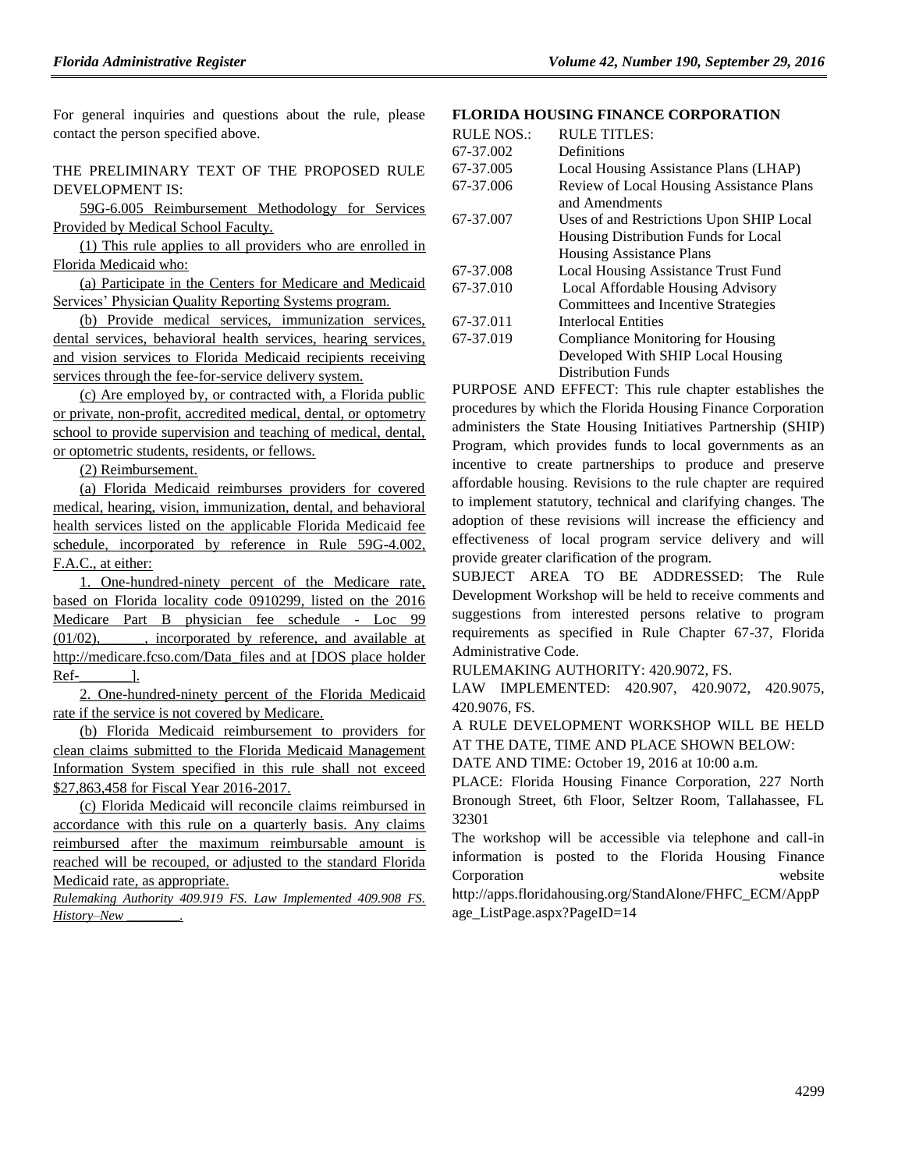For general inquiries and questions about the rule, please contact the person specified above.

THE PRELIMINARY TEXT OF THE PROPOSED RULE DEVELOPMENT IS:

59G-6.005 Reimbursement Methodology for Services Provided by Medical School Faculty.

(1) This rule applies to all providers who are enrolled in Florida Medicaid who:

(a) Participate in the Centers for Medicare and Medicaid Services' Physician Quality Reporting Systems program.

(b) Provide medical services, immunization services, dental services, behavioral health services, hearing services, and vision services to Florida Medicaid recipients receiving services through the fee-for-service delivery system.

(c) Are employed by, or contracted with, a Florida public or private, non-profit, accredited medical, dental, or optometry school to provide supervision and teaching of medical, dental, or optometric students, residents, or fellows.

(2) Reimbursement.

(a) Florida Medicaid reimburses providers for covered medical, hearing, vision, immunization, dental, and behavioral health services listed on the applicable Florida Medicaid fee schedule, incorporated by reference in Rule 59G-4.002, F.A.C., at either:

1. One-hundred-ninety percent of the Medicare rate, based on Florida locality code 0910299, listed on the 2016 Medicare Part B physician fee schedule - Loc 99  $(01/02)$ , incorporated by reference, and available at http://medicare.fcso.com/Data\_files and at [DOS place holder Ref- 1.

2. One-hundred-ninety percent of the Florida Medicaid rate if the service is not covered by Medicare.

(b) Florida Medicaid reimbursement to providers for clean claims submitted to the Florida Medicaid Management Information System specified in this rule shall not exceed \$27,863,458 for Fiscal Year 2016-2017.

(c) Florida Medicaid will reconcile claims reimbursed in accordance with this rule on a quarterly basis. Any claims reimbursed after the maximum reimbursable amount is reached will be recouped, or adjusted to the standard Florida Medicaid rate, as appropriate.

*Rulemaking Authority 409.919 FS. Law Implemented 409.908 FS. History–New \_\_\_\_\_\_\_\_.*

#### **[FLORIDA HOUSING FINANCE CORPORATION](https://www.flrules.org/gateway/department.asp?id=67)**

| <b>RULE NOS.:</b> | <b>RULE TITLES:</b>                             |
|-------------------|-------------------------------------------------|
| 67-37.002         | Definitions                                     |
| 67-37.005         | Local Housing Assistance Plans (LHAP)           |
| 67-37.006         | <b>Review of Local Housing Assistance Plans</b> |
|                   | and Amendments                                  |
| 67-37.007         | Uses of and Restrictions Upon SHIP Local        |
|                   | Housing Distribution Funds for Local            |
|                   | Housing Assistance Plans                        |
| 67-37.008         | <b>Local Housing Assistance Trust Fund</b>      |
| 67-37.010         | Local Affordable Housing Advisory               |
|                   | Committees and Incentive Strategies             |
| 67-37.011         | Interlocal Entities                             |
| 67-37.019         | Compliance Monitoring for Housing               |
|                   | Developed With SHIP Local Housing               |
|                   | <b>Distribution Funds</b>                       |

PURPOSE AND EFFECT: This rule chapter establishes the procedures by which the Florida Housing Finance Corporation administers the State Housing Initiatives Partnership (SHIP) Program, which provides funds to local governments as an incentive to create partnerships to produce and preserve affordable housing. Revisions to the rule chapter are required to implement statutory, technical and clarifying changes. The adoption of these revisions will increase the efficiency and effectiveness of local program service delivery and will provide greater clarification of the program.

SUBJECT AREA TO BE ADDRESSED: The Rule Development Workshop will be held to receive comments and suggestions from interested persons relative to program requirements as specified in Rule Chapter 67-37, Florida Administrative Code.

RULEMAKING AUTHORITY: [420.9072,](https://www.flrules.org/gateway/cfr.asp?id=420.9072) FS.

LAW IMPLEMENTED: [420.907, 420.9072, 420.9075,](https://www.flrules.org/gateway/cfr.asp?id=420.907,%20420.9072,%20420.9075,%20420.9076)  [420.9076,](https://www.flrules.org/gateway/cfr.asp?id=420.907,%20420.9072,%20420.9075,%20420.9076) FS.

A RULE DEVELOPMENT WORKSHOP WILL BE HELD AT THE DATE, TIME AND PLACE SHOWN BELOW:

DATE AND TIME: October 19, 2016 at 10:00 a.m.

PLACE: Florida Housing Finance Corporation, 227 North Bronough Street, 6th Floor, Seltzer Room, Tallahassee, FL 32301

The workshop will be accessible via telephone and call-in information is posted to the Florida Housing Finance Corporation website

[http://apps.floridahousing.org/StandAlone/FHFC\\_ECM/AppP](http://apps.floridahousing.org/StandAlone/FHFC_ECM/AppPage_ListPage.aspx?PageID=14) [age\\_ListPage.aspx?PageID=14](http://apps.floridahousing.org/StandAlone/FHFC_ECM/AppPage_ListPage.aspx?PageID=14)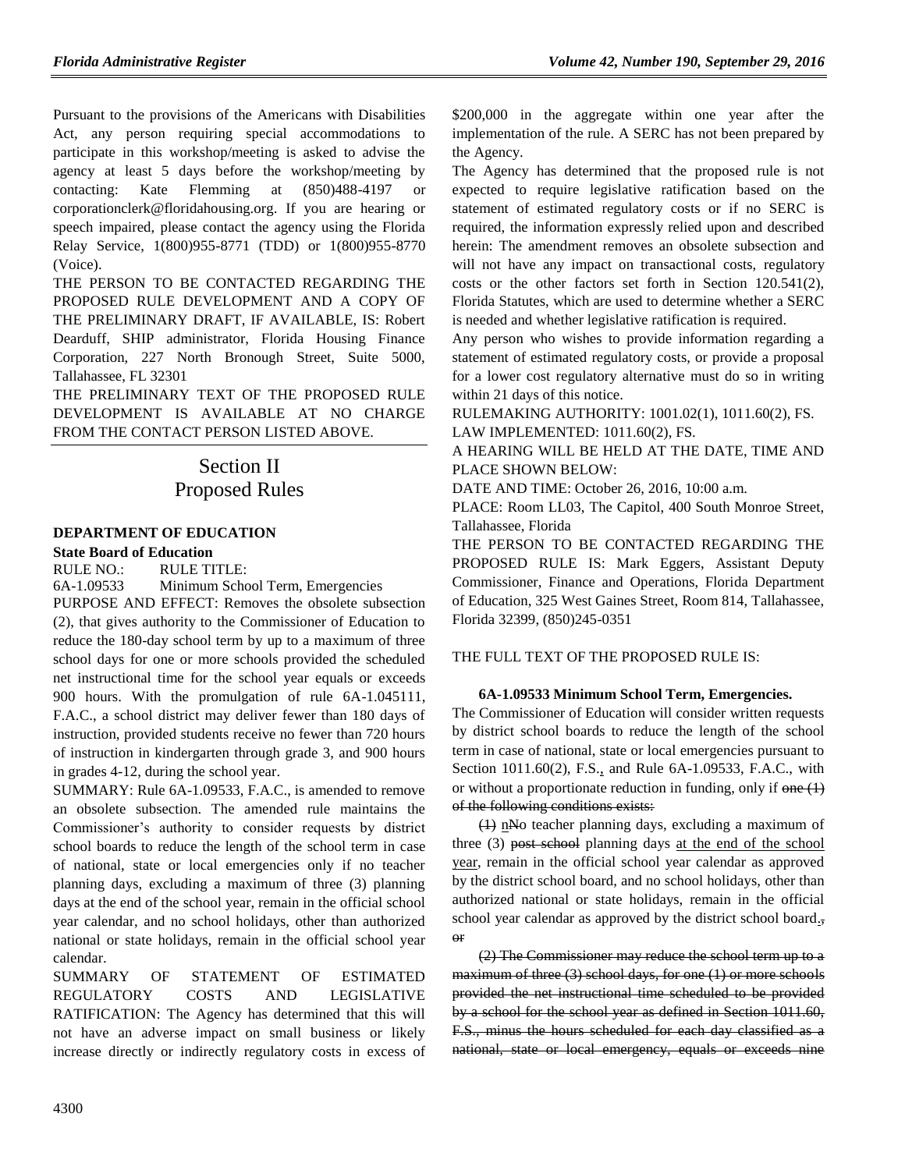Pursuant to the provisions of the Americans with Disabilities Act, any person requiring special accommodations to participate in this workshop/meeting is asked to advise the agency at least 5 days before the workshop/meeting by contacting: Kate Flemming at (850)488-4197 or [corporationclerk@floridahousing.org.](mailto:corporationclerk@floridahousing.org) If you are hearing or speech impaired, please contact the agency using the Florida Relay Service, 1(800)955-8771 (TDD) or 1(800)955-8770 (Voice).

THE PERSON TO BE CONTACTED REGARDING THE PROPOSED RULE DEVELOPMENT AND A COPY OF THE PRELIMINARY DRAFT, IF AVAILABLE, IS: Robert Dearduff, SHIP administrator, Florida Housing Finance Corporation, 227 North Bronough Street, Suite 5000, Tallahassee, FL 32301

THE PRELIMINARY TEXT OF THE PROPOSED RULE DEVELOPMENT IS AVAILABLE AT NO CHARGE FROM THE CONTACT PERSON LISTED ABOVE.

# Section II Proposed Rules

### **[DEPARTMENT OF EDUCATION](https://www.flrules.org/gateway/department.asp?id=6)**

**[State Board of Education](https://www.flrules.org/gateway/organization.asp?id=195)**

RULE NO.: RULE TITLE:

[6A-1.09533](https://www.flrules.org/gateway/ruleNo.asp?id=6A-1.09533) Minimum School Term, Emergencies

PURPOSE AND EFFECT: Removes the obsolete subsection (2), that gives authority to the Commissioner of Education to reduce the 180-day school term by up to a maximum of three school days for one or more schools provided the scheduled net instructional time for the school year equals or exceeds 900 hours. With the promulgation of rule 6A-1.045111, F.A.C., a school district may deliver fewer than 180 days of instruction, provided students receive no fewer than 720 hours of instruction in kindergarten through grade 3, and 900 hours in grades 4-12, during the school year.

SUMMARY: Rule 6A-1.09533, F.A.C., is amended to remove an obsolete subsection. The amended rule maintains the Commissioner's authority to consider requests by district school boards to reduce the length of the school term in case of national, state or local emergencies only if no teacher planning days, excluding a maximum of three (3) planning days at the end of the school year, remain in the official school year calendar, and no school holidays, other than authorized national or state holidays, remain in the official school year calendar.

SUMMARY OF STATEMENT OF ESTIMATED REGULATORY COSTS AND LEGISLATIVE RATIFICATION: The Agency has determined that this will not have an adverse impact on small business or likely increase directly or indirectly regulatory costs in excess of \$200,000 in the aggregate within one year after the implementation of the rule. A SERC has not been prepared by the Agency.

The Agency has determined that the proposed rule is not expected to require legislative ratification based on the statement of estimated regulatory costs or if no SERC is required, the information expressly relied upon and described herein: The amendment removes an obsolete subsection and will not have any impact on transactional costs, regulatory costs or the other factors set forth in Section 120.541(2), Florida Statutes, which are used to determine whether a SERC is needed and whether legislative ratification is required.

Any person who wishes to provide information regarding a statement of estimated regulatory costs, or provide a proposal for a lower cost regulatory alternative must do so in writing within 21 days of this notice.

RULEMAKING AUTHORITY: [1001.02\(1\), 1011.60\(2\), FS.](https://www.flrules.org/gateway/cfr.asp?id=1001.02(1),%201011.60(2),%20Florida%20Statutes.) LAW IMPLEMENTED: [1011.60\(2\), FS.](https://www.flrules.org/gateway/cfr.asp?id=1011.60(2),%20Florida%20Statutes.)

A HEARING WILL BE HELD AT THE DATE, TIME AND PLACE SHOWN BELOW:

DATE AND TIME: October 26, 2016, 10:00 a.m.

PLACE: Room LL03, The Capitol, 400 South Monroe Street, Tallahassee, Florida

THE PERSON TO BE CONTACTED REGARDING THE PROPOSED RULE IS: Mark Eggers, Assistant Deputy Commissioner, Finance and Operations, Florida Department of Education, 325 West Gaines Street, Room 814, Tallahassee, Florida 32399, (850)245-0351

THE FULL TEXT OF THE PROPOSED RULE IS:

#### **6A-1.09533 Minimum School Term, Emergencies.**

The Commissioner of Education will consider written requests by district school boards to reduce the length of the school term in case of national, state or local emergencies pursuant to Section 1011.60(2), F.S., and Rule 6A-1.09533, F.A.C., with or without a proportionate reduction in funding, only if  $\theta$ ne  $(1)$ of the following conditions exists:

 $(1)$  nNo teacher planning days, excluding a maximum of three (3) post school planning days at the end of the school year, remain in the official school year calendar as approved by the district school board, and no school holidays, other than authorized national or state holidays, remain in the official school year calendar as approved by the district school board., or

(2) The Commissioner may reduce the school term up to a maximum of three (3) school days, for one (1) or more schools provided the net instructional time scheduled to be provided by a school for the school year as defined in Section 1011.60, F.S., minus the hours scheduled for each day classified as a national, state or local emergency, equals or exceeds nine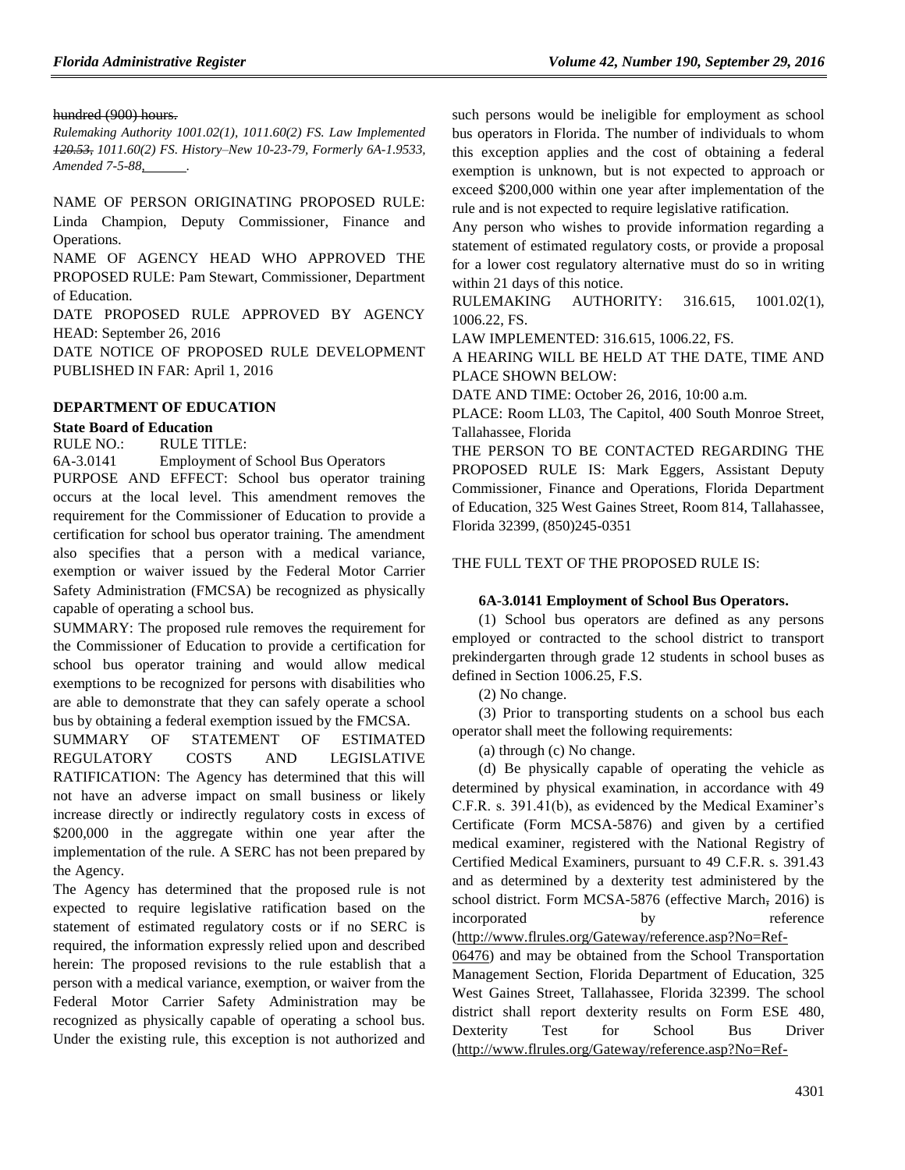#### hundred (900) hours.

*Rulemaking Authority 1001.02(1), 1011.60(2) FS. Law Implemented 120.53, 1011.60(2) FS. History–New 10-23-79, Formerly 6A-1.9533, Amended 7-5-88,* .

NAME OF PERSON ORIGINATING PROPOSED RULE: Linda Champion, Deputy Commissioner, Finance and Operations.

NAME OF AGENCY HEAD WHO APPROVED THE PROPOSED RULE: Pam Stewart, Commissioner, Department of Education.

DATE PROPOSED RULE APPROVED BY AGENCY HEAD: September 26, 2016

DATE NOTICE OF PROPOSED RULE DEVELOPMENT PUBLISHED IN FAR: April 1, 2016

#### **[DEPARTMENT OF EDUCATION](https://www.flrules.org/gateway/department.asp?id=6)**

#### **[State Board of Education](https://www.flrules.org/gateway/organization.asp?id=195)**

RULE NO.: RULE TITLE:

[6A-3.0141](https://www.flrules.org/gateway/ruleNo.asp?id=6A-3.0141) Employment of School Bus Operators

PURPOSE AND EFFECT: School bus operator training occurs at the local level. This amendment removes the requirement for the Commissioner of Education to provide a certification for school bus operator training. The amendment also specifies that a person with a medical variance, exemption or waiver issued by the Federal Motor Carrier Safety Administration (FMCSA) be recognized as physically capable of operating a school bus.

SUMMARY: The proposed rule removes the requirement for the Commissioner of Education to provide a certification for school bus operator training and would allow medical exemptions to be recognized for persons with disabilities who are able to demonstrate that they can safely operate a school bus by obtaining a federal exemption issued by the FMCSA.

SUMMARY OF STATEMENT OF ESTIMATED REGULATORY COSTS AND LEGISLATIVE RATIFICATION: The Agency has determined that this will not have an adverse impact on small business or likely increase directly or indirectly regulatory costs in excess of \$200,000 in the aggregate within one year after the implementation of the rule. A SERC has not been prepared by the Agency.

The Agency has determined that the proposed rule is not expected to require legislative ratification based on the statement of estimated regulatory costs or if no SERC is required, the information expressly relied upon and described herein: The proposed revisions to the rule establish that a person with a medical variance, exemption, or waiver from the Federal Motor Carrier Safety Administration may be recognized as physically capable of operating a school bus. Under the existing rule, this exception is not authorized and such persons would be ineligible for employment as school bus operators in Florida. The number of individuals to whom this exception applies and the cost of obtaining a federal exemption is unknown, but is not expected to approach or exceed \$200,000 within one year after implementation of the rule and is not expected to require legislative ratification.

Any person who wishes to provide information regarding a statement of estimated regulatory costs, or provide a proposal for a lower cost regulatory alternative must do so in writing within 21 days of this notice.

RULEMAKING AUTHORITY: [316.615, 1001.02\(1\),](https://www.flrules.org/gateway/cfr.asp?id=316.615,%201001.02(1),%201006.22,%20%20Florida%20Statutes.)  [1006.22, FS.](https://www.flrules.org/gateway/cfr.asp?id=316.615,%201001.02(1),%201006.22,%20%20Florida%20Statutes.)

LAW IMPLEMENTED: [316.615, 1006.22, FS.](https://www.flrules.org/gateway/cfr.asp?id=316.615,%201006.22,%20Florida%20Statutes.)

A HEARING WILL BE HELD AT THE DATE, TIME AND PLACE SHOWN BELOW:

DATE AND TIME: October 26, 2016, 10:00 a.m.

PLACE: Room LL03, The Capitol, 400 South Monroe Street, Tallahassee, Florida

THE PERSON TO BE CONTACTED REGARDING THE PROPOSED RULE IS: Mark Eggers, Assistant Deputy Commissioner, Finance and Operations, Florida Department of Education, 325 West Gaines Street, Room 814, Tallahassee, Florida 32399, (850)245-0351

#### THE FULL TEXT OF THE PROPOSED RULE IS:

#### **6A-3.0141 Employment of School Bus Operators.**

(1) School bus operators are defined as any persons employed or contracted to the school district to transport prekindergarten through grade 12 students in school buses as defined in Section 1006.25, F.S.

(2) No change.

(3) Prior to transporting students on a school bus each operator shall meet the following requirements:

(a) through (c) No change.

(d) Be physically capable of operating the vehicle as determined by physical examination, in accordance with 49 C.F.R. s. 391.41(b), as evidenced by the Medical Examiner's Certificate (Form MCSA-5876) and given by a certified medical examiner, registered with the National Registry of Certified Medical Examiners, pursuant to 49 C.F.R. s. 391.43 and as determined by a dexterity test administered by the school district. Form MCSA-5876 (effective March, 2016) is incorporated by reference [\(http://www.flrules.org/Gateway/reference.asp?No=Ref-](http://www.flrules.org/Gateway/reference.asp?No=Ref-06476)

[06476\)](http://www.flrules.org/Gateway/reference.asp?No=Ref-06476) and may be obtained from the School Transportation Management Section, Florida Department of Education, 325 West Gaines Street, Tallahassee, Florida 32399. The school district shall report dexterity results on Form ESE 480, Dexterity Test for School Bus Driver [\(http://www.flrules.org/Gateway/reference.asp?No=Ref-](http://www.flrules.org/Gateway/reference.asp?No=Ref-06477)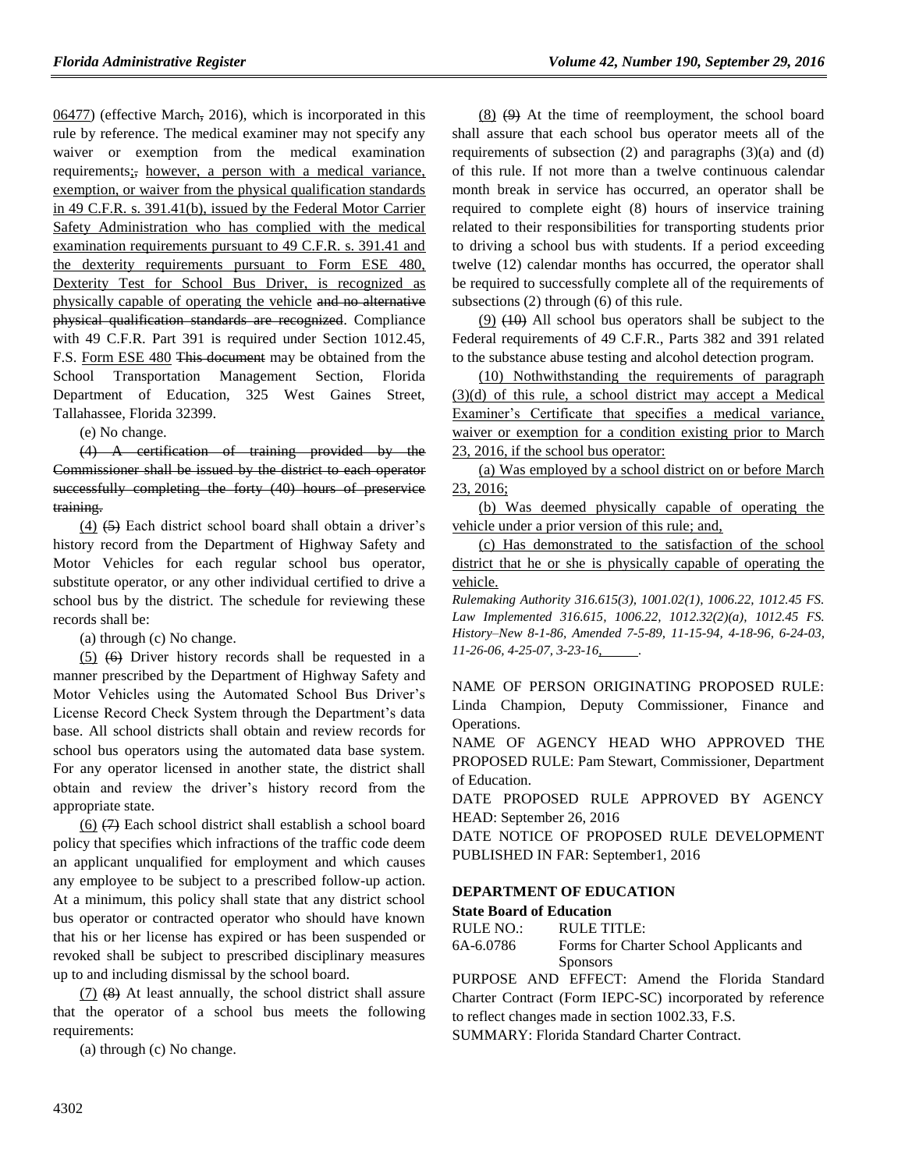[06477\)](http://www.flrules.org/Gateway/reference.asp?No=Ref-06477) (effective March, 2016), which is incorporated in this rule by reference. The medical examiner may not specify any waiver or exemption from the medical examination requirements;, however, a person with a medical variance, exemption, or waiver from the physical qualification standards in 49 C.F.R. s. 391.41(b), issued by the Federal Motor Carrier Safety Administration who has complied with the medical examination requirements pursuant to 49 C.F.R. s. 391.41 and the dexterity requirements pursuant to Form ESE 480, Dexterity Test for School Bus Driver, is recognized as physically capable of operating the vehicle and no alternative physical qualification standards are recognized. Compliance with 49 C.F.R. Part 391 is required under Section 1012.45, F.S. Form ESE 480 This document may be obtained from the School Transportation Management Section, Florida Department of Education, 325 West Gaines Street, Tallahassee, Florida 32399.

(e) No change.

(4) A certification of training provided by the Commissioner shall be issued by the district to each operator successfully completing the forty (40) hours of preservice training.

 $(4)$   $(5)$  Each district school board shall obtain a driver's history record from the Department of Highway Safety and Motor Vehicles for each regular school bus operator, substitute operator, or any other individual certified to drive a school bus by the district. The schedule for reviewing these records shall be:

(a) through (c) No change.

(5) (6) Driver history records shall be requested in a manner prescribed by the Department of Highway Safety and Motor Vehicles using the Automated School Bus Driver's License Record Check System through the Department's data base. All school districts shall obtain and review records for school bus operators using the automated data base system. For any operator licensed in another state, the district shall obtain and review the driver's history record from the appropriate state.

 $(6)$   $(7)$  Each school district shall establish a school board policy that specifies which infractions of the traffic code deem an applicant unqualified for employment and which causes any employee to be subject to a prescribed follow-up action. At a minimum, this policy shall state that any district school bus operator or contracted operator who should have known that his or her license has expired or has been suspended or revoked shall be subject to prescribed disciplinary measures up to and including dismissal by the school board.

(7) (8) At least annually, the school district shall assure that the operator of a school bus meets the following requirements:

(a) through (c) No change.

 $(8)$   $(9)$  At the time of reemployment, the school board shall assure that each school bus operator meets all of the requirements of subsection  $(2)$  and paragraphs  $(3)(a)$  and  $(d)$ of this rule. If not more than a twelve continuous calendar month break in service has occurred, an operator shall be required to complete eight (8) hours of inservice training related to their responsibilities for transporting students prior to driving a school bus with students. If a period exceeding twelve (12) calendar months has occurred, the operator shall be required to successfully complete all of the requirements of subsections (2) through (6) of this rule.

 $(9)$   $(10)$  All school bus operators shall be subject to the Federal requirements of 49 C.F.R., Parts 382 and 391 related to the substance abuse testing and alcohol detection program.

(10) Nothwithstanding the requirements of paragraph (3)(d) of this rule, a school district may accept a Medical Examiner's Certificate that specifies a medical variance, waiver or exemption for a condition existing prior to March 23, 2016, if the school bus operator:

(a) Was employed by a school district on or before March 23, 2016;

(b) Was deemed physically capable of operating the vehicle under a prior version of this rule; and,

(c) Has demonstrated to the satisfaction of the school district that he or she is physically capable of operating the vehicle.

*Rulemaking Authority 316.615(3), 1001.02(1), 1006.22, 1012.45 FS. Law Implemented 316.615, 1006.22, 1012.32(2)(a), 1012.45 FS. History–New 8-1-86, Amended 7-5-89, 11-15-94, 4-18-96, 6-24-03, 11-26-06, 4-25-07, 3-23-16, .*

NAME OF PERSON ORIGINATING PROPOSED RULE: Linda Champion, Deputy Commissioner, Finance and Operations.

NAME OF AGENCY HEAD WHO APPROVED THE PROPOSED RULE: Pam Stewart, Commissioner, Department of Education.

DATE PROPOSED RULE APPROVED BY AGENCY HEAD: September 26, 2016

DATE NOTICE OF PROPOSED RULE DEVELOPMENT PUBLISHED IN FAR: September1, 2016

## **[DEPARTMENT OF EDUCATION](https://www.flrules.org/gateway/department.asp?id=6)**

#### **[State Board of Education](https://www.flrules.org/gateway/organization.asp?id=195)**

| 6A-6.0786 | Forms for Charter School Applicants and |
|-----------|-----------------------------------------|
|           | <b>Sponsors</b>                         |

PURPOSE AND EFFECT: Amend the Florida Standard Charter Contract (Form IEPC-SC) incorporated by reference to reflect changes made in section 1002.33, F.S.

SUMMARY: Florida Standard Charter Contract.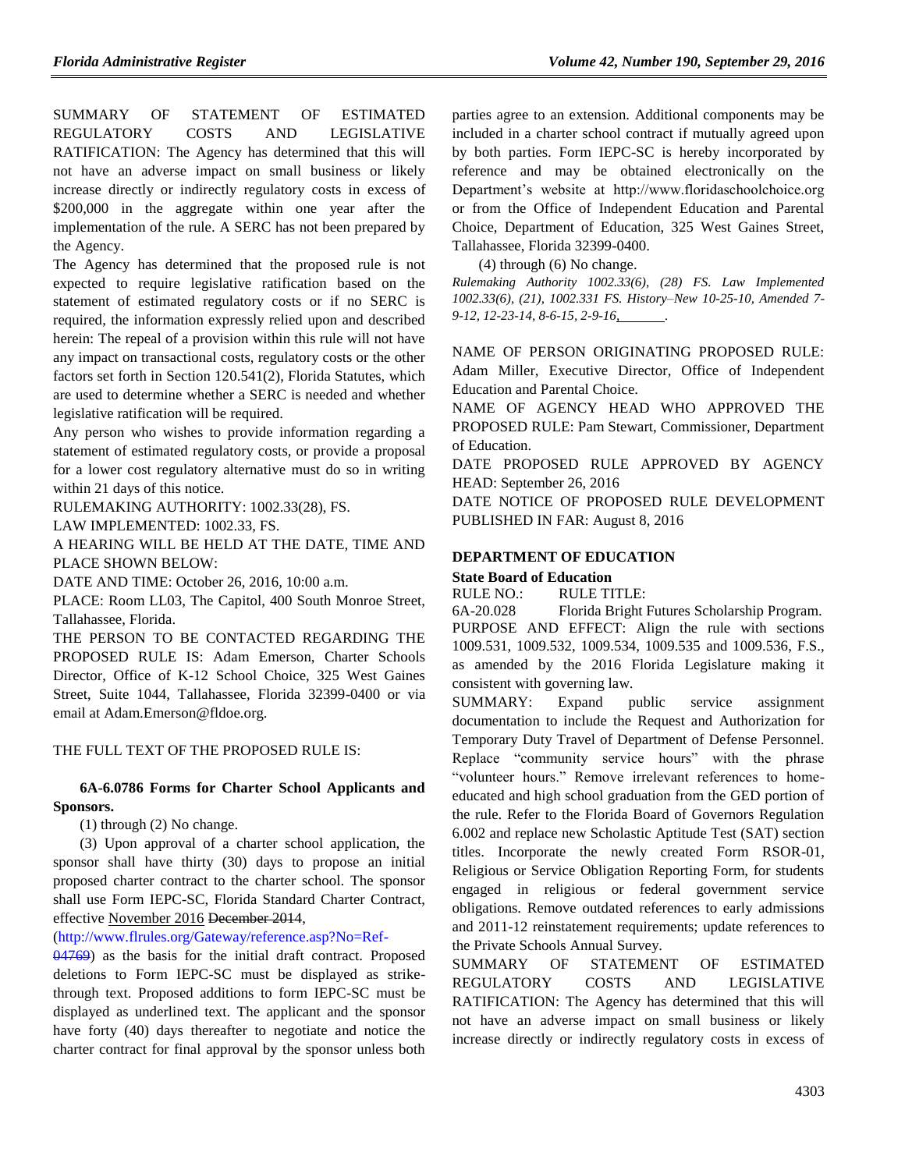SUMMARY OF STATEMENT OF ESTIMATED REGULATORY COSTS AND LEGISLATIVE RATIFICATION: The Agency has determined that this will not have an adverse impact on small business or likely increase directly or indirectly regulatory costs in excess of \$200,000 in the aggregate within one year after the implementation of the rule. A SERC has not been prepared by the Agency.

The Agency has determined that the proposed rule is not expected to require legislative ratification based on the statement of estimated regulatory costs or if no SERC is required, the information expressly relied upon and described herein: The repeal of a provision within this rule will not have any impact on transactional costs, regulatory costs or the other factors set forth in Section 120.541(2), Florida Statutes, which are used to determine whether a SERC is needed and whether legislative ratification will be required.

Any person who wishes to provide information regarding a statement of estimated regulatory costs, or provide a proposal for a lower cost regulatory alternative must do so in writing within 21 days of this notice.

RULEMAKING AUTHORITY: [1002.33\(28\), FS.](https://www.flrules.org/gateway/cfr.asp?id=1002.33(28),%20Florida%20Statutes.)

LAW IMPLEMENTED: [1002.33, FS.](https://www.flrules.org/gateway/cfr.asp?id=1002.33,%20Florida%20Statutes.)

A HEARING WILL BE HELD AT THE DATE, TIME AND PLACE SHOWN BELOW:

DATE AND TIME: October 26, 2016, 10:00 a.m.

PLACE: Room LL03, The Capitol, 400 South Monroe Street, Tallahassee, Florida.

THE PERSON TO BE CONTACTED REGARDING THE PROPOSED RULE IS: Adam Emerson, Charter Schools Director, Office of K-12 School Choice, 325 West Gaines Street, Suite 1044, Tallahassee, Florida 32399-0400 or via email at Adam.Emerson@fldoe.org.

#### THE FULL TEXT OF THE PROPOSED RULE IS:

#### **6A-6.0786 Forms for Charter School Applicants and Sponsors.**

(1) through (2) No change.

(3) Upon approval of a charter school application, the sponsor shall have thirty (30) days to propose an initial proposed charter contract to the charter school. The sponsor shall use Form IEPC-SC, Florida Standard Charter Contract, effective November 2016 December 2014,

(http://www.flrules.org/Gateway/reference.asp?No=Ref-

04769) as the basis for the initial draft contract. Proposed deletions to Form IEPC-SC must be displayed as strikethrough text. Proposed additions to form IEPC-SC must be displayed as underlined text. The applicant and the sponsor have forty (40) days thereafter to negotiate and notice the charter contract for final approval by the sponsor unless both parties agree to an extension. Additional components may be included in a charter school contract if mutually agreed upon by both parties. Form IEPC-SC is hereby incorporated by reference and may be obtained electronically on the Department's website at http://www.floridaschoolchoice.org or from the Office of Independent Education and Parental Choice, Department of Education, 325 West Gaines Street, Tallahassee, Florida 32399-0400.

(4) through (6) No change.

*Rulemaking Authority 1002.33(6), (28) FS. Law Implemented 1002.33(6), (21), 1002.331 FS. History–New 10-25-10, Amended 7- 9-12, 12-23-14, 8-6-15, 2-9-16, .*

NAME OF PERSON ORIGINATING PROPOSED RULE: Adam Miller, Executive Director, Office of Independent Education and Parental Choice.

NAME OF AGENCY HEAD WHO APPROVED THE PROPOSED RULE: Pam Stewart, Commissioner, Department of Education.

DATE PROPOSED RULE APPROVED BY AGENCY HEAD: September 26, 2016

DATE NOTICE OF PROPOSED RULE DEVELOPMENT PUBLISHED IN FAR: August 8, 2016

### **[DEPARTMENT OF EDUCATION](https://www.flrules.org/gateway/department.asp?id=6)**

#### **[State Board of Education](https://www.flrules.org/gateway/organization.asp?id=195)**

RULE NO.: RULE TITLE:

[6A-20.028](https://www.flrules.org/gateway/ruleNo.asp?id=6A-20.028) Florida Bright Futures Scholarship Program. PURPOSE AND EFFECT: Align the rule with sections 1009.531, 1009.532, 1009.534, 1009.535 and 1009.536, F.S., as amended by the 2016 Florida Legislature making it consistent with governing law.

SUMMARY: Expand public service assignment documentation to include the Request and Authorization for Temporary Duty Travel of Department of Defense Personnel. Replace "community service hours" with the phrase "volunteer hours." Remove irrelevant references to homeeducated and high school graduation from the GED portion of the rule. Refer to the Florida Board of Governors Regulation 6.002 and replace new Scholastic Aptitude Test (SAT) section titles. Incorporate the newly created Form RSOR-01, Religious or Service Obligation Reporting Form, for students engaged in religious or federal government service obligations. Remove outdated references to early admissions and 2011-12 reinstatement requirements; update references to the Private Schools Annual Survey.

SUMMARY OF STATEMENT OF ESTIMATED REGULATORY COSTS AND LEGISLATIVE RATIFICATION: The Agency has determined that this will not have an adverse impact on small business or likely increase directly or indirectly regulatory costs in excess of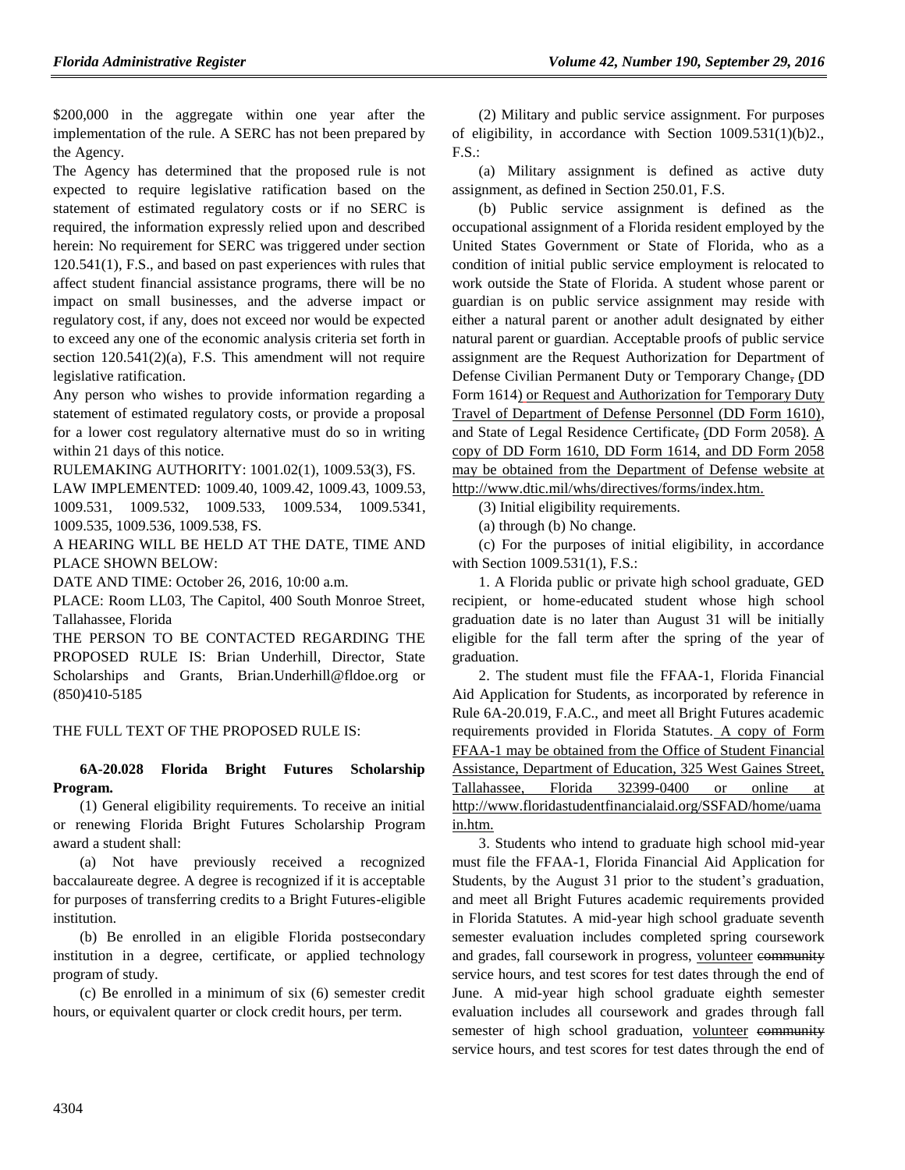\$200,000 in the aggregate within one year after the implementation of the rule. A SERC has not been prepared by the Agency.

The Agency has determined that the proposed rule is not expected to require legislative ratification based on the statement of estimated regulatory costs or if no SERC is required, the information expressly relied upon and described herein: No requirement for SERC was triggered under section 120.541(1), F.S., and based on past experiences with rules that affect student financial assistance programs, there will be no impact on small businesses, and the adverse impact or regulatory cost, if any, does not exceed nor would be expected to exceed any one of the economic analysis criteria set forth in section  $120.541(2)(a)$ , F.S. This amendment will not require legislative ratification.

Any person who wishes to provide information regarding a statement of estimated regulatory costs, or provide a proposal for a lower cost regulatory alternative must do so in writing within 21 days of this notice.

RULEMAKING AUTHORITY: [1001.02\(1\),](https://www.flrules.org/gateway/statute.asp?id=1001.02(1)) [1009.53\(3\),](https://www.flrules.org/gateway/statute.asp?id=%201009.53(3)) FS.

LAW IMPLEMENTED: [1009.40,](https://www.flrules.org/gateway/statute.asp?id=1009.40) [1009.42,](https://www.flrules.org/gateway/statute.asp?id=%201009.42) [1009.43,](https://www.flrules.org/gateway/statute.asp?id=%201009.43) [1009.53,](https://www.flrules.org/gateway/statute.asp?id=%201009.53) [1009.531,](https://www.flrules.org/gateway/statute.asp?id=%201009.531) [1009.532,](https://www.flrules.org/gateway/statute.asp?id=%201009.532) [1009.533,](https://www.flrules.org/gateway/statute.asp?id=%201009.533) [1009.534,](https://www.flrules.org/gateway/statute.asp?id=%201009.534) [1009.5341,](https://www.flrules.org/gateway/statute.asp?id=%201009.5341) [1009.535,](https://www.flrules.org/gateway/statute.asp?id=%201009.535) [1009.536,](https://www.flrules.org/gateway/statute.asp?id=%201009.536) [1009.538,](https://www.flrules.org/gateway/statute.asp?id=%201009.538) FS.

A HEARING WILL BE HELD AT THE DATE, TIME AND PLACE SHOWN BELOW:

DATE AND TIME: October 26, 2016, 10:00 a.m.

PLACE: Room LL03, The Capitol, 400 South Monroe Street, Tallahassee, Florida

THE PERSON TO BE CONTACTED REGARDING THE PROPOSED RULE IS: Brian Underhill, Director, State Scholarships and Grants, Brian.Underhill@fldoe.org or (850)410-5185

## THE FULL TEXT OF THE PROPOSED RULE IS:

## **6A-20.028 Florida Bright Futures Scholarship Program.**

(1) General eligibility requirements. To receive an initial or renewing Florida Bright Futures Scholarship Program award a student shall:

(a) Not have previously received a recognized baccalaureate degree. A degree is recognized if it is acceptable for purposes of transferring credits to a Bright Futures-eligible institution.

(b) Be enrolled in an eligible Florida postsecondary institution in a degree, certificate, or applied technology program of study.

(c) Be enrolled in a minimum of six (6) semester credit hours, or equivalent quarter or clock credit hours, per term.

(2) Military and public service assignment. For purposes of eligibility, in accordance with Section 1009.531(1)(b)2., F.S.:

(a) Military assignment is defined as active duty assignment, as defined in Section 250.01, F.S.

(b) Public service assignment is defined as the occupational assignment of a Florida resident employed by the United States Government or State of Florida, who as a condition of initial public service employment is relocated to work outside the State of Florida. A student whose parent or guardian is on public service assignment may reside with either a natural parent or another adult designated by either natural parent or guardian. Acceptable proofs of public service assignment are the Request Authorization for Department of Defense Civilian Permanent Duty or Temporary Change, (DD Form 1614) or Request and Authorization for Temporary Duty Travel of Department of Defense Personnel (DD Form 1610), and State of Legal Residence Certificate, (DD Form 2058). A copy of DD Form 1610, DD Form 1614, and DD Form 2058 may be obtained from the Department of Defense website at http://www.dtic.mil/whs/directives/forms/index.htm.

(3) Initial eligibility requirements.

(a) through (b) No change.

(c) For the purposes of initial eligibility, in accordance with Section 1009.531(1), F.S.:

1. A Florida public or private high school graduate, GED recipient, or home-educated student whose high school graduation date is no later than August 31 will be initially eligible for the fall term after the spring of the year of graduation.

2. The student must file the FFAA-1, Florida Financial Aid Application for Students, as incorporated by reference in Rule 6A-20.019, F.A.C., and meet all Bright Futures academic requirements provided in Florida Statutes. A copy of Form FFAA-1 may be obtained from the Office of Student Financial Assistance, Department of Education, 325 West Gaines Street, Tallahassee, Florida 32399-0400 or online at http://www.floridastudentfinancialaid.org/SSFAD/home/uama in.htm.

3. Students who intend to graduate high school mid-year must file the FFAA-1, Florida Financial Aid Application for Students, by the August 31 prior to the student's graduation, and meet all Bright Futures academic requirements provided in Florida Statutes. A mid-year high school graduate seventh semester evaluation includes completed spring coursework and grades, fall coursework in progress, volunteer community service hours, and test scores for test dates through the end of June. A mid-year high school graduate eighth semester evaluation includes all coursework and grades through fall semester of high school graduation, volunteer community service hours, and test scores for test dates through the end of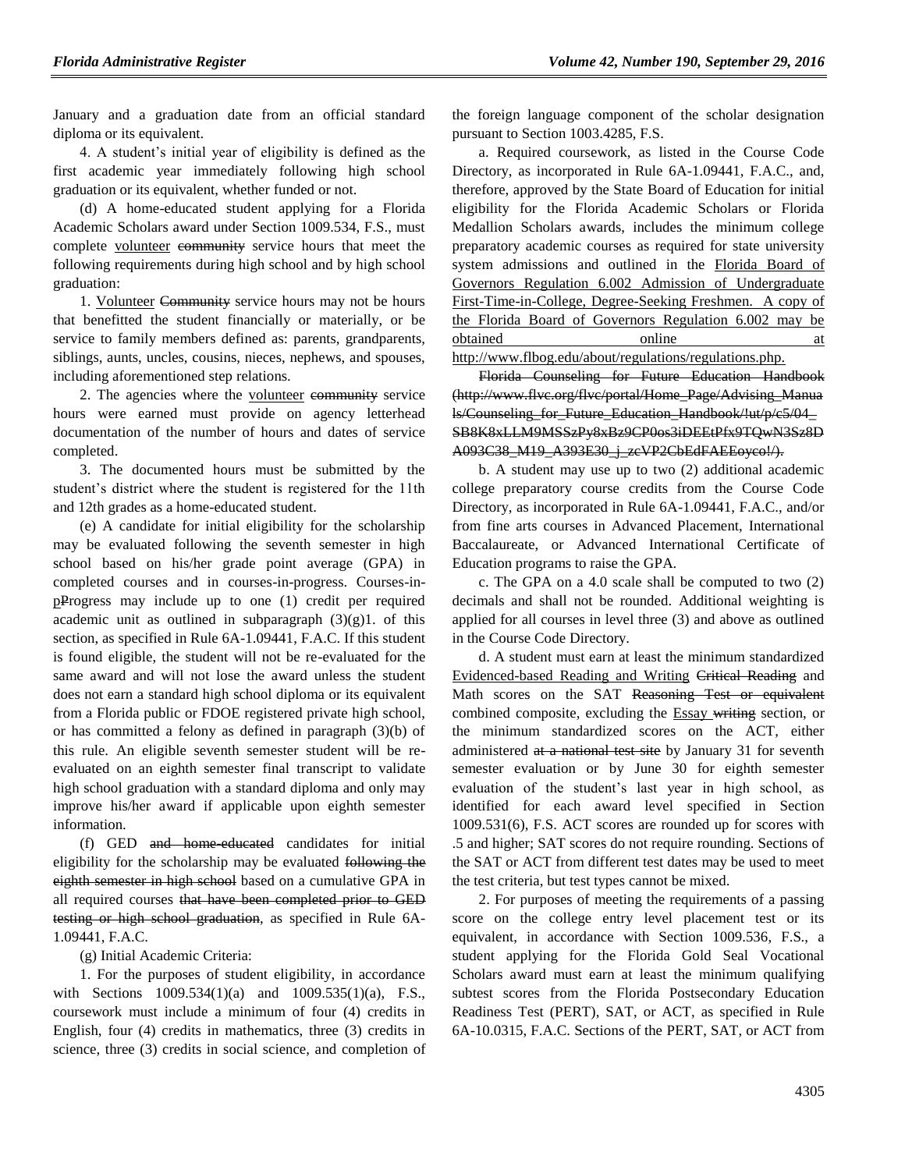January and a graduation date from an official standard diploma or its equivalent.

4. A student's initial year of eligibility is defined as the first academic year immediately following high school graduation or its equivalent, whether funded or not.

(d) A home-educated student applying for a Florida Academic Scholars award under Section 1009.534, F.S., must complete volunteer community service hours that meet the following requirements during high school and by high school graduation:

1. Volunteer Community service hours may not be hours that benefitted the student financially or materially, or be service to family members defined as: parents, grandparents, siblings, aunts, uncles, cousins, nieces, nephews, and spouses, including aforementioned step relations.

2. The agencies where the volunteer community service hours were earned must provide on agency letterhead documentation of the number of hours and dates of service completed.

3. The documented hours must be submitted by the student's district where the student is registered for the 11th and 12th grades as a home-educated student.

(e) A candidate for initial eligibility for the scholarship may be evaluated following the seventh semester in high school based on his/her grade point average (GPA) in completed courses and in courses-in-progress. Courses-inpProgress may include up to one (1) credit per required academic unit as outlined in subparagraph  $(3)(g)1$ . of this section, as specified in Rule 6A-1.09441, F.A.C. If this student is found eligible, the student will not be re-evaluated for the same award and will not lose the award unless the student does not earn a standard high school diploma or its equivalent from a Florida public or FDOE registered private high school, or has committed a felony as defined in paragraph (3)(b) of this rule. An eligible seventh semester student will be reevaluated on an eighth semester final transcript to validate high school graduation with a standard diploma and only may improve his/her award if applicable upon eighth semester information.

(f) GED and home-educated candidates for initial eligibility for the scholarship may be evaluated following the eighth semester in high school based on a cumulative GPA in all required courses that have been completed prior to GED testing or high school graduation, as specified in Rule 6A-1.09441, F.A.C.

(g) Initial Academic Criteria:

1. For the purposes of student eligibility, in accordance with Sections 1009.534(1)(a) and 1009.535(1)(a), F.S., coursework must include a minimum of four (4) credits in English, four (4) credits in mathematics, three (3) credits in science, three (3) credits in social science, and completion of the foreign language component of the scholar designation pursuant to Section 1003.4285, F.S.

a. Required coursework, as listed in the Course Code Directory, as incorporated in Rule 6A-1.09441, F.A.C., and, therefore, approved by the State Board of Education for initial eligibility for the Florida Academic Scholars or Florida Medallion Scholars awards, includes the minimum college preparatory academic courses as required for state university system admissions and outlined in the Florida Board of Governors Regulation 6.002 Admission of Undergraduate First-Time-in-College, Degree-Seeking Freshmen. A copy of the Florida Board of Governors Regulation 6.002 may be obtained online at

http://www.flbog.edu/about/regulations/regulations.php.

Florida Counseling for Future Education Handbook (http://www.flvc.org/flvc/portal/Home\_Page/Advising\_Manua ls/Counseling\_for\_Future\_Education\_Handbook/!ut/p/c5/04\_ SB8K8xLLM9MSSzPy8xBz9CP0os3iDEEtPfx9TQwN3Sz8D A093C38\_M19\_A393E30\_j\_zcVP2CbEdFAEEoyco!/).

b. A student may use up to two (2) additional academic college preparatory course credits from the Course Code Directory, as incorporated in Rule 6A-1.09441, F.A.C., and/or from fine arts courses in Advanced Placement, International Baccalaureate, or Advanced International Certificate of Education programs to raise the GPA.

c. The GPA on a 4.0 scale shall be computed to two (2) decimals and shall not be rounded. Additional weighting is applied for all courses in level three (3) and above as outlined in the Course Code Directory.

d. A student must earn at least the minimum standardized Evidenced-based Reading and Writing Critical Reading and Math scores on the SAT Reasoning Test or equivalent combined composite, excluding the Essay writing section, or the minimum standardized scores on the ACT, either administered at a national test site by January 31 for seventh semester evaluation or by June 30 for eighth semester evaluation of the student's last year in high school, as identified for each award level specified in Section 1009.531(6), F.S. ACT scores are rounded up for scores with .5 and higher; SAT scores do not require rounding. Sections of the SAT or ACT from different test dates may be used to meet the test criteria, but test types cannot be mixed.

2. For purposes of meeting the requirements of a passing score on the college entry level placement test or its equivalent, in accordance with Section 1009.536, F.S., a student applying for the Florida Gold Seal Vocational Scholars award must earn at least the minimum qualifying subtest scores from the Florida Postsecondary Education Readiness Test (PERT), SAT, or ACT, as specified in Rule 6A-10.0315, F.A.C. Sections of the PERT, SAT, or ACT from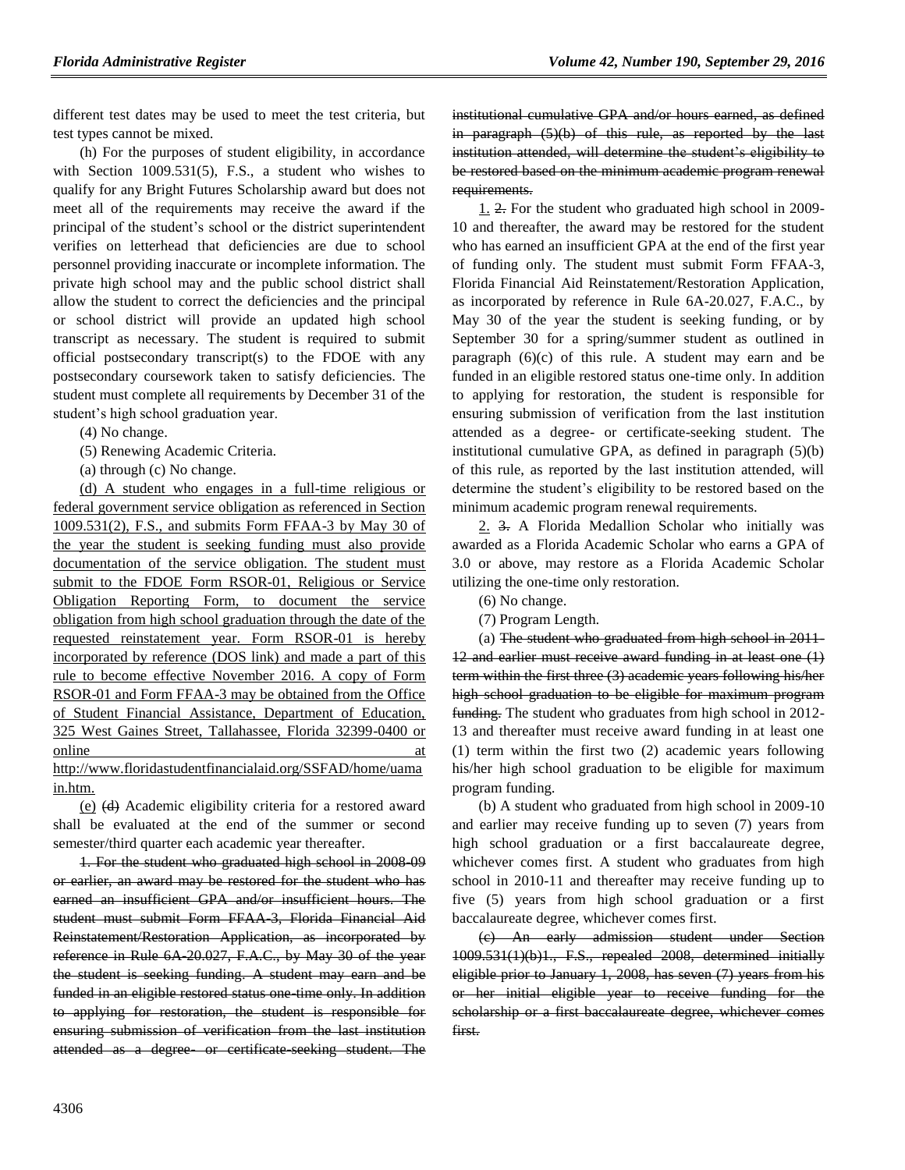different test dates may be used to meet the test criteria, but test types cannot be mixed.

(h) For the purposes of student eligibility, in accordance with Section 1009.531(5), F.S., a student who wishes to qualify for any Bright Futures Scholarship award but does not meet all of the requirements may receive the award if the principal of the student's school or the district superintendent verifies on letterhead that deficiencies are due to school personnel providing inaccurate or incomplete information. The private high school may and the public school district shall allow the student to correct the deficiencies and the principal or school district will provide an updated high school transcript as necessary. The student is required to submit official postsecondary transcript(s) to the FDOE with any postsecondary coursework taken to satisfy deficiencies. The student must complete all requirements by December 31 of the student's high school graduation year.

(4) No change.

(5) Renewing Academic Criteria.

(a) through (c) No change.

(d) A student who engages in a full-time religious or federal government service obligation as referenced in Section 1009.531(2), F.S., and submits Form FFAA-3 by May 30 of the year the student is seeking funding must also provide documentation of the service obligation. The student must submit to the FDOE Form RSOR-01, Religious or Service Obligation Reporting Form, to document the service obligation from high school graduation through the date of the requested reinstatement year. Form RSOR-01 is hereby incorporated by reference (DOS link) and made a part of this rule to become effective November 2016. A copy of Form RSOR-01 and Form FFAA-3 may be obtained from the Office of Student Financial Assistance, Department of Education, 325 West Gaines Street, Tallahassee, Florida 32399-0400 or online at a structure of the structure at a structure at a structure of the structure at a structure at a structure of the structure at a structure of the structure at a structure of the structure of the structure of the s http://www.floridastudentfinancialaid.org/SSFAD/home/uama in.htm.

(e) (d) Academic eligibility criteria for a restored award shall be evaluated at the end of the summer or second semester/third quarter each academic year thereafter.

1. For the student who graduated high school in 2008-09 or earlier, an award may be restored for the student who has earned an insufficient GPA and/or insufficient hours. The student must submit Form FFAA 3, Florida Financial Aid Reinstatement/Restoration Application, as incorporated by reference in Rule 6A-20.027, F.A.C., by May 30 of the year the student is seeking funding. A student may earn and be funded in an eligible restored status one-time only. In addition to applying for restoration, the student is responsible for ensuring submission of verification from the last institution attended as a degree or certificate seeking student. The institutional cumulative GPA and/or hours earned, as defined in paragraph (5)(b) of this rule, as reported by the last institution attended, will determine the student's eligibility to be restored based on the minimum academic program renewal requirements.

1. 2. For the student who graduated high school in 2009- 10 and thereafter, the award may be restored for the student who has earned an insufficient GPA at the end of the first year of funding only. The student must submit Form FFAA-3, Florida Financial Aid Reinstatement/Restoration Application, as incorporated by reference in Rule 6A-20.027, F.A.C., by May 30 of the year the student is seeking funding, or by September 30 for a spring/summer student as outlined in paragraph (6)(c) of this rule. A student may earn and be funded in an eligible restored status one-time only. In addition to applying for restoration, the student is responsible for ensuring submission of verification from the last institution attended as a degree- or certificate-seeking student. The institutional cumulative GPA, as defined in paragraph (5)(b) of this rule, as reported by the last institution attended, will determine the student's eligibility to be restored based on the minimum academic program renewal requirements.

2. 3. A Florida Medallion Scholar who initially was awarded as a Florida Academic Scholar who earns a GPA of 3.0 or above, may restore as a Florida Academic Scholar utilizing the one-time only restoration.

(6) No change.

(7) Program Length.

(a) The student who graduated from high school in 2011- 12 and earlier must receive award funding in at least one (1) term within the first three (3) academic years following his/her high school graduation to be eligible for maximum program funding. The student who graduates from high school in 2012-13 and thereafter must receive award funding in at least one (1) term within the first two (2) academic years following his/her high school graduation to be eligible for maximum program funding.

(b) A student who graduated from high school in 2009-10 and earlier may receive funding up to seven (7) years from high school graduation or a first baccalaureate degree, whichever comes first. A student who graduates from high school in 2010-11 and thereafter may receive funding up to five (5) years from high school graduation or a first baccalaureate degree, whichever comes first.

(c) An early admission student under Section 1009.531(1)(b)1., F.S., repealed 2008, determined initially eligible prior to January 1, 2008, has seven (7) years from his or her initial eligible year to receive funding for the scholarship or a first baccalaureate degree, whichever comes first.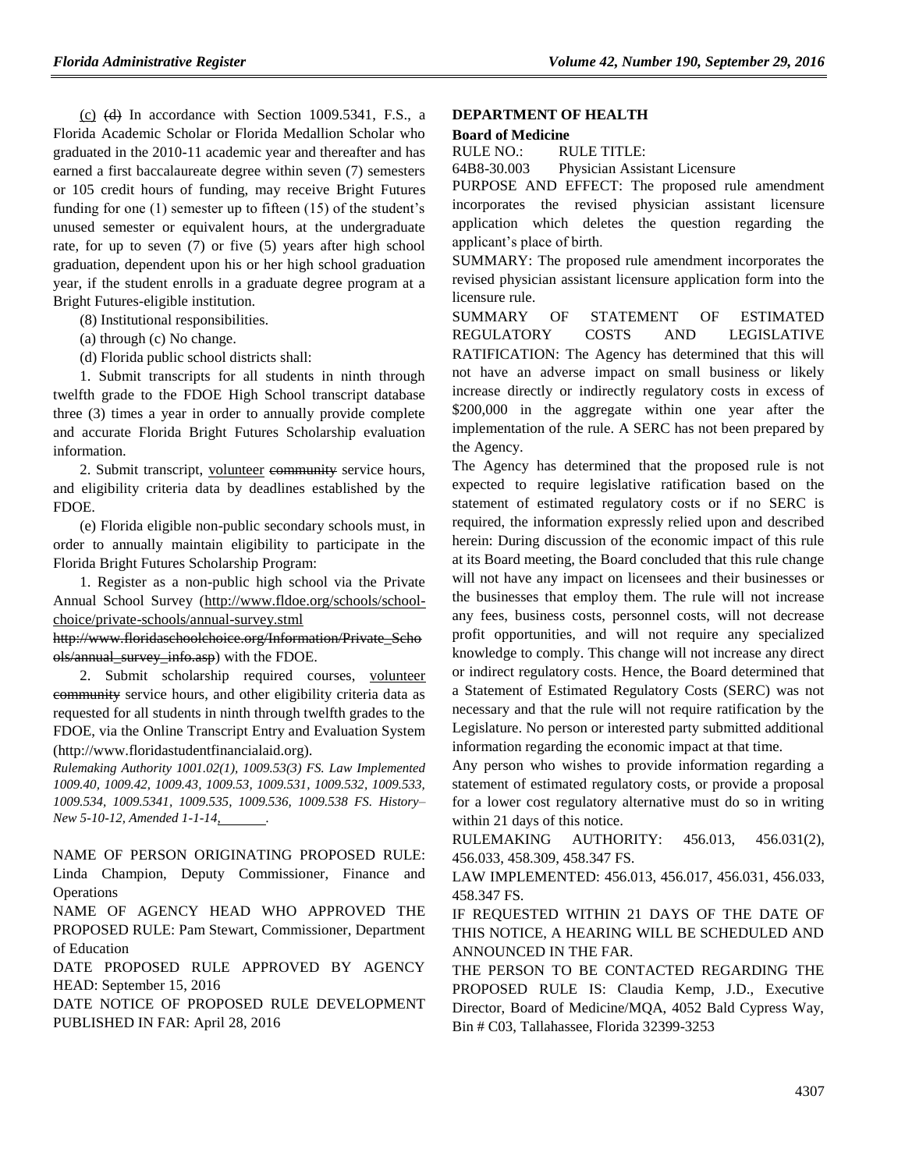$(c)$  (d) In accordance with Section 1009.5341, F.S., a Florida Academic Scholar or Florida Medallion Scholar who graduated in the 2010-11 academic year and thereafter and has earned a first baccalaureate degree within seven (7) semesters or 105 credit hours of funding, may receive Bright Futures funding for one (1) semester up to fifteen (15) of the student's unused semester or equivalent hours, at the undergraduate rate, for up to seven (7) or five (5) years after high school graduation, dependent upon his or her high school graduation year, if the student enrolls in a graduate degree program at a Bright Futures-eligible institution.

(8) Institutional responsibilities.

(a) through (c) No change.

(d) Florida public school districts shall:

1. Submit transcripts for all students in ninth through twelfth grade to the FDOE High School transcript database three (3) times a year in order to annually provide complete and accurate Florida Bright Futures Scholarship evaluation information.

2. Submit transcript, volunteer community service hours, and eligibility criteria data by deadlines established by the FDOE.

(e) Florida eligible non-public secondary schools must, in order to annually maintain eligibility to participate in the Florida Bright Futures Scholarship Program:

1. Register as a non-public high school via the Private Annual School Survey (http://www.fldoe.org/schools/schoolchoice/private-schools/annual-survey.stml

http://www.floridaschoolchoice.org/Information/Private\_Scho ols/annual\_survey\_info.asp) with the FDOE.

2. Submit scholarship required courses, volunteer community service hours, and other eligibility criteria data as requested for all students in ninth through twelfth grades to the FDOE, via the Online Transcript Entry and Evaluation System (http://www.floridastudentfinancialaid.org).

*Rulemaking Authority 1001.02(1), 1009.53(3) FS. Law Implemented 1009.40, 1009.42, 1009.43, 1009.53, 1009.531, 1009.532, 1009.533, 1009.534, 1009.5341, 1009.535, 1009.536, 1009.538 FS. History– New 5-10-12, Amended 1-1-14, .*

NAME OF PERSON ORIGINATING PROPOSED RULE: Linda Champion, Deputy Commissioner, Finance and **Operations** 

NAME OF AGENCY HEAD WHO APPROVED THE PROPOSED RULE: Pam Stewart, Commissioner, Department of Education

DATE PROPOSED RULE APPROVED BY AGENCY HEAD: September 15, 2016

DATE NOTICE OF PROPOSED RULE DEVELOPMENT PUBLISHED IN FAR: April 28, 2016

#### **[DEPARTMENT OF HEALTH](https://www.flrules.org/gateway/department.asp?id=64)**

#### **Board of [Medicine](https://www.flrules.org/gateway/organization.asp?id=331)**

RULE NO.: RULE TITLE:

[64B8-30.003](https://www.flrules.org/gateway/ruleNo.asp?id=64B8-30.003) Physician Assistant Licensure

PURPOSE AND EFFECT: The proposed rule amendment incorporates the revised physician assistant licensure application which deletes the question regarding the applicant's place of birth.

SUMMARY: The proposed rule amendment incorporates the revised physician assistant licensure application form into the licensure rule.

SUMMARY OF STATEMENT OF ESTIMATED REGULATORY COSTS AND LEGISLATIVE RATIFICATION: The Agency has determined that this will not have an adverse impact on small business or likely increase directly or indirectly regulatory costs in excess of \$200,000 in the aggregate within one year after the implementation of the rule. A SERC has not been prepared by the Agency.

The Agency has determined that the proposed rule is not expected to require legislative ratification based on the statement of estimated regulatory costs or if no SERC is required, the information expressly relied upon and described herein: During discussion of the economic impact of this rule at its Board meeting, the Board concluded that this rule change will not have any impact on licensees and their businesses or the businesses that employ them. The rule will not increase any fees, business costs, personnel costs, will not decrease profit opportunities, and will not require any specialized knowledge to comply. This change will not increase any direct or indirect regulatory costs. Hence, the Board determined that a Statement of Estimated Regulatory Costs (SERC) was not necessary and that the rule will not require ratification by the Legislature. No person or interested party submitted additional information regarding the economic impact at that time.

Any person who wishes to provide information regarding a statement of estimated regulatory costs, or provide a proposal for a lower cost regulatory alternative must do so in writing within 21 days of this notice.

RULEMAKING AUTHORITY: [456.013,](https://www.flrules.org/gateway/statute.asp?id=456.013) [456.031\(2\),](https://www.flrules.org/gateway/statute.asp?id=%20456.031(2)) [456.033,](https://www.flrules.org/gateway/statute.asp?id=%20456.033) [458.309,](https://www.flrules.org/gateway/statute.asp?id=%20458.309) [458.347 FS.](https://www.flrules.org/gateway/statute.asp?id=%20458.347%20FS.)

LAW IMPLEMENTED: [456.013,](https://www.flrules.org/gateway/statute.asp?id=456.013) [456.017,](https://www.flrules.org/gateway/statute.asp?id=%20456.017) [456.031,](https://www.flrules.org/gateway/statute.asp?id=%20456.031) [456.033,](https://www.flrules.org/gateway/statute.asp?id=%20456.033) [458.347 FS.](https://www.flrules.org/gateway/statute.asp?id=%20458.347%20FS.)

IF REQUESTED WITHIN 21 DAYS OF THE DATE OF THIS NOTICE, A HEARING WILL BE SCHEDULED AND ANNOUNCED IN THE FAR.

THE PERSON TO BE CONTACTED REGARDING THE PROPOSED RULE IS: Claudia Kemp, J.D., Executive Director, Board of Medicine/MQA, 4052 Bald Cypress Way, Bin # C03, Tallahassee, Florida 32399-3253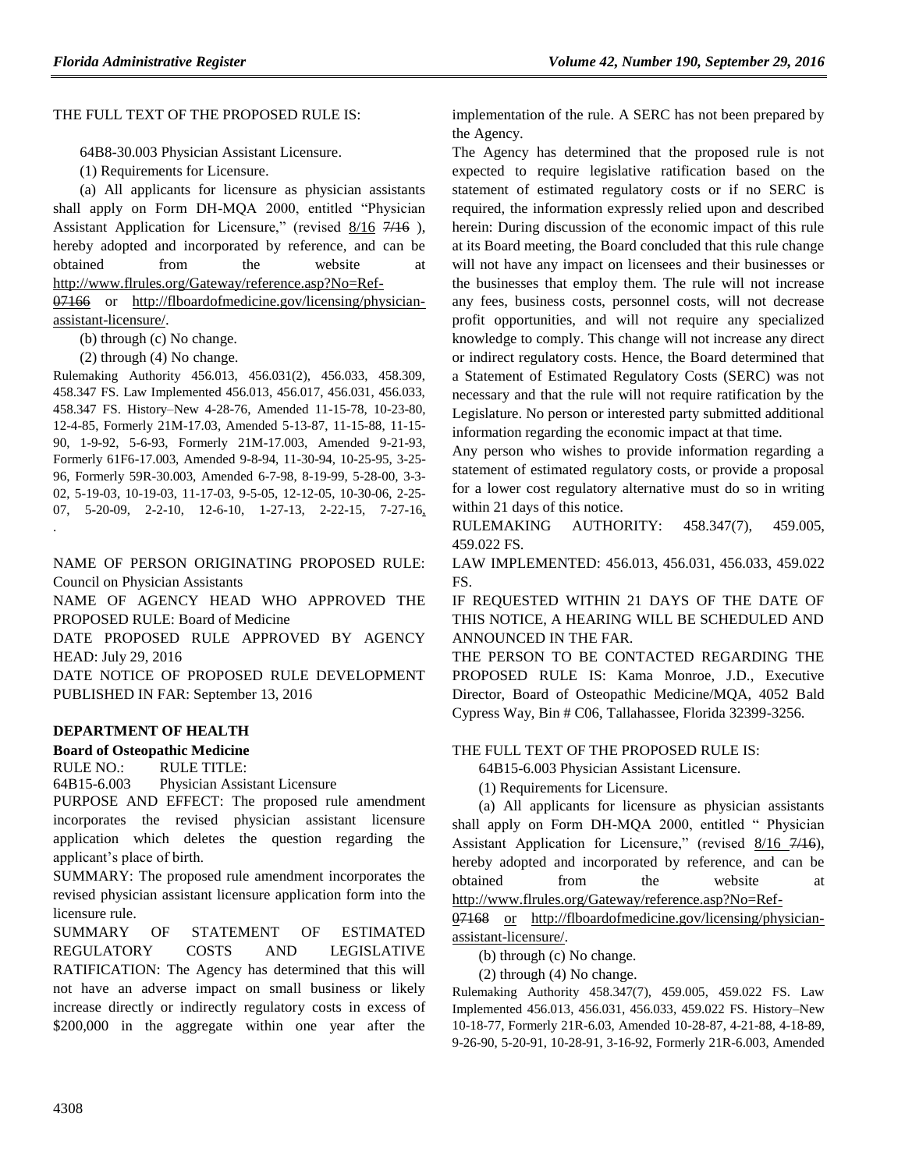#### THE FULL TEXT OF THE PROPOSED RULE IS:

64B8-30.003 Physician Assistant Licensure.

(1) Requirements for Licensure.

(a) All applicants for licensure as physician assistants shall apply on Form DH-MQA 2000, entitled "Physician Assistant Application for Licensure," (revised 8/16 7/16), hereby adopted and incorporated by reference, and can be obtained from the website at [http://www.flrules.org/Gateway/reference.asp?No=Ref-](http://www.flrules.org/Gateway/reference.asp?No=Ref-%20%20%20%20%20%20%20%20%20%20%20%20%200)[07](http://www.flrules.org/Gateway/reference.asp?No=Ref-%20%20%20%20%20%20%20%20%20%20%20%20%200)166 or [http://flboardofmedicine.gov/licensing/physician-](http://flboardofmedicine.gov/licensing/physician-assistant-licensure/)

[assistant-licensure/.](http://flboardofmedicine.gov/licensing/physician-assistant-licensure/)

.

(b) through (c) No change.

(2) through (4) No change.

Rulemaking Authority 456.013, 456.031(2), 456.033, 458.309, 458.347 FS. Law Implemented 456.013, 456.017, 456.031, 456.033, 458.347 FS. History–New 4-28-76, Amended 11-15-78, 10-23-80, 12-4-85, Formerly 21M-17.03, Amended 5-13-87, 11-15-88, 11-15- 90, 1-9-92, 5-6-93, Formerly 21M-17.003, Amended 9-21-93, Formerly 61F6-17.003, Amended 9-8-94, 11-30-94, 10-25-95, 3-25- 96, Formerly 59R-30.003, Amended 6-7-98, 8-19-99, 5-28-00, 3-3- 02, 5-19-03, 10-19-03, 11-17-03, 9-5-05, 12-12-05, 10-30-06, 2-25- 07, 5-20-09, 2-2-10, 12-6-10, 1-27-13, 2-22-15, 7-27-16,

NAME OF PERSON ORIGINATING PROPOSED RULE: Council on Physician Assistants

NAME OF AGENCY HEAD WHO APPROVED THE PROPOSED RULE: Board of Medicine

DATE PROPOSED RULE APPROVED BY AGENCY HEAD: July 29, 2016

DATE NOTICE OF PROPOSED RULE DEVELOPMENT PUBLISHED IN FAR: September 13, 2016

#### **[DEPARTMENT OF HEALTH](https://www.flrules.org/gateway/department.asp?id=64)**

**[Board of Osteopathic Medicine](https://www.flrules.org/gateway/organization.asp?id=306)**

RULE NO.: RULE TITLE:

[64B15-6.003](https://www.flrules.org/gateway/ruleNo.asp?id=64B15-6.003) Physician Assistant Licensure

PURPOSE AND EFFECT: The proposed rule amendment incorporates the revised physician assistant licensure application which deletes the question regarding the applicant's place of birth.

SUMMARY: The proposed rule amendment incorporates the revised physician assistant licensure application form into the licensure rule.

SUMMARY OF STATEMENT OF ESTIMATED REGULATORY COSTS AND LEGISLATIVE RATIFICATION: The Agency has determined that this will not have an adverse impact on small business or likely increase directly or indirectly regulatory costs in excess of \$200,000 in the aggregate within one year after the

implementation of the rule. A SERC has not been prepared by the Agency.

The Agency has determined that the proposed rule is not expected to require legislative ratification based on the statement of estimated regulatory costs or if no SERC is required, the information expressly relied upon and described herein: During discussion of the economic impact of this rule at its Board meeting, the Board concluded that this rule change will not have any impact on licensees and their businesses or the businesses that employ them. The rule will not increase any fees, business costs, personnel costs, will not decrease profit opportunities, and will not require any specialized knowledge to comply. This change will not increase any direct or indirect regulatory costs. Hence, the Board determined that a Statement of Estimated Regulatory Costs (SERC) was not necessary and that the rule will not require ratification by the Legislature. No person or interested party submitted additional information regarding the economic impact at that time.

Any person who wishes to provide information regarding a statement of estimated regulatory costs, or provide a proposal for a lower cost regulatory alternative must do so in writing within 21 days of this notice.

RULEMAKING AUTHORITY: [458.347\(7\),](https://www.flrules.org/gateway/statute.asp?id=458.347(7)) [459.005,](https://www.flrules.org/gateway/statute.asp?id=%20459.005) [459.022 FS.](https://www.flrules.org/gateway/statute.asp?id=%20459.022%20FS.)

LAW IMPLEMENTED: [456.013,](https://www.flrules.org/gateway/statute.asp?id=456.013) [456.031,](https://www.flrules.org/gateway/statute.asp?id=%20456.031) [456.033,](https://www.flrules.org/gateway/statute.asp?id=%20456.033) [459.022](https://www.flrules.org/gateway/statute.asp?id=%20459.022%20FS.)  [FS.](https://www.flrules.org/gateway/statute.asp?id=%20459.022%20FS.)

IF REQUESTED WITHIN 21 DAYS OF THE DATE OF THIS NOTICE, A HEARING WILL BE SCHEDULED AND ANNOUNCED IN THE FAR.

THE PERSON TO BE CONTACTED REGARDING THE PROPOSED RULE IS: Kama Monroe, J.D., Executive Director, Board of Osteopathic Medicine/MQA, 4052 Bald Cypress Way, Bin # C06, Tallahassee, Florida 32399-3256.

THE FULL TEXT OF THE PROPOSED RULE IS:

64B15-6.003 Physician Assistant Licensure.

(1) Requirements for Licensure.

(a) All applicants for licensure as physician assistants shall apply on Form DH-MQA 2000, entitled " Physician Assistant Application for Licensure," (revised 8/16 7/16), hereby adopted and incorporated by reference, and can be obtained from the website at [http://www.flrules.org/Gateway/reference.asp?No=Ref-](http://www.flrules.org/Gateway/reference.asp?No=Ref-%20%20%20%20%20%20%20%20%20%200)[07](http://www.flrules.org/Gateway/reference.asp?No=Ref-%20%20%20%20%20%20%20%20%20%200)168 [or](file://oagnt53/USERDATA/Users/ADMIN/NANCY/Word/PA/or) [http://flboardofmedicine.gov/licensing/physician-](http://flboardofmedicine.gov/licensing/physician-assistant-licensure/)

[assistant-licensure/.](http://flboardofmedicine.gov/licensing/physician-assistant-licensure/)

(b) through (c) No change.

(2) through (4) No change.

Rulemaking Authority 458.347(7), 459.005, 459.022 FS. Law Implemented 456.013, 456.031, 456.033, 459.022 FS. History–New 10-18-77, Formerly 21R-6.03, Amended 10-28-87, 4-21-88, 4-18-89, 9-26-90, 5-20-91, 10-28-91, 3-16-92, Formerly 21R-6.003, Amended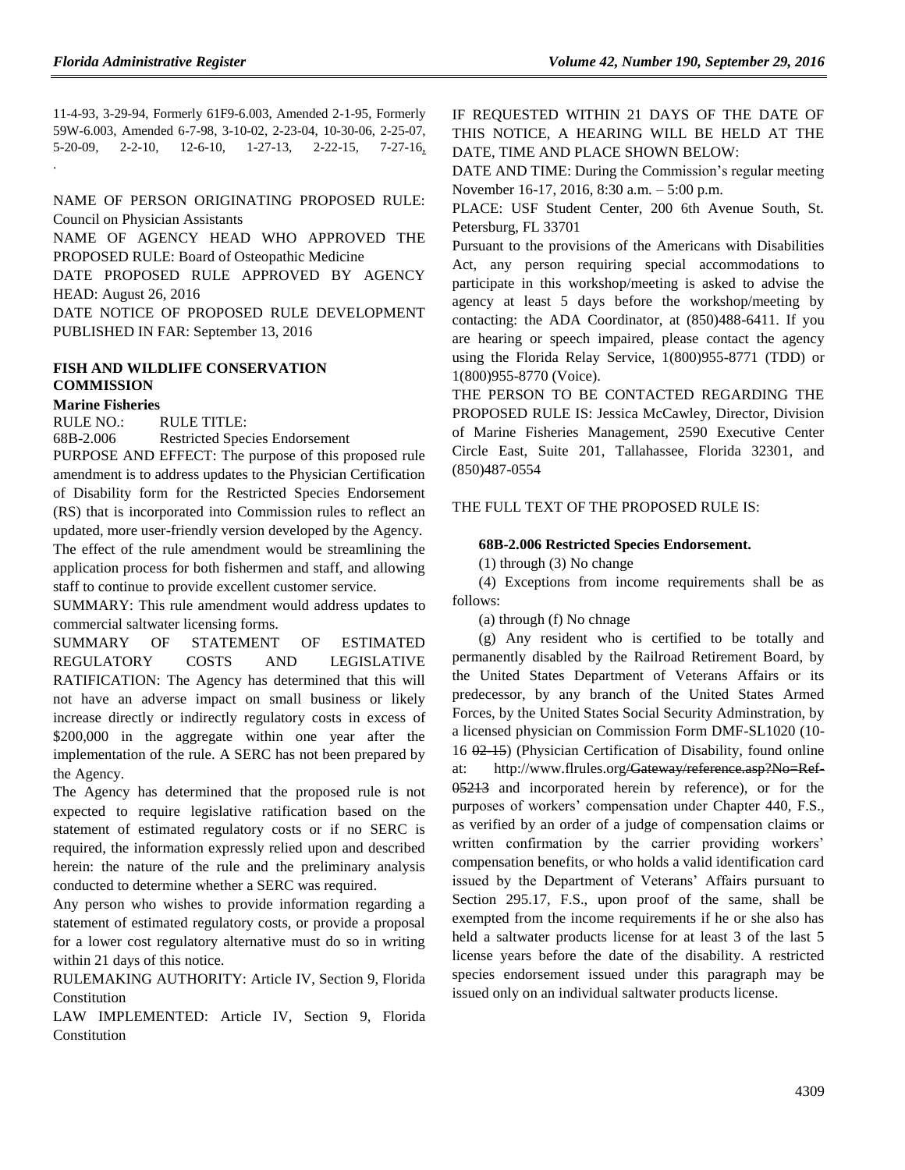11-4-93, 3-29-94, Formerly 61F9-6.003, Amended 2-1-95, Formerly 59W-6.003, Amended 6-7-98, 3-10-02, 2-23-04, 10-30-06, 2-25-07, 5-20-09, 2-2-10, 12-6-10, 1-27-13, 2-22-15, 7-27-16, .

NAME OF PERSON ORIGINATING PROPOSED RULE: Council on Physician Assistants

NAME OF AGENCY HEAD WHO APPROVED THE PROPOSED RULE: Board of Osteopathic Medicine

DATE PROPOSED RULE APPROVED BY AGENCY HEAD: August 26, 2016

DATE NOTICE OF PROPOSED RULE DEVELOPMENT PUBLISHED IN FAR: September 13, 2016

## **[FISH AND WILDLIFE CONSERVATION](https://www.flrules.org/gateway/department.asp?id=68)  [COMMISSION](https://www.flrules.org/gateway/department.asp?id=68)**

#### **[Marine Fisheries](https://www.flrules.org/gateway/organization.asp?id=348)**

RULE NO.: RULE TITLE:

[68B-2.006](https://www.flrules.org/gateway/ruleNo.asp?id=68B-2.006) Restricted Species Endorsement

PURPOSE AND EFFECT: The purpose of this proposed rule amendment is to address updates to the Physician Certification of Disability form for the Restricted Species Endorsement (RS) that is incorporated into Commission rules to reflect an updated, more user-friendly version developed by the Agency. The effect of the rule amendment would be streamlining the application process for both fishermen and staff, and allowing staff to continue to provide excellent customer service.

SUMMARY: This rule amendment would address updates to commercial saltwater licensing forms.

SUMMARY OF STATEMENT OF ESTIMATED REGULATORY COSTS AND LEGISLATIVE RATIFICATION: The Agency has determined that this will not have an adverse impact on small business or likely increase directly or indirectly regulatory costs in excess of \$200,000 in the aggregate within one year after the implementation of the rule. A SERC has not been prepared by the Agency.

The Agency has determined that the proposed rule is not expected to require legislative ratification based on the statement of estimated regulatory costs or if no SERC is required, the information expressly relied upon and described herein: the nature of the rule and the preliminary analysis conducted to determine whether a SERC was required.

Any person who wishes to provide information regarding a statement of estimated regulatory costs, or provide a proposal for a lower cost regulatory alternative must do so in writing within 21 days of this notice.

RULEMAKING AUTHORITY: [Article IV, Section 9, Florida](https://www.flrules.org/gateway/flconstitution.asp?id=Article%20IV,%20Section%209,%20Florida%20Constitution)  [Constitution](https://www.flrules.org/gateway/flconstitution.asp?id=Article%20IV,%20Section%209,%20Florida%20Constitution)

LAW IMPLEMENTED: [Article IV, Section 9, Florida](https://www.flrules.org/gateway/flconstitution.asp?id=Article%20IV,%20Section%209,%20Florida%20Constitution)  [Constitution](https://www.flrules.org/gateway/flconstitution.asp?id=Article%20IV,%20Section%209,%20Florida%20Constitution)

IF REQUESTED WITHIN 21 DAYS OF THE DATE OF THIS NOTICE, A HEARING WILL BE HELD AT THE DATE, TIME AND PLACE SHOWN BELOW:

DATE AND TIME: During the Commission's regular meeting November 16-17, 2016, 8:30 a.m. – 5:00 p.m.

PLACE: USF Student Center, 200 6th Avenue South, St. Petersburg, FL 33701

Pursuant to the provisions of the Americans with Disabilities Act, any person requiring special accommodations to participate in this workshop/meeting is asked to advise the agency at least 5 days before the workshop/meeting by contacting: the ADA Coordinator, at (850)488-6411. If you are hearing or speech impaired, please contact the agency using the Florida Relay Service, 1(800)955-8771 (TDD) or 1(800)955-8770 (Voice).

THE PERSON TO BE CONTACTED REGARDING THE PROPOSED RULE IS: Jessica McCawley, Director, Division of Marine Fisheries Management, 2590 Executive Center Circle East, Suite 201, Tallahassee, Florida 32301, and (850)487-0554

#### THE FULL TEXT OF THE PROPOSED RULE IS:

#### **68B-2.006 Restricted Species Endorsement.**

(1) through (3) No change

(4) Exceptions from income requirements shall be as follows:

(a) through (f) No chnage

(g) Any resident who is certified to be totally and permanently disabled by the Railroad Retirement Board, by the United States Department of Veterans Affairs or its predecessor, by any branch of the United States Armed Forces, by the United States Social Security Adminstration, by a licensed physician on Commission Form DMF-SL1020 (10- 16 02-15) (Physician Certification of Disability, found online at: http://www.flrules.org/Gateway/reference.asp?No=Ref-05213 and incorporated herein by reference), or for the purposes of workers' compensation under Chapter 440, F.S., as verified by an order of a judge of compensation claims or written confirmation by the carrier providing workers' compensation benefits, or who holds a valid identification card issued by the Department of Veterans' Affairs pursuant to Section 295.17, F.S., upon proof of the same, shall be exempted from the income requirements if he or she also has held a saltwater products license for at least 3 of the last 5 license years before the date of the disability. A restricted species endorsement issued under this paragraph may be issued only on an individual saltwater products license.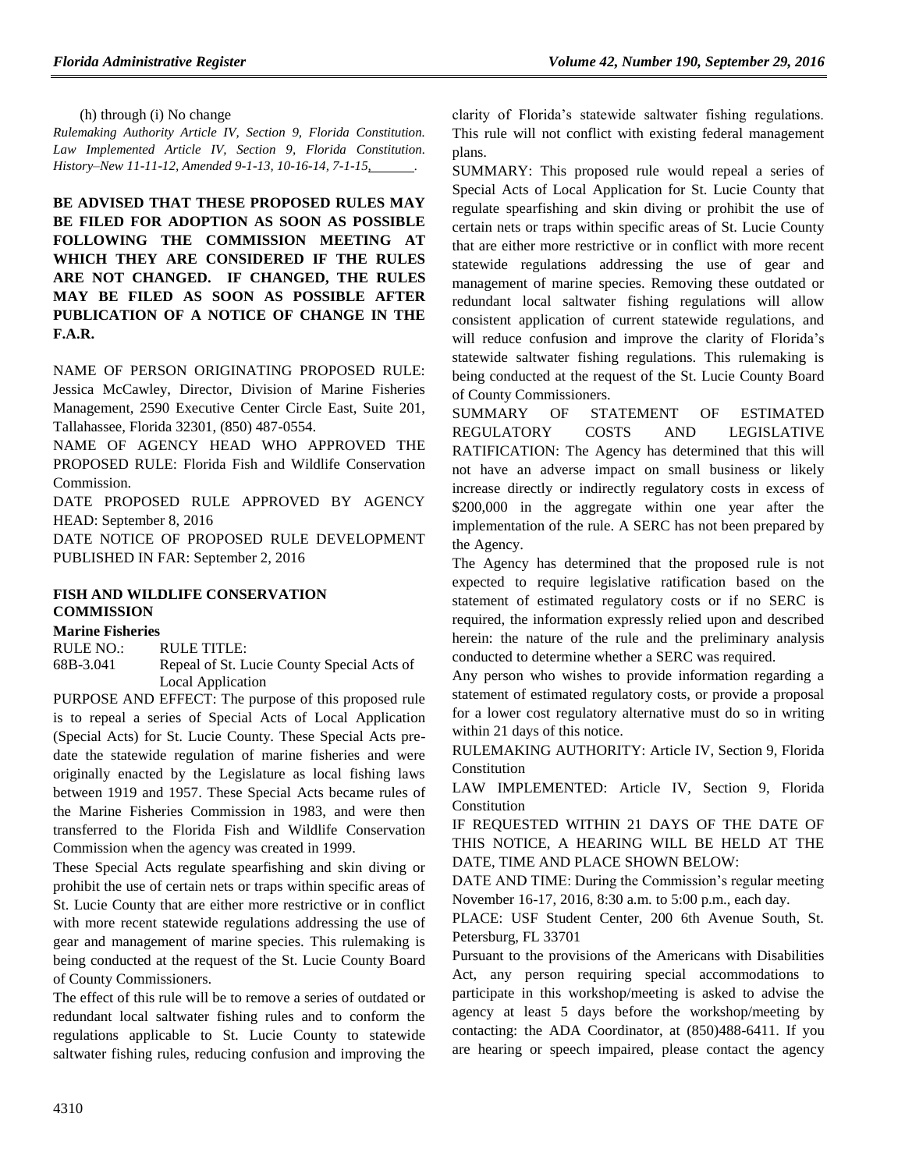(h) through (i) No change

*Rulemaking Authority Article IV, Section 9, Florida Constitution. Law Implemented Article IV, Section 9, Florida Constitution. History–New 11-11-12, Amended 9-1-13, 10-16-14, 7-1-15, .*

**BE ADVISED THAT THESE PROPOSED RULES MAY BE FILED FOR ADOPTION AS SOON AS POSSIBLE FOLLOWING THE COMMISSION MEETING AT WHICH THEY ARE CONSIDERED IF THE RULES ARE NOT CHANGED. IF CHANGED, THE RULES MAY BE FILED AS SOON AS POSSIBLE AFTER PUBLICATION OF A NOTICE OF CHANGE IN THE F.A.R.**

NAME OF PERSON ORIGINATING PROPOSED RULE: Jessica McCawley, Director, Division of Marine Fisheries Management, 2590 Executive Center Circle East, Suite 201, Tallahassee, Florida 32301, (850) 487-0554.

NAME OF AGENCY HEAD WHO APPROVED THE PROPOSED RULE: Florida Fish and Wildlife Conservation Commission.

DATE PROPOSED RULE APPROVED BY AGENCY HEAD: September 8, 2016

DATE NOTICE OF PROPOSED RULE DEVELOPMENT PUBLISHED IN FAR: September 2, 2016

## **[FISH AND WILDLIFE CONSERVATION](https://www.flrules.org/gateway/department.asp?id=68)  [COMMISSION](https://www.flrules.org/gateway/department.asp?id=68)**

#### **[Marine Fisheries](https://www.flrules.org/gateway/organization.asp?id=348)**

RULE NO.: RULE TITLE:

[68B-3.041](https://www.flrules.org/gateway/ruleNo.asp?id=68B-3.041) Repeal of St. Lucie County Special Acts of Local Application

PURPOSE AND EFFECT: The purpose of this proposed rule is to repeal a series of Special Acts of Local Application (Special Acts) for St. Lucie County. These Special Acts predate the statewide regulation of marine fisheries and were originally enacted by the Legislature as local fishing laws between 1919 and 1957. These Special Acts became rules of the Marine Fisheries Commission in 1983, and were then transferred to the Florida Fish and Wildlife Conservation Commission when the agency was created in 1999.

These Special Acts regulate spearfishing and skin diving or prohibit the use of certain nets or traps within specific areas of St. Lucie County that are either more restrictive or in conflict with more recent statewide regulations addressing the use of gear and management of marine species. This rulemaking is being conducted at the request of the St. Lucie County Board of County Commissioners.

The effect of this rule will be to remove a series of outdated or redundant local saltwater fishing rules and to conform the regulations applicable to St. Lucie County to statewide saltwater fishing rules, reducing confusion and improving the

clarity of Florida's statewide saltwater fishing regulations. This rule will not conflict with existing federal management plans.

SUMMARY: This proposed rule would repeal a series of Special Acts of Local Application for St. Lucie County that regulate spearfishing and skin diving or prohibit the use of certain nets or traps within specific areas of St. Lucie County that are either more restrictive or in conflict with more recent statewide regulations addressing the use of gear and management of marine species. Removing these outdated or redundant local saltwater fishing regulations will allow consistent application of current statewide regulations, and will reduce confusion and improve the clarity of Florida's statewide saltwater fishing regulations. This rulemaking is being conducted at the request of the St. Lucie County Board of County Commissioners.

SUMMARY OF STATEMENT OF ESTIMATED REGULATORY COSTS AND LEGISLATIVE RATIFICATION: The Agency has determined that this will not have an adverse impact on small business or likely increase directly or indirectly regulatory costs in excess of \$200,000 in the aggregate within one year after the implementation of the rule. A SERC has not been prepared by the Agency.

The Agency has determined that the proposed rule is not expected to require legislative ratification based on the statement of estimated regulatory costs or if no SERC is required, the information expressly relied upon and described herein: the nature of the rule and the preliminary analysis conducted to determine whether a SERC was required.

Any person who wishes to provide information regarding a statement of estimated regulatory costs, or provide a proposal for a lower cost regulatory alternative must do so in writing within 21 days of this notice.

RULEMAKING AUTHORITY: [Article IV, Section 9, Florida](https://www.flrules.org/gateway/flconstitution.asp?id=Article%20IV,%20Section%209,%20Florida%20Constitution)  [Constitution](https://www.flrules.org/gateway/flconstitution.asp?id=Article%20IV,%20Section%209,%20Florida%20Constitution)

LAW IMPLEMENTED: [Article IV, Section 9, Florida](https://www.flrules.org/gateway/flconstitution.asp?id=Article%20IV,%20Section%209,%20Florida%20Constitution)  [Constitution](https://www.flrules.org/gateway/flconstitution.asp?id=Article%20IV,%20Section%209,%20Florida%20Constitution)

IF REQUESTED WITHIN 21 DAYS OF THE DATE OF THIS NOTICE, A HEARING WILL BE HELD AT THE DATE, TIME AND PLACE SHOWN BELOW:

DATE AND TIME: During the Commission's regular meeting November 16-17, 2016, 8:30 a.m. to 5:00 p.m., each day.

PLACE: USF Student Center, 200 6th Avenue South, St. Petersburg, FL 33701

Pursuant to the provisions of the Americans with Disabilities Act, any person requiring special accommodations to participate in this workshop/meeting is asked to advise the agency at least 5 days before the workshop/meeting by contacting: the ADA Coordinator, at (850)488-6411. If you are hearing or speech impaired, please contact the agency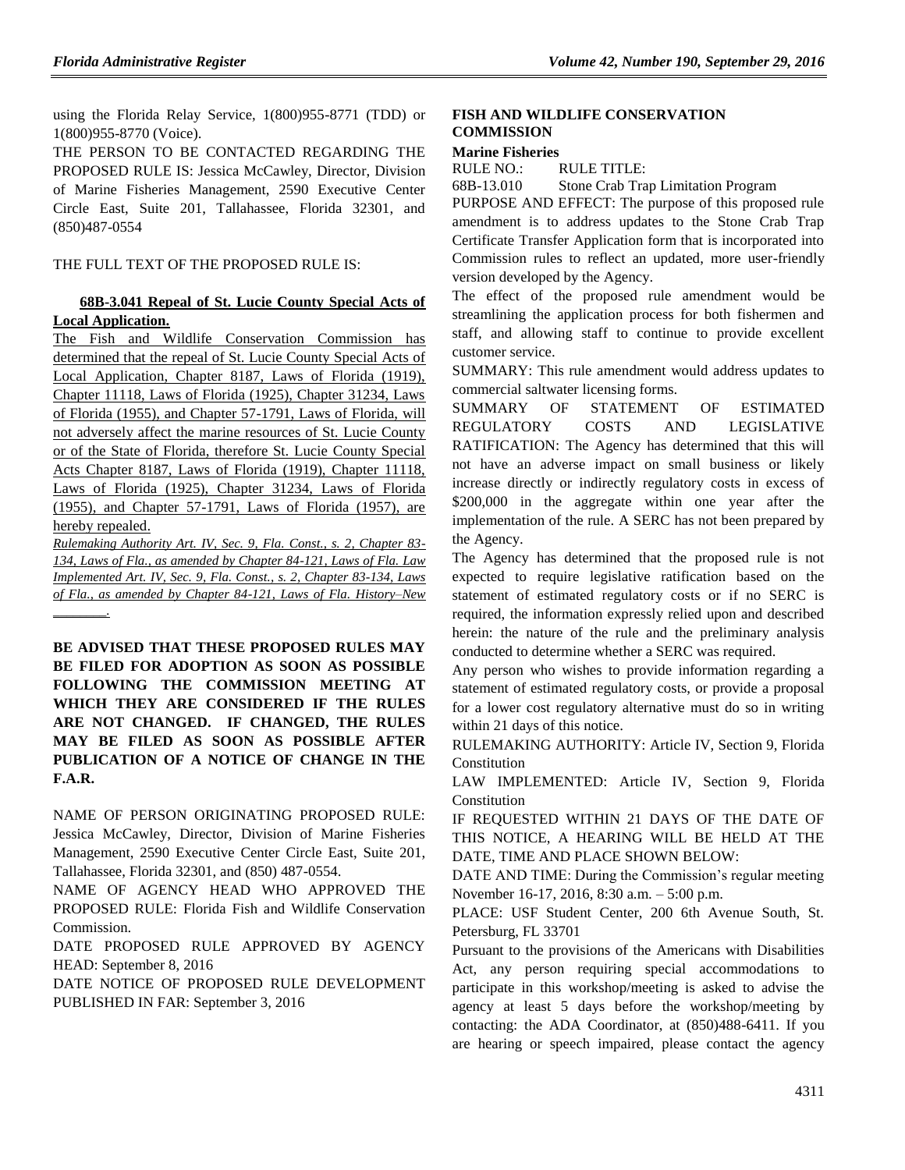using the Florida Relay Service, 1(800)955-8771 (TDD) or 1(800)955-8770 (Voice).

THE PERSON TO BE CONTACTED REGARDING THE PROPOSED RULE IS: Jessica McCawley, Director, Division of Marine Fisheries Management, 2590 Executive Center Circle East, Suite 201, Tallahassee, Florida 32301, and (850)487-0554

THE FULL TEXT OF THE PROPOSED RULE IS:

### **68B-3.041 Repeal of St. Lucie County Special Acts of Local Application.**

The Fish and Wildlife Conservation Commission has determined that the repeal of St. Lucie County Special Acts of Local Application, Chapter 8187, Laws of Florida (1919), Chapter 11118, Laws of Florida (1925), Chapter 31234, Laws of Florida (1955), and Chapter 57-1791, Laws of Florida, will not adversely affect the marine resources of St. Lucie County or of the State of Florida, therefore St. Lucie County Special Acts Chapter 8187, Laws of Florida (1919), Chapter 11118, Laws of Florida (1925), Chapter 31234, Laws of Florida (1955), and Chapter 57-1791, Laws of Florida (1957), are hereby repealed.

*Rulemaking Authority Art. IV, Sec. 9, Fla. Const., s. 2, Chapter 83- 134, Laws of Fla., as amended by Chapter 84-121, Laws of Fla. Law Implemented Art. IV, Sec. 9, Fla. Const., s. 2, Chapter 83-134, Laws of Fla., as amended by Chapter 84-121, Laws of Fla. History–New \_\_\_\_\_\_\_\_.*

**BE ADVISED THAT THESE PROPOSED RULES MAY BE FILED FOR ADOPTION AS SOON AS POSSIBLE FOLLOWING THE COMMISSION MEETING AT WHICH THEY ARE CONSIDERED IF THE RULES ARE NOT CHANGED. IF CHANGED, THE RULES MAY BE FILED AS SOON AS POSSIBLE AFTER PUBLICATION OF A NOTICE OF CHANGE IN THE F.A.R.**

NAME OF PERSON ORIGINATING PROPOSED RULE: Jessica McCawley, Director, Division of Marine Fisheries Management, 2590 Executive Center Circle East, Suite 201, Tallahassee, Florida 32301, and (850) 487-0554.

NAME OF AGENCY HEAD WHO APPROVED THE PROPOSED RULE: Florida Fish and Wildlife Conservation Commission.

DATE PROPOSED RULE APPROVED BY AGENCY HEAD: September 8, 2016

DATE NOTICE OF PROPOSED RULE DEVELOPMENT PUBLISHED IN FAR: September 3, 2016

#### **[FISH AND WILDLIFE CONSERVATION](https://www.flrules.org/gateway/department.asp?id=68)  [COMMISSION](https://www.flrules.org/gateway/department.asp?id=68)**

#### **[Marine Fisheries](https://www.flrules.org/gateway/organization.asp?id=348)**

RULE NO.: RULE TITLE:

[68B-13.010](https://www.flrules.org/gateway/ruleNo.asp?id=68B-13.010) Stone Crab Trap Limitation Program

PURPOSE AND EFFECT: The purpose of this proposed rule amendment is to address updates to the Stone Crab Trap Certificate Transfer Application form that is incorporated into Commission rules to reflect an updated, more user-friendly version developed by the Agency.

The effect of the proposed rule amendment would be streamlining the application process for both fishermen and staff, and allowing staff to continue to provide excellent customer service.

SUMMARY: This rule amendment would address updates to commercial saltwater licensing forms.

SUMMARY OF STATEMENT OF ESTIMATED REGULATORY COSTS AND LEGISLATIVE RATIFICATION: The Agency has determined that this will not have an adverse impact on small business or likely increase directly or indirectly regulatory costs in excess of \$200,000 in the aggregate within one year after the implementation of the rule. A SERC has not been prepared by the Agency.

The Agency has determined that the proposed rule is not expected to require legislative ratification based on the statement of estimated regulatory costs or if no SERC is required, the information expressly relied upon and described herein: the nature of the rule and the preliminary analysis conducted to determine whether a SERC was required.

Any person who wishes to provide information regarding a statement of estimated regulatory costs, or provide a proposal for a lower cost regulatory alternative must do so in writing within 21 days of this notice.

RULEMAKING AUTHORITY: [Article IV, Section 9, Florida](https://www.flrules.org/gateway/flconstitution.asp?id=Article%20IV,%20Section%209,%20Florida%20Constitution)  [Constitution](https://www.flrules.org/gateway/flconstitution.asp?id=Article%20IV,%20Section%209,%20Florida%20Constitution)

LAW IMPLEMENTED: [Article IV, Section 9, Florida](https://www.flrules.org/gateway/flconstitution.asp?id=Article%20IV,%20Section%209,%20Florida%20Constitution)  **[Constitution](https://www.flrules.org/gateway/flconstitution.asp?id=Article%20IV,%20Section%209,%20Florida%20Constitution)** 

IF REQUESTED WITHIN 21 DAYS OF THE DATE OF THIS NOTICE, A HEARING WILL BE HELD AT THE DATE, TIME AND PLACE SHOWN BELOW:

DATE AND TIME: During the Commission's regular meeting November 16-17, 2016, 8:30 a.m. – 5:00 p.m.

PLACE: USF Student Center, 200 6th Avenue South, St. Petersburg, FL 33701

Pursuant to the provisions of the Americans with Disabilities Act, any person requiring special accommodations to participate in this workshop/meeting is asked to advise the agency at least 5 days before the workshop/meeting by contacting: the ADA Coordinator, at (850)488-6411. If you are hearing or speech impaired, please contact the agency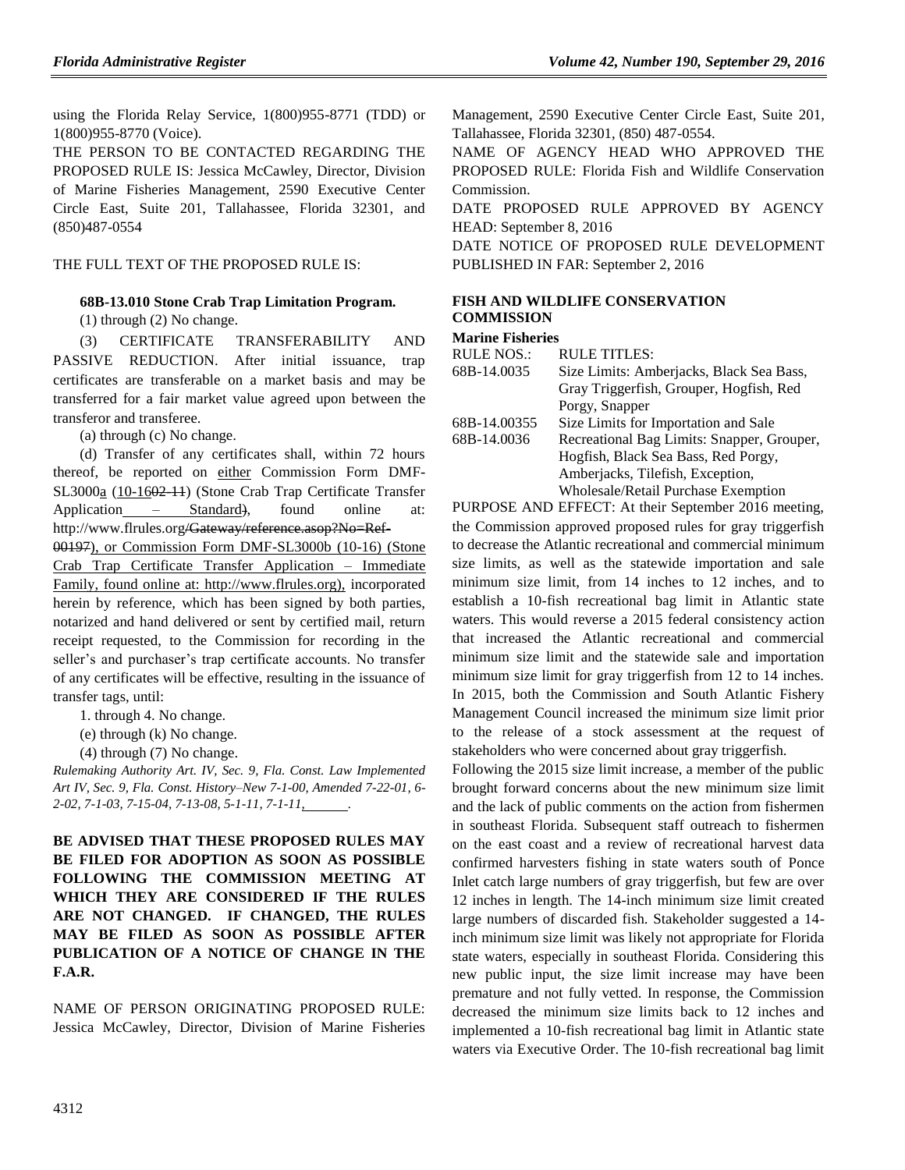using the Florida Relay Service, 1(800)955-8771 (TDD) or 1(800)955-8770 (Voice).

THE PERSON TO BE CONTACTED REGARDING THE PROPOSED RULE IS: Jessica McCawley, Director, Division of Marine Fisheries Management, 2590 Executive Center Circle East, Suite 201, Tallahassee, Florida 32301, and (850)487-0554

#### THE FULL TEXT OF THE PROPOSED RULE IS:

#### **68B-13.010 Stone Crab Trap Limitation Program.**

(1) through (2) No change.

(3) CERTIFICATE TRANSFERABILITY AND PASSIVE REDUCTION. After initial issuance, trap certificates are transferable on a market basis and may be transferred for a fair market value agreed upon between the transferor and transferee.

(a) through (c) No change.

(d) Transfer of any certificates shall, within 72 hours thereof, be reported on either Commission Form DMF-SL3000a (10-1602-11) (Stone Crab Trap Certificate Transfer Application – Standard), found online at: http://www.flrules.org/Gateway/reference.asop?No=Ref-00197), or Commission Form DMF-SL3000b (10-16) (Stone Crab Trap Certificate Transfer Application – Immediate Family, found online at: http://www.flrules.org), incorporated herein by reference, which has been signed by both parties, notarized and hand delivered or sent by certified mail, return receipt requested, to the Commission for recording in the seller's and purchaser's trap certificate accounts. No transfer of any certificates will be effective, resulting in the issuance of transfer tags, until:

1. through 4. No change.

(e) through (k) No change.

(4) through (7) No change.

*Rulemaking Authority Art. IV, Sec. 9, Fla. Const. Law Implemented Art IV, Sec. 9, Fla. Const. History–New 7-1-00, Amended 7-22-01, 6- 2-02, 7-1-03, 7-15-04, 7-13-08, 5-1-11, 7-1-11, .*

**BE ADVISED THAT THESE PROPOSED RULES MAY BE FILED FOR ADOPTION AS SOON AS POSSIBLE FOLLOWING THE COMMISSION MEETING AT WHICH THEY ARE CONSIDERED IF THE RULES ARE NOT CHANGED. IF CHANGED, THE RULES MAY BE FILED AS SOON AS POSSIBLE AFTER PUBLICATION OF A NOTICE OF CHANGE IN THE F.A.R.**

NAME OF PERSON ORIGINATING PROPOSED RULE: Jessica McCawley, Director, Division of Marine Fisheries Management, 2590 Executive Center Circle East, Suite 201, Tallahassee, Florida 32301, (850) 487-0554.

NAME OF AGENCY HEAD WHO APPROVED THE PROPOSED RULE: Florida Fish and Wildlife Conservation Commission.

DATE PROPOSED RULE APPROVED BY AGENCY HEAD: September 8, 2016

DATE NOTICE OF PROPOSED RULE DEVELOPMENT PUBLISHED IN FAR: September 2, 2016

### **[FISH AND WILDLIFE CONSERVATION](https://www.flrules.org/gateway/department.asp?id=68)  [COMMISSION](https://www.flrules.org/gateway/department.asp?id=68)**

**[Marine Fisheries](https://www.flrules.org/gateway/organization.asp?id=348)**

| <b>RULE NOS.:</b> | <b>RULE TITLES:</b>                                                                   |
|-------------------|---------------------------------------------------------------------------------------|
| 68B-14.0035       | Size Limits: Amberjacks, Black Sea Bass,                                              |
|                   | Gray Triggerfish, Grouper, Hogfish, Red                                               |
|                   | Porgy, Snapper                                                                        |
| 68B-14.00355      | Size Limits for Importation and Sale                                                  |
| 68B-14.0036       | Recreational Bag Limits: Snapper, Grouper,                                            |
|                   | Hogfish, Black Sea Bass, Red Porgy,                                                   |
|                   | Amberjacks, Tilefish, Exception,                                                      |
|                   | <b>Wholesale/Retail Purchase Exemption</b>                                            |
| חממת זת           | A MID EFFECT. As if $\mathcal{L}$ is a set of $\mathcal{L}$ is a set of $\mathcal{L}$ |

PURPOSE AND EFFECT: At their September 2016 meeting, the Commission approved proposed rules for gray triggerfish to decrease the Atlantic recreational and commercial minimum size limits, as well as the statewide importation and sale minimum size limit, from 14 inches to 12 inches, and to establish a 10-fish recreational bag limit in Atlantic state waters. This would reverse a 2015 federal consistency action that increased the Atlantic recreational and commercial minimum size limit and the statewide sale and importation minimum size limit for gray triggerfish from 12 to 14 inches. In 2015, both the Commission and South Atlantic Fishery Management Council increased the minimum size limit prior to the release of a stock assessment at the request of stakeholders who were concerned about gray triggerfish.

Following the 2015 size limit increase, a member of the public brought forward concerns about the new minimum size limit and the lack of public comments on the action from fishermen in southeast Florida. Subsequent staff outreach to fishermen on the east coast and a review of recreational harvest data confirmed harvesters fishing in state waters south of Ponce Inlet catch large numbers of gray triggerfish, but few are over 12 inches in length. The 14-inch minimum size limit created large numbers of discarded fish. Stakeholder suggested a 14 inch minimum size limit was likely not appropriate for Florida state waters, especially in southeast Florida. Considering this new public input, the size limit increase may have been premature and not fully vetted. In response, the Commission decreased the minimum size limits back to 12 inches and implemented a 10-fish recreational bag limit in Atlantic state waters via Executive Order. The 10-fish recreational bag limit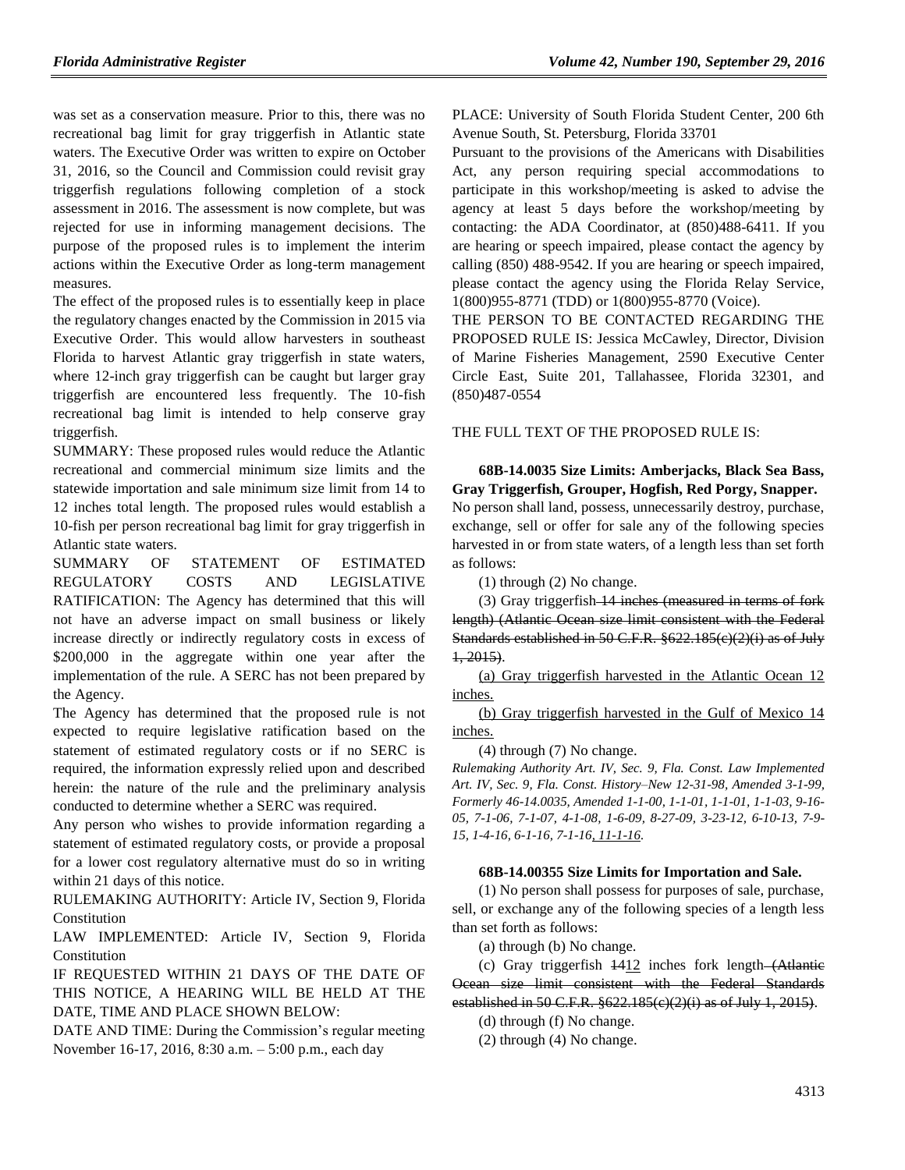was set as a conservation measure. Prior to this, there was no recreational bag limit for gray triggerfish in Atlantic state waters. The Executive Order was written to expire on October 31, 2016, so the Council and Commission could revisit gray triggerfish regulations following completion of a stock assessment in 2016. The assessment is now complete, but was rejected for use in informing management decisions. The purpose of the proposed rules is to implement the interim actions within the Executive Order as long-term management measures.

The effect of the proposed rules is to essentially keep in place the regulatory changes enacted by the Commission in 2015 via Executive Order. This would allow harvesters in southeast Florida to harvest Atlantic gray triggerfish in state waters, where 12-inch gray triggerfish can be caught but larger gray triggerfish are encountered less frequently. The 10-fish recreational bag limit is intended to help conserve gray triggerfish.

SUMMARY: These proposed rules would reduce the Atlantic recreational and commercial minimum size limits and the statewide importation and sale minimum size limit from 14 to 12 inches total length. The proposed rules would establish a 10-fish per person recreational bag limit for gray triggerfish in Atlantic state waters.

SUMMARY OF STATEMENT OF ESTIMATED REGULATORY COSTS AND LEGISLATIVE RATIFICATION: The Agency has determined that this will not have an adverse impact on small business or likely increase directly or indirectly regulatory costs in excess of \$200,000 in the aggregate within one year after the implementation of the rule. A SERC has not been prepared by the Agency.

The Agency has determined that the proposed rule is not expected to require legislative ratification based on the statement of estimated regulatory costs or if no SERC is required, the information expressly relied upon and described herein: the nature of the rule and the preliminary analysis conducted to determine whether a SERC was required.

Any person who wishes to provide information regarding a statement of estimated regulatory costs, or provide a proposal for a lower cost regulatory alternative must do so in writing within 21 days of this notice.

RULEMAKING AUTHORITY: [Article IV, Section 9, Florida](https://www.flrules.org/gateway/flconstitution.asp?id=Article%20IV,%20Section%209,%20Florida%20Constitution)  [Constitution](https://www.flrules.org/gateway/flconstitution.asp?id=Article%20IV,%20Section%209,%20Florida%20Constitution)

LAW IMPLEMENTED: [Article IV, Section 9, Florida](https://www.flrules.org/gateway/flconstitution.asp?id=Article%20IV,%20Section%209,%20Florida%20Constitution)  [Constitution](https://www.flrules.org/gateway/flconstitution.asp?id=Article%20IV,%20Section%209,%20Florida%20Constitution)

IF REQUESTED WITHIN 21 DAYS OF THE DATE OF THIS NOTICE, A HEARING WILL BE HELD AT THE DATE, TIME AND PLACE SHOWN BELOW:

DATE AND TIME: During the Commission's regular meeting November 16-17, 2016, 8:30 a.m. – 5:00 p.m., each day

PLACE: University of South Florida Student Center, 200 6th Avenue South, St. Petersburg, Florida 33701

Pursuant to the provisions of the Americans with Disabilities Act, any person requiring special accommodations to participate in this workshop/meeting is asked to advise the agency at least 5 days before the workshop/meeting by contacting: the ADA Coordinator, at (850)488-6411. If you are hearing or speech impaired, please contact the agency by calling (850) 488-9542. If you are hearing or speech impaired, please contact the agency using the Florida Relay Service, 1(800)955-8771 (TDD) or 1(800)955-8770 (Voice).

THE PERSON TO BE CONTACTED REGARDING THE PROPOSED RULE IS: Jessica McCawley, Director, Division of Marine Fisheries Management, 2590 Executive Center Circle East, Suite 201, Tallahassee, Florida 32301, and (850)487-0554

THE FULL TEXT OF THE PROPOSED RULE IS:

**68B-14.0035 Size Limits: Amberjacks, Black Sea Bass, Gray Triggerfish, Grouper, Hogfish, Red Porgy, Snapper.** No person shall land, possess, unnecessarily destroy, purchase, exchange, sell or offer for sale any of the following species harvested in or from state waters, of a length less than set forth as follows:

(1) through (2) No change.

(3) Gray triggerfish 14 inches (measured in terms of fork length) (Atlantic Ocean size limit consistent with the Federal Standards established in 50 C.F.R. §622.185(c)(2)(i) as of July 1, 2015).

(a) Gray triggerfish harvested in the Atlantic Ocean 12 inches.

(b) Gray triggerfish harvested in the Gulf of Mexico 14 inches.

(4) through (7) No change.

*Rulemaking Authority Art. IV, Sec. 9, Fla. Const. Law Implemented Art. IV, Sec. 9, Fla. Const. History–New 12-31-98, Amended 3-1-99, Formerly 46-14.0035, Amended 1-1-00, 1-1-01, 1-1-01, 1-1-03, 9-16- 05, 7-1-06, 7-1-07, 4-1-08, 1-6-09, 8-27-09, 3-23-12, 6-10-13, 7-9- 15, 1-4-16, 6-1-16, 7-1-16, 11-1-16.*

#### **68B-14.00355 Size Limits for Importation and Sale.**

(1) No person shall possess for purposes of sale, purchase, sell, or exchange any of the following species of a length less than set forth as follows:

(a) through (b) No change.

(c) Gray triggerfish 1412 inches fork length (Atlantic Ocean size limit consistent with the Federal Standards established in 50 C.F.R. §622.185(c)(2)(i) as of July 1, 2015).

(d) through (f) No change.

(2) through (4) No change.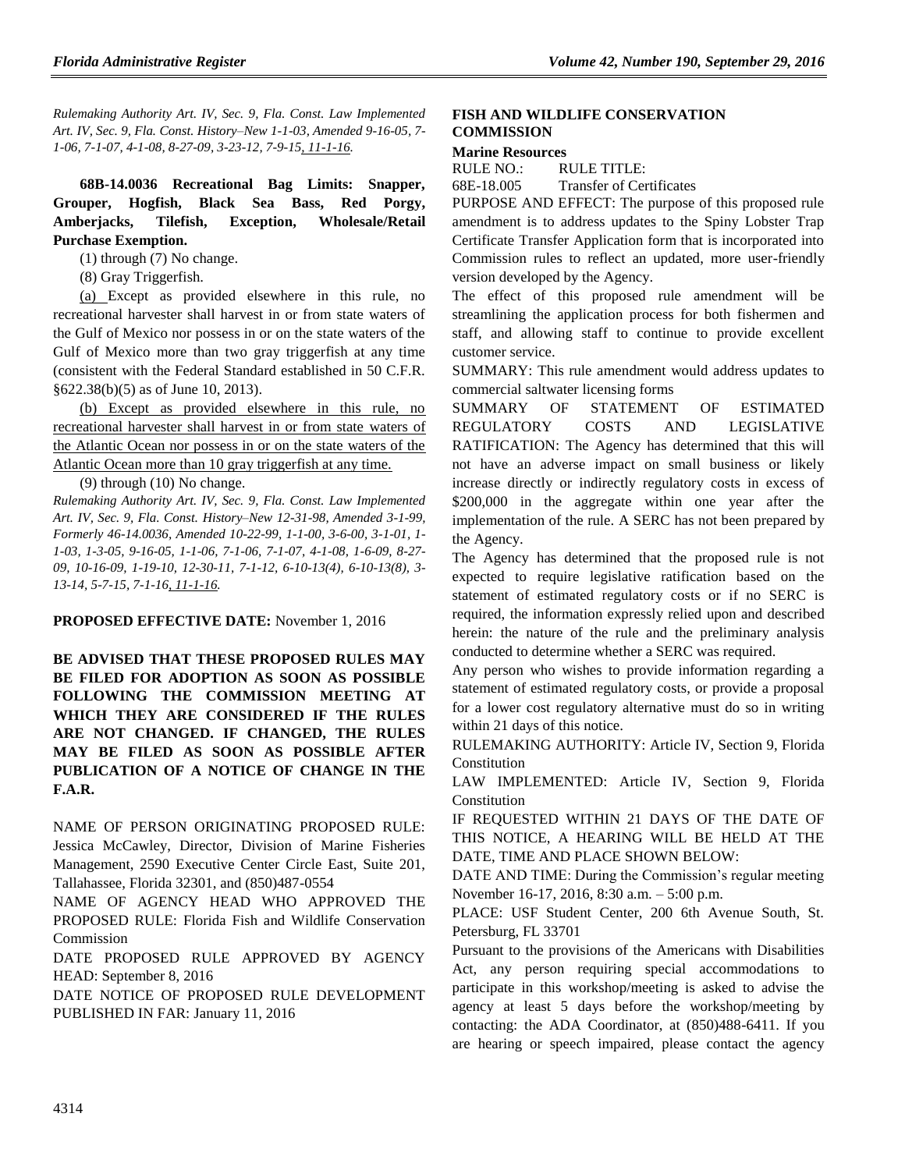*Rulemaking Authority Art. IV, Sec. 9, Fla. Const. Law Implemented Art. IV, Sec. 9, Fla. Const. History–New 1-1-03, Amended 9-16-05, 7- 1-06, 7-1-07, 4-1-08, 8-27-09, 3-23-12, 7-9-15, 11-1-16.*

**68B-14.0036 Recreational Bag Limits: Snapper, Grouper, Hogfish, Black Sea Bass, Red Porgy, Amberjacks, Tilefish, Exception, Wholesale/Retail Purchase Exemption.**

(1) through (7) No change.

(8) Gray Triggerfish.

(a) Except as provided elsewhere in this rule, no recreational harvester shall harvest in or from state waters of the Gulf of Mexico nor possess in or on the state waters of the Gulf of Mexico more than two gray triggerfish at any time (consistent with the Federal Standard established in 50 C.F.R. §622.38(b)(5) as of June 10, 2013).

(b) Except as provided elsewhere in this rule, no recreational harvester shall harvest in or from state waters of the Atlantic Ocean nor possess in or on the state waters of the Atlantic Ocean more than 10 gray triggerfish at any time.

(9) through (10) No change.

*Rulemaking Authority Art. IV, Sec. 9, Fla. Const. Law Implemented Art. IV, Sec. 9, Fla. Const. History–New 12-31-98, Amended 3-1-99, Formerly 46-14.0036, Amended 10-22-99, 1-1-00, 3-6-00, 3-1-01, 1- 1-03, 1-3-05, 9-16-05, 1-1-06, 7-1-06, 7-1-07, 4-1-08, 1-6-09, 8-27- 09, 10-16-09, 1-19-10, 12-30-11, 7-1-12, 6-10-13(4), 6-10-13(8), 3- 13-14, 5-7-15, 7-1-16, 11-1-16.*

#### **PROPOSED EFFECTIVE DATE:** November 1, 2016

**BE ADVISED THAT THESE PROPOSED RULES MAY BE FILED FOR ADOPTION AS SOON AS POSSIBLE FOLLOWING THE COMMISSION MEETING AT WHICH THEY ARE CONSIDERED IF THE RULES ARE NOT CHANGED. IF CHANGED, THE RULES MAY BE FILED AS SOON AS POSSIBLE AFTER PUBLICATION OF A NOTICE OF CHANGE IN THE F.A.R.**

NAME OF PERSON ORIGINATING PROPOSED RULE: Jessica McCawley, Director, Division of Marine Fisheries Management, 2590 Executive Center Circle East, Suite 201, Tallahassee, Florida 32301, and (850)487-0554

NAME OF AGENCY HEAD WHO APPROVED THE PROPOSED RULE: Florida Fish and Wildlife Conservation Commission

DATE PROPOSED RULE APPROVED BY AGENCY HEAD: September 8, 2016

DATE NOTICE OF PROPOSED RULE DEVELOPMENT PUBLISHED IN FAR: January 11, 2016

#### **[FISH AND WILDLIFE CONSERVATION](https://www.flrules.org/gateway/department.asp?id=68)  [COMMISSION](https://www.flrules.org/gateway/department.asp?id=68)**

#### **[Marine Resources](https://www.flrules.org/gateway/organization.asp?id=351)**

RULE NO.: RULE TITLE: [68E-18.005](https://www.flrules.org/gateway/ruleNo.asp?id=68E-18.005) Transfer of Certificates

PURPOSE AND EFFECT: The purpose of this proposed rule amendment is to address updates to the Spiny Lobster Trap Certificate Transfer Application form that is incorporated into Commission rules to reflect an updated, more user-friendly version developed by the Agency.

The effect of this proposed rule amendment will be streamlining the application process for both fishermen and staff, and allowing staff to continue to provide excellent customer service.

SUMMARY: This rule amendment would address updates to commercial saltwater licensing forms

SUMMARY OF STATEMENT OF ESTIMATED REGULATORY COSTS AND LEGISLATIVE RATIFICATION: The Agency has determined that this will not have an adverse impact on small business or likely increase directly or indirectly regulatory costs in excess of \$200,000 in the aggregate within one year after the implementation of the rule. A SERC has not been prepared by the Agency.

The Agency has determined that the proposed rule is not expected to require legislative ratification based on the statement of estimated regulatory costs or if no SERC is required, the information expressly relied upon and described herein: the nature of the rule and the preliminary analysis conducted to determine whether a SERC was required.

Any person who wishes to provide information regarding a statement of estimated regulatory costs, or provide a proposal for a lower cost regulatory alternative must do so in writing within 21 days of this notice.

RULEMAKING AUTHORITY: [Article IV, Section 9, Florida](https://www.flrules.org/gateway/flconstitution.asp?id=Article%20IV,%20Section%209,%20Florida%20Constitution)  [Constitution](https://www.flrules.org/gateway/flconstitution.asp?id=Article%20IV,%20Section%209,%20Florida%20Constitution)

LAW IMPLEMENTED: [Article IV, Section 9, Florida](https://www.flrules.org/gateway/flconstitution.asp?id=Article%20IV,%20Section%209,%20Florida%20Constitution)  [Constitution](https://www.flrules.org/gateway/flconstitution.asp?id=Article%20IV,%20Section%209,%20Florida%20Constitution)

IF REQUESTED WITHIN 21 DAYS OF THE DATE OF THIS NOTICE, A HEARING WILL BE HELD AT THE DATE, TIME AND PLACE SHOWN BELOW:

DATE AND TIME: During the Commission's regular meeting November 16-17, 2016, 8:30 a.m. – 5:00 p.m.

PLACE: USF Student Center, 200 6th Avenue South, St. Petersburg, FL 33701

Pursuant to the provisions of the Americans with Disabilities Act, any person requiring special accommodations to participate in this workshop/meeting is asked to advise the agency at least 5 days before the workshop/meeting by contacting: the ADA Coordinator, at (850)488-6411. If you are hearing or speech impaired, please contact the agency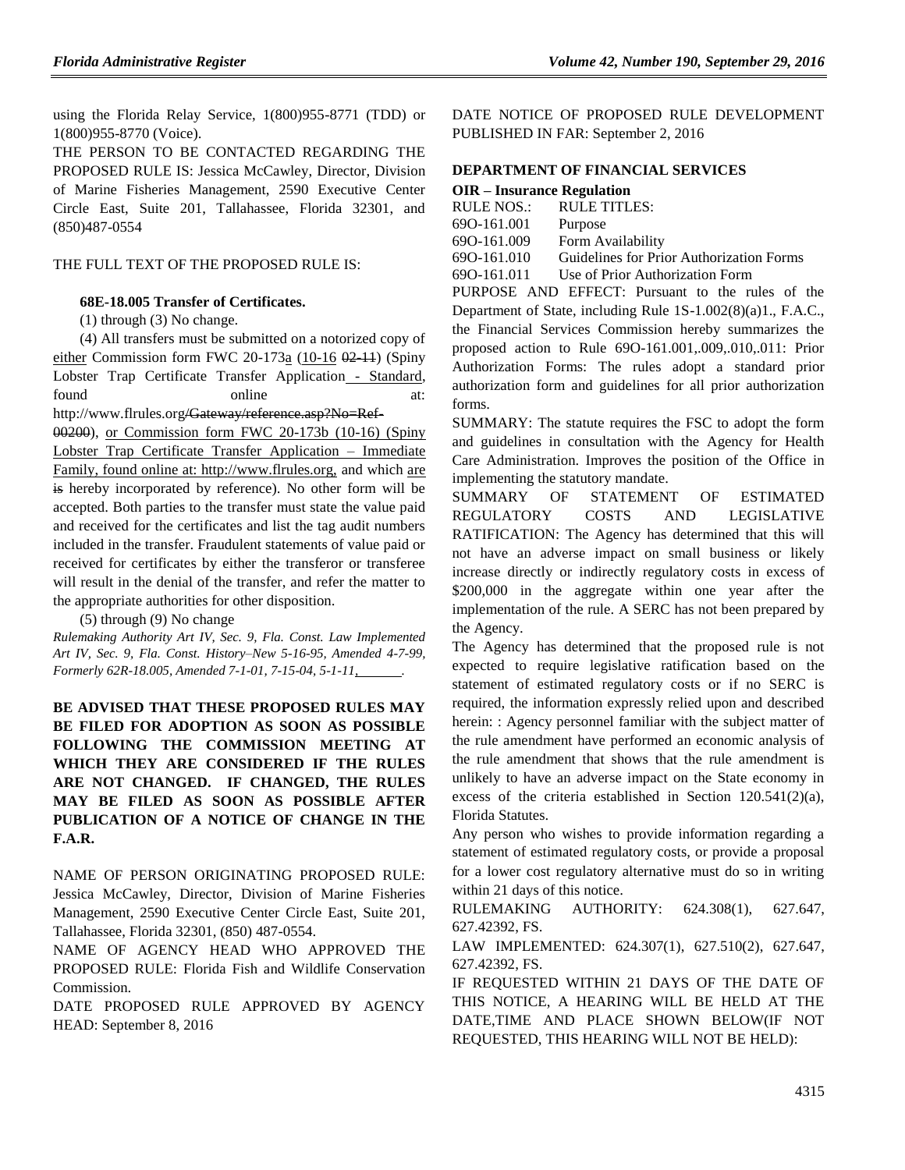using the Florida Relay Service, 1(800)955-8771 (TDD) or 1(800)955-8770 (Voice).

THE PERSON TO BE CONTACTED REGARDING THE PROPOSED RULE IS: Jessica McCawley, Director, Division of Marine Fisheries Management, 2590 Executive Center Circle East, Suite 201, Tallahassee, Florida 32301, and (850)487-0554

#### THE FULL TEXT OF THE PROPOSED RULE IS:

#### **68E-18.005 Transfer of Certificates.**

(1) through (3) No change.

(4) All transfers must be submitted on a notorized copy of either Commission form FWC 20-173 $\frac{\alpha}{10^{-16}}$   $\frac{0.211}{0.211}$  (Spiny Lobster Trap Certificate Transfer Application - Standard, found online at: http://www.flrules.org/Gateway/reference.asp?No=Ref-

00200), or Commission form FWC 20-173b (10-16) (Spiny Lobster Trap Certificate Transfer Application – Immediate Family, found online at: http://www.flrules.org, and which are is hereby incorporated by reference). No other form will be accepted. Both parties to the transfer must state the value paid and received for the certificates and list the tag audit numbers included in the transfer. Fraudulent statements of value paid or received for certificates by either the transferor or transferee will result in the denial of the transfer, and refer the matter to

the appropriate authorities for other disposition. (5) through (9) No change

*Rulemaking Authority Art IV, Sec. 9, Fla. Const. Law Implemented Art IV, Sec. 9, Fla. Const. History–New 5-16-95, Amended 4-7-99, Formerly 62R-18.005, Amended 7-1-01, 7-15-04, 5-1-11, .*

**BE ADVISED THAT THESE PROPOSED RULES MAY BE FILED FOR ADOPTION AS SOON AS POSSIBLE FOLLOWING THE COMMISSION MEETING AT WHICH THEY ARE CONSIDERED IF THE RULES ARE NOT CHANGED. IF CHANGED, THE RULES MAY BE FILED AS SOON AS POSSIBLE AFTER PUBLICATION OF A NOTICE OF CHANGE IN THE F.A.R.**

NAME OF PERSON ORIGINATING PROPOSED RULE: Jessica McCawley, Director, Division of Marine Fisheries Management, 2590 Executive Center Circle East, Suite 201, Tallahassee, Florida 32301, (850) 487-0554.

NAME OF AGENCY HEAD WHO APPROVED THE PROPOSED RULE: Florida Fish and Wildlife Conservation Commission.

DATE PROPOSED RULE APPROVED BY AGENCY HEAD: September 8, 2016

DATE NOTICE OF PROPOSED RULE DEVELOPMENT PUBLISHED IN FAR: September 2, 2016

# **[DEPARTMENT OF FINANCIAL SERVICES](https://www.flrules.org/gateway/department.asp?id=69)**

| OIR – Insurance Regulation |                                          |
|----------------------------|------------------------------------------|
| RULE NOS.:                 | <b>RULE TITLES:</b>                      |
| 690-161.001                | Purpose                                  |
| 690-161.009                | Form Availability                        |
| 690-161.010                | Guidelines for Prior Authorization Forms |
| 690-161.011                | Use of Prior Authorization Form          |

PURPOSE AND EFFECT: Pursuant to the rules of the Department of State, including Rule 1S-1.002(8)(a)1., F.A.C., the Financial Services Commission hereby summarizes the proposed action to Rule 69O-161.001,.009,.010,.011: Prior Authorization Forms: The rules adopt a standard prior authorization form and guidelines for all prior authorization forms.

SUMMARY: The statute requires the FSC to adopt the form and guidelines in consultation with the Agency for Health Care Administration. Improves the position of the Office in implementing the statutory mandate.

SUMMARY OF STATEMENT OF ESTIMATED REGULATORY COSTS AND LEGISLATIVE RATIFICATION: The Agency has determined that this will not have an adverse impact on small business or likely increase directly or indirectly regulatory costs in excess of \$200,000 in the aggregate within one year after the implementation of the rule. A SERC has not been prepared by the Agency.

The Agency has determined that the proposed rule is not expected to require legislative ratification based on the statement of estimated regulatory costs or if no SERC is required, the information expressly relied upon and described herein: : Agency personnel familiar with the subject matter of the rule amendment have performed an economic analysis of the rule amendment that shows that the rule amendment is unlikely to have an adverse impact on the State economy in excess of the criteria established in Section 120.541(2)(a), Florida Statutes.

Any person who wishes to provide information regarding a statement of estimated regulatory costs, or provide a proposal for a lower cost regulatory alternative must do so in writing within 21 days of this notice.

RULEMAKING AUTHORITY: [624.308\(1\),](https://www.flrules.org/gateway/statute.asp?id=624.308(1)) [627.647,](https://www.flrules.org/gateway/statute.asp?id=%20627.647) [627.42392,](https://www.flrules.org/gateway/statute.asp?id=%20627.42392) FS.

LAW IMPLEMENTED: [624.307\(1\),](https://www.flrules.org/gateway/statute.asp?id=624.307(1)) [627.510\(2\),](https://www.flrules.org/gateway/statute.asp?id=%20627.510(2)) [627.647,](https://www.flrules.org/gateway/statute.asp?id=%20627.647) [627.42392,](https://www.flrules.org/gateway/statute.asp?id=%20627.42392) FS.

IF REQUESTED WITHIN 21 DAYS OF THE DATE OF THIS NOTICE, A HEARING WILL BE HELD AT THE DATE,TIME AND PLACE SHOWN BELOW(IF NOT REQUESTED, THIS HEARING WILL NOT BE HELD):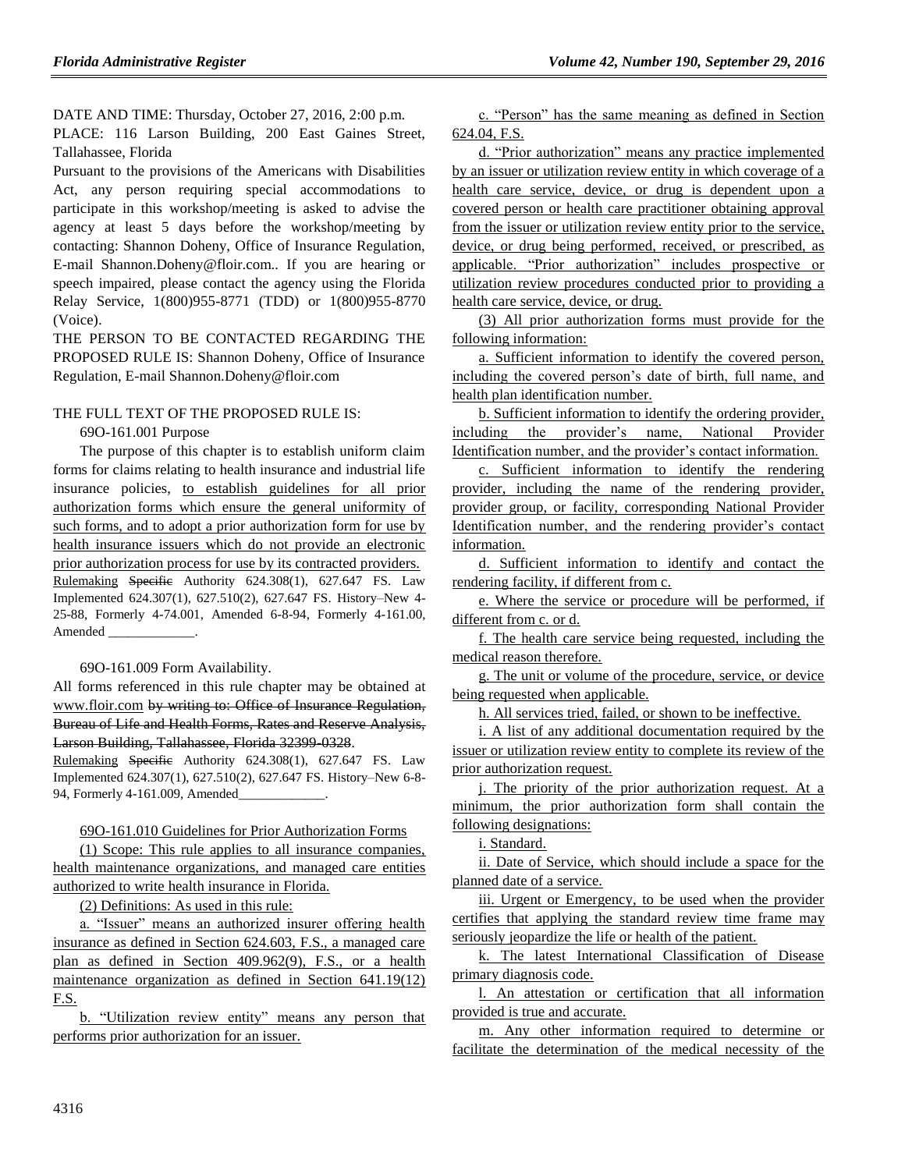DATE AND TIME: Thursday, October 27, 2016, 2:00 p.m.

PLACE: 116 Larson Building, 200 East Gaines Street, Tallahassee, Florida

Pursuant to the provisions of the Americans with Disabilities Act, any person requiring special accommodations to participate in this workshop/meeting is asked to advise the agency at least 5 days before the workshop/meeting by contacting: Shannon Doheny, Office of Insurance Regulation, E-mail Shannon.Doheny@floir.com.. If you are hearing or speech impaired, please contact the agency using the Florida Relay Service, 1(800)955-8771 (TDD) or 1(800)955-8770 (Voice).

THE PERSON TO BE CONTACTED REGARDING THE PROPOSED RULE IS: Shannon Doheny, Office of Insurance Regulation, E-mail Shannon.Doheny@floir.com

#### THE FULL TEXT OF THE PROPOSED RULE IS:

#### 69O-161.001 Purpose

The purpose of this chapter is to establish uniform claim forms for claims relating to health insurance and industrial life insurance policies, to establish guidelines for all prior authorization forms which ensure the general uniformity of such forms, and to adopt a prior authorization form for use by health insurance issuers which do not provide an electronic prior authorization process for use by its contracted providers. Rulemaking Specific Authority 624.308(1), 627.647 FS. Law Implemented 624.307(1), 627.510(2), 627.647 FS. History–New 4- 25-88, Formerly 4-74.001, Amended 6-8-94, Formerly 4-161.00, Amended

69O-161.009 Form Availability.

All forms referenced in this rule chapter may be obtained at www.floir.com by writing to: Office of Insurance Regulation, Bureau of Life and Health Forms, Rates and Reserve Analysis, Larson Building, Tallahassee, Florida 32399-0328.

Rulemaking Specific Authority 624.308(1), 627.647 FS. Law Implemented 624.307(1), 627.510(2), 627.647 FS. History–New 6-8- 94, Formerly 4-161.009, Amended\_

#### 69O-161.010 Guidelines for Prior Authorization Forms

(1) Scope: This rule applies to all insurance companies, health maintenance organizations, and managed care entities authorized to write health insurance in Florida.

(2) Definitions: As used in this rule:

a. "Issuer" means an authorized insurer offering health insurance as defined in Section 624.603, F.S., a managed care plan as defined in Section 409.962(9), F.S., or a health maintenance organization as defined in Section 641.19(12) F.S.

b. "Utilization review entity" means any person that performs prior authorization for an issuer.

c. "Person" has the same meaning as defined in Section 624.04, F.S.

d. "Prior authorization" means any practice implemented by an issuer or utilization review entity in which coverage of a health care service, device, or drug is dependent upon a covered person or health care practitioner obtaining approval from the issuer or utilization review entity prior to the service, device, or drug being performed, received, or prescribed, as applicable. "Prior authorization" includes prospective or utilization review procedures conducted prior to providing a health care service, device, or drug.

(3) All prior authorization forms must provide for the following information:

a. Sufficient information to identify the covered person, including the covered person's date of birth, full name, and health plan identification number.

b. Sufficient information to identify the ordering provider, including the provider's name, National Provider Identification number, and the provider's contact information.

c. Sufficient information to identify the rendering provider, including the name of the rendering provider, provider group, or facility, corresponding National Provider Identification number, and the rendering provider's contact information.

d. Sufficient information to identify and contact the rendering facility, if different from c.

e. Where the service or procedure will be performed, if different from c. or d.

f. The health care service being requested, including the medical reason therefore.

g. The unit or volume of the procedure, service, or device being requested when applicable.

h. All services tried, failed, or shown to be ineffective.

i. A list of any additional documentation required by the issuer or utilization review entity to complete its review of the prior authorization request.

j. The priority of the prior authorization request. At a minimum, the prior authorization form shall contain the following designations:

i. Standard.

ii. Date of Service, which should include a space for the planned date of a service.

iii. Urgent or Emergency, to be used when the provider certifies that applying the standard review time frame may seriously jeopardize the life or health of the patient.

k. The latest International Classification of Disease primary diagnosis code.

l. An attestation or certification that all information provided is true and accurate.

m. Any other information required to determine or facilitate the determination of the medical necessity of the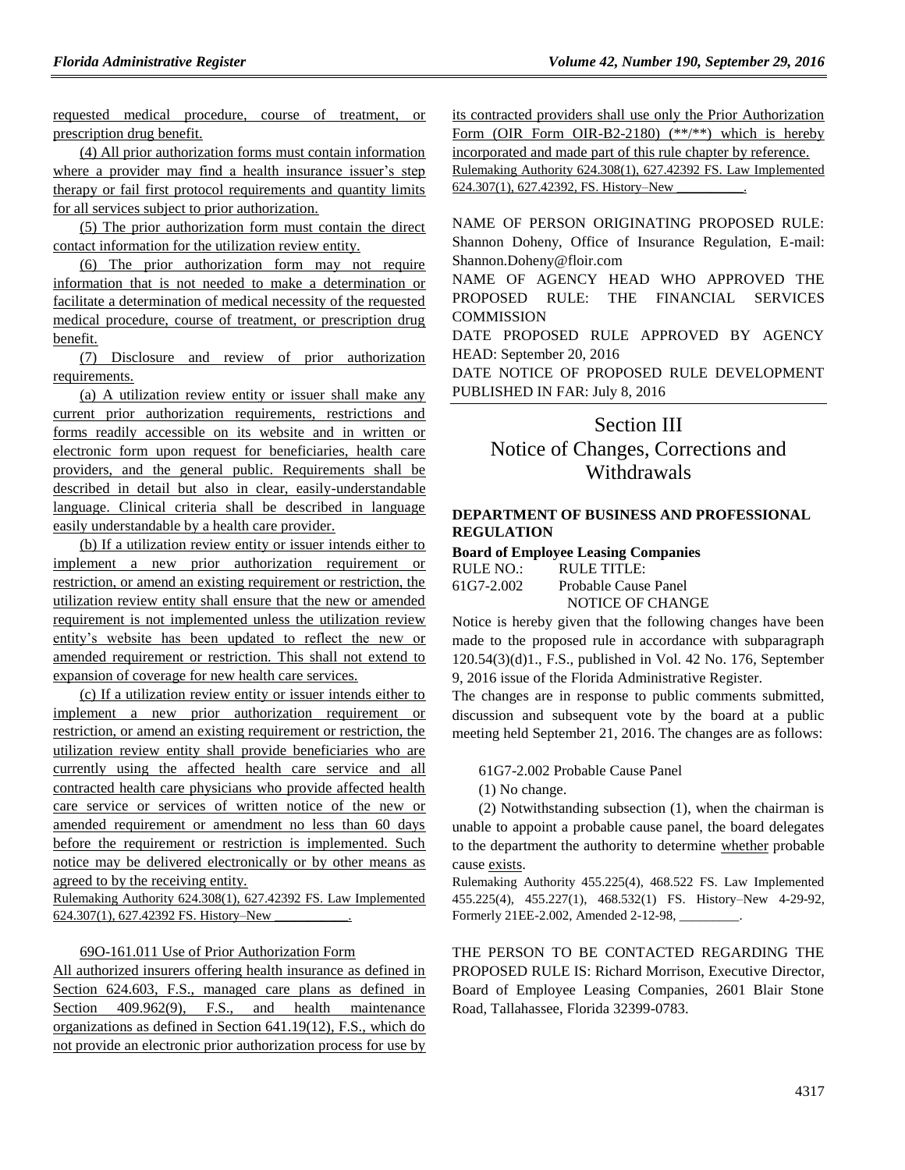requested medical procedure, course of treatment, or prescription drug benefit.

(4) All prior authorization forms must contain information where a provider may find a health insurance issuer's step therapy or fail first protocol requirements and quantity limits for all services subject to prior authorization.

(5) The prior authorization form must contain the direct contact information for the utilization review entity.

(6) The prior authorization form may not require information that is not needed to make a determination or facilitate a determination of medical necessity of the requested medical procedure, course of treatment, or prescription drug benefit.

(7) Disclosure and review of prior authorization requirements.

(a) A utilization review entity or issuer shall make any current prior authorization requirements, restrictions and forms readily accessible on its website and in written or electronic form upon request for beneficiaries, health care providers, and the general public. Requirements shall be described in detail but also in clear, easily-understandable language. Clinical criteria shall be described in language easily understandable by a health care provider.

(b) If a utilization review entity or issuer intends either to implement a new prior authorization requirement or restriction, or amend an existing requirement or restriction, the utilization review entity shall ensure that the new or amended requirement is not implemented unless the utilization review entity's website has been updated to reflect the new or amended requirement or restriction. This shall not extend to expansion of coverage for new health care services.

(c) If a utilization review entity or issuer intends either to implement a new prior authorization requirement or restriction, or amend an existing requirement or restriction, the utilization review entity shall provide beneficiaries who are currently using the affected health care service and all contracted health care physicians who provide affected health care service or services of written notice of the new or amended requirement or amendment no less than 60 days before the requirement or restriction is implemented. Such notice may be delivered electronically or by other means as agreed to by the receiving entity.

Rulemaking Authority 624.308(1), 627.42392 FS. Law Implemented 624.307(1), 627.42392 FS. History–New

#### 69O-161.011 Use of Prior Authorization Form

All authorized insurers offering health insurance as defined in Section 624.603, F.S., managed care plans as defined in Section 409.962(9), F.S., and health maintenance organizations as defined in Section 641.19(12), F.S., which do not provide an electronic prior authorization process for use by its contracted providers shall use only the Prior Authorization Form (OIR Form OIR-B2-2180)  $(**/**)$  which is hereby incorporated and made part of this rule chapter by reference. Rulemaking Authority 624.308(1), 627.42392 FS. Law Implemented

624.307(1), 627.42392, FS. History–New

NAME OF PERSON ORIGINATING PROPOSED RULE: Shannon Doheny, Office of Insurance Regulation, E-mail: Shannon.Doheny@floir.com

NAME OF AGENCY HEAD WHO APPROVED THE PROPOSED RULE: THE FINANCIAL SERVICES **COMMISSION** 

DATE PROPOSED RULE APPROVED BY AGENCY HEAD: September 20, 2016

DATE NOTICE OF PROPOSED RULE DEVELOPMENT PUBLISHED IN FAR: July 8, 2016

# Section III Notice of Changes, Corrections and Withdrawals

#### **[DEPARTMENT OF BUSINESS AND PROFESSIONAL](https://www.flrules.org/gateway/department.asp?id=61)  [REGULATION](https://www.flrules.org/gateway/department.asp?id=61)**

#### **[Board of Employee Leasing Companies](https://www.flrules.org/gateway/organization.asp?id=277)**

| RULE NO.:      | RULE TITLE:          |
|----------------|----------------------|
| $61G7 - 2.002$ | Probable Cause Panel |
|                | NOTICE OF CHANGE     |

Notice is hereby given that the following changes have been made to the proposed rule in accordance with subparagraph 120.54(3)(d)1., F.S., published in Vol. 42 No. 176, September 9, 2016 issue of the Florida Administrative Register.

The changes are in response to public comments submitted, discussion and subsequent vote by the board at a public meeting held September 21, 2016. The changes are as follows:

61G7-2.002 Probable Cause Panel

(1) No change.

(2) Notwithstanding subsection (1), when the chairman is unable to appoint a probable cause panel, the board delegates to the department the authority to determine whether probable cause exists.

Rulemaking Authority 455.225(4), 468.522 FS. Law Implemented 455.225(4), 455.227(1), 468.532(1) FS. History–New 4-29-92, Formerly 21EE-2.002, Amended 2-12-98,

THE PERSON TO BE CONTACTED REGARDING THE PROPOSED RULE IS: Richard Morrison, Executive Director, Board of Employee Leasing Companies, 2601 Blair Stone Road, Tallahassee, Florida 32399-0783.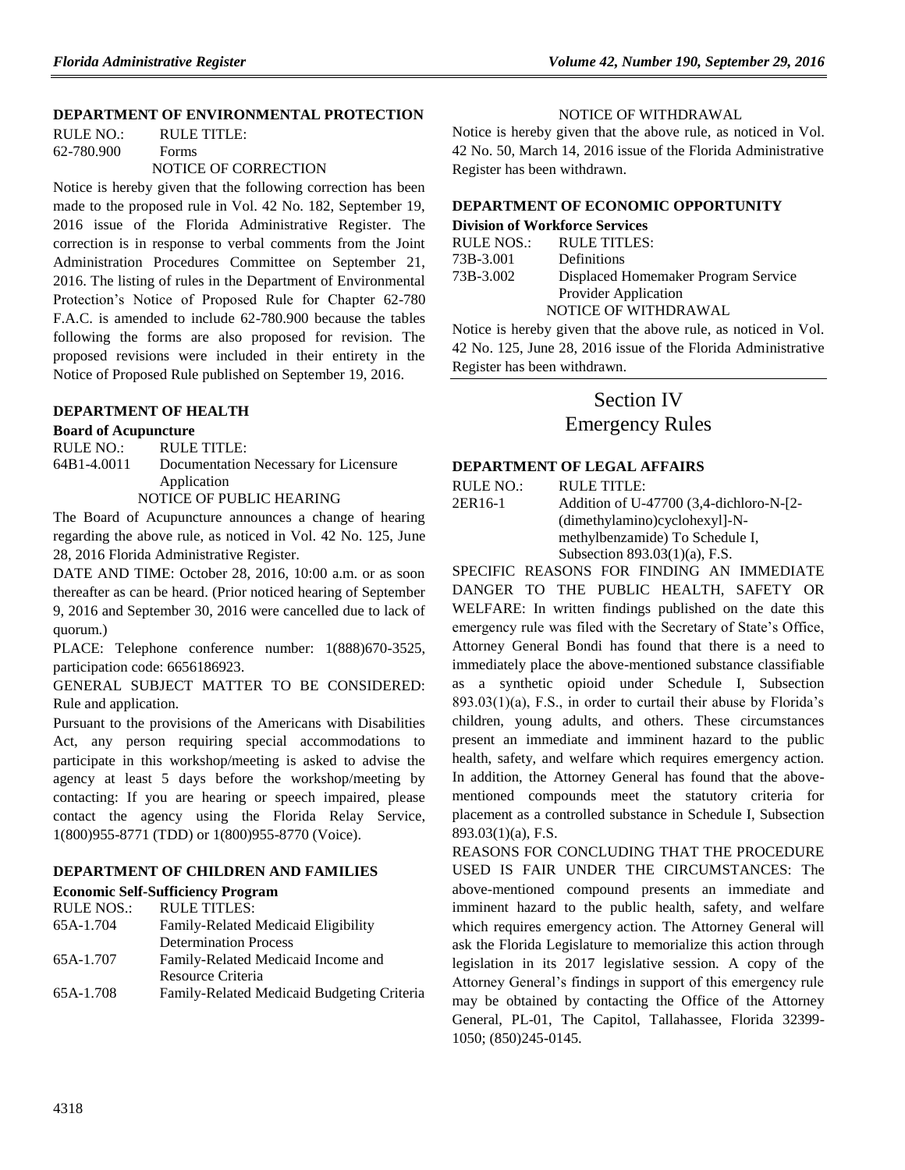#### **[DEPARTMENT OF ENVIRONMENTAL PROTECTION](https://www.flrules.org/gateway/department.asp?id=62)**

RULE NO.: RULE TITLE: [62-780.900](https://www.flrules.org/gateway/ruleNo.asp?id=62-780.900) Forms NOTICE OF CORRECTION

Notice is hereby given that the following correction has been made to the proposed rule in Vol. 42 No. 182, September 19, 2016 issue of the Florida Administrative Register. The correction is in response to verbal comments from the Joint Administration Procedures Committee on September 21, 2016. The listing of rules in the Department of Environmental Protection's Notice of Proposed Rule for Chapter 62-780 F.A.C. is amended to include 62-780.900 because the tables following the forms are also proposed for revision. The proposed revisions were included in their entirety in the Notice of Proposed Rule published on September 19, 2016.

### **[DEPARTMENT OF HEALTH](https://www.flrules.org/gateway/department.asp?id=64)**

### **[Board of Acupuncture](https://www.flrules.org/gateway/organization.asp?id=300)**

RULE NO.: RULE TITLE:

[64B1-4.0011](https://www.flrules.org/gateway/ruleNo.asp?id=64B1-4.0011) Documentation Necessary for Licensure Application NOTICE OF PUBLIC HEARING

The Board of Acupuncture announces a change of hearing regarding the above rule, as noticed in Vol. 42 No. 125, June 28, 2016 Florida Administrative Register.

DATE AND TIME: October 28, 2016, 10:00 a.m. or as soon thereafter as can be heard. (Prior noticed hearing of September 9, 2016 and September 30, 2016 were cancelled due to lack of quorum.)

PLACE: Telephone conference number: 1(888)670-3525, participation code: 6656186923.

GENERAL SUBJECT MATTER TO BE CONSIDERED: Rule and application.

Pursuant to the provisions of the Americans with Disabilities Act, any person requiring special accommodations to participate in this workshop/meeting is asked to advise the agency at least 5 days before the workshop/meeting by contacting: If you are hearing or speech impaired, please contact the agency using the Florida Relay Service, 1(800)955-8771 (TDD) or 1(800)955-8770 (Voice).

#### **[DEPARTMENT OF CHILDREN AND FAMILIES](https://www.flrules.org/gateway/department.asp?id=65)**

#### **[Economic Self-Sufficiency Program](https://www.flrules.org/gateway/organization.asp?id=340)**

| Family-Related Medicaid Budgeting Criteria |
|--------------------------------------------|
|                                            |

#### NOTICE OF WITHDRAWAL

Notice is hereby given that the above rule, as noticed in Vol. 42 No. 50, March 14, 2016 issue of the Florida Administrative Register has been withdrawn.

## **[DEPARTMENT OF ECONOMIC OPPORTUNITY](https://www.flrules.org/gateway/department.asp?id=73)**

## **[Division of Workforce Services](https://www.flrules.org/gateway/organization.asp?id=1065)**

| RULE NOS.: | RULE TITLES:                        |
|------------|-------------------------------------|
| 73B-3.001  | <b>Definitions</b>                  |
| 73B-3.002  | Displaced Homemaker Program Service |
|            | Provider Application                |
|            | NOTICE OF WITHDRAWAL                |

Notice is hereby given that the above rule, as noticed in Vol. 42 No. 125, June 28, 2016 issue of the Florida Administrative Register has been withdrawn.

# Section IV

Emergency Rules

### **DEPARTMENT OF LEGAL AFFAIRS**

 $RIII$  F NO  $\cdot$  RIII F TITLE $\cdot$ 

| 2ER16-1 | Addition of U-47700 (3.4-dichloro-N-[2- |
|---------|-----------------------------------------|
|         | (dimethylamino)cyclohexyl]-N-           |
|         | methylbenzamide) To Schedule I,         |
|         | Subsection $893.03(1)(a)$ , F.S.        |

SPECIFIC REASONS FOR FINDING AN IMMEDIATE DANGER TO THE PUBLIC HEALTH, SAFETY OR WELFARE: In written findings published on the date this emergency rule was filed with the Secretary of State's Office, Attorney General Bondi has found that there is a need to immediately place the above-mentioned substance classifiable as a synthetic opioid under Schedule I, Subsection 893.03(1)(a), F.S., in order to curtail their abuse by Florida's children, young adults, and others. These circumstances present an immediate and imminent hazard to the public health, safety, and welfare which requires emergency action. In addition, the Attorney General has found that the abovementioned compounds meet the statutory criteria for placement as a controlled substance in Schedule I, Subsection 893.03(1)(a), F.S.

REASONS FOR CONCLUDING THAT THE PROCEDURE USED IS FAIR UNDER THE CIRCUMSTANCES: The above-mentioned compound presents an immediate and imminent hazard to the public health, safety, and welfare which requires emergency action. The Attorney General will ask the Florida Legislature to memorialize this action through legislation in its 2017 legislative session. A copy of the Attorney General's findings in support of this emergency rule may be obtained by contacting the Office of the Attorney General, PL-01, The Capitol, Tallahassee, Florida 32399- 1050; (850)245-0145.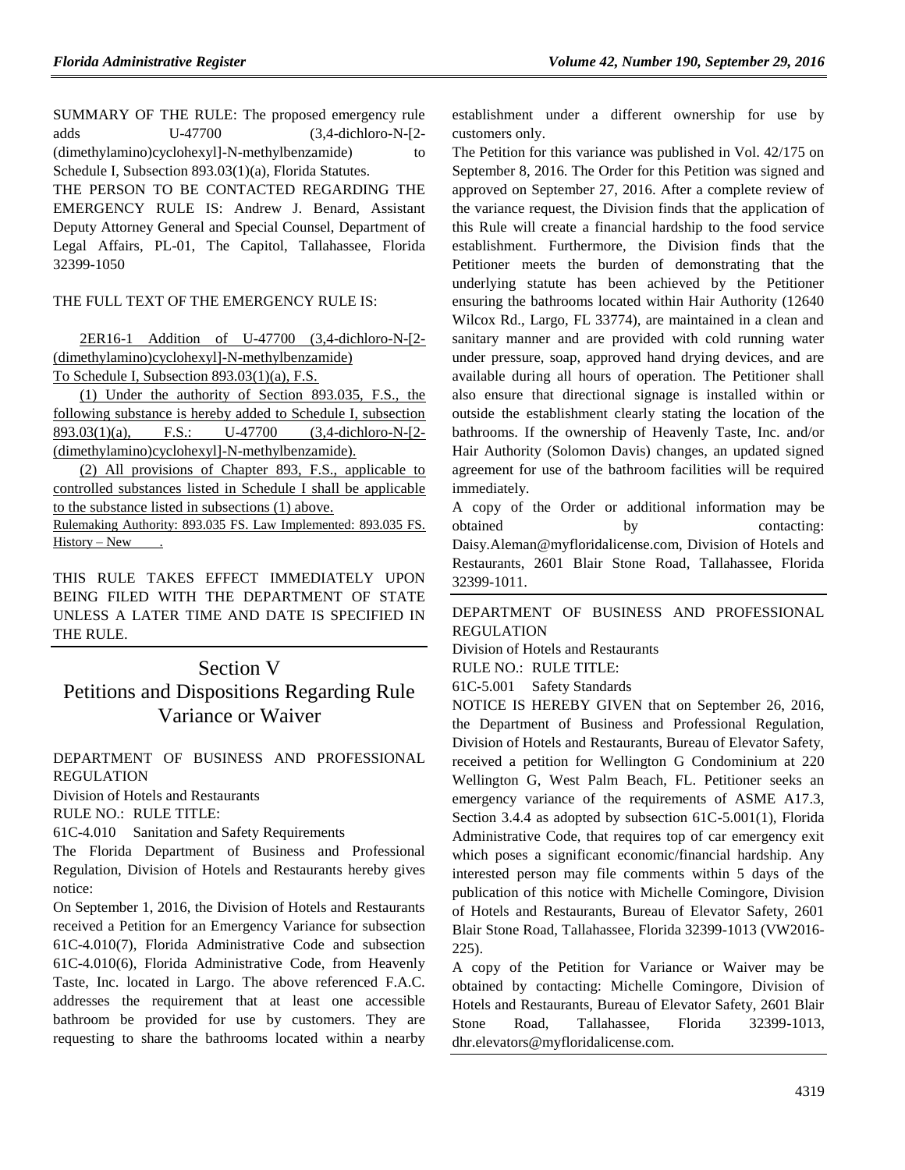SUMMARY OF THE RULE: The proposed emergency rule adds U-47700 (3,4-dichloro-N-[2- (dimethylamino)cyclohexyl]-N-methylbenzamide) to Schedule I, Subsection 893.03(1)(a), Florida Statutes.

THE PERSON TO BE CONTACTED REGARDING THE EMERGENCY RULE IS: Andrew J. Benard, Assistant Deputy Attorney General and Special Counsel, Department of Legal Affairs, PL-01, The Capitol, Tallahassee, Florida 32399-1050

### THE FULL TEXT OF THE EMERGENCY RULE IS:

2ER16-1 Addition of U-47700 (3,4-dichloro-N-[2- (dimethylamino)cyclohexyl]-N-methylbenzamide) To Schedule I, Subsection 893.03(1)(a), F.S.

(1) Under the authority of Section 893.035, F.S., the following substance is hereby added to Schedule I, subsection 893.03(1)(a), F.S.: U-47700 (3,4-dichloro-N-[2- (dimethylamino)cyclohexyl]-N-methylbenzamide).

(2) All provisions of Chapter 893, F.S., applicable to controlled substances listed in Schedule I shall be applicable to the substance listed in subsections (1) above. Rulemaking Authority: 893.035 FS. Law Implemented: 893.035 FS.

History – New .

THIS RULE TAKES EFFECT IMMEDIATELY UPON BEING FILED WITH THE DEPARTMENT OF STATE UNLESS A LATER TIME AND DATE IS SPECIFIED IN THE RULE.

# Section V Petitions and Dispositions Regarding Rule Variance or Waiver

[DEPARTMENT OF BUSINESS AND PROFESSIONAL](https://www.flrules.org/gateway/department.asp?id=61)  [REGULATION](https://www.flrules.org/gateway/department.asp?id=61)

[Division of Hotels and Restaurants](https://www.flrules.org/gateway/organization.asp?id=249)

RULE NO.: RULE TITLE:

[61C-4.010](https://www.flrules.org/gateway/ruleNo.asp?id=61C-4.010) Sanitation and Safety Requirements

The Florida Department of Business and Professional Regulation, Division of Hotels and Restaurants hereby gives notice:

On September 1, 2016, the Division of Hotels and Restaurants received a Petition for an Emergency Variance for subsection 61C-4.010(7), Florida Administrative Code and subsection 61C-4.010(6), Florida Administrative Code, from Heavenly Taste, Inc. located in Largo. The above referenced F.A.C. addresses the requirement that at least one accessible bathroom be provided for use by customers. They are requesting to share the bathrooms located within a nearby

establishment under a different ownership for use by customers only.

The Petition for this variance was published in Vol. 42/175 on September 8, 2016. The Order for this Petition was signed and approved on September 27, 2016. After a complete review of the variance request, the Division finds that the application of this Rule will create a financial hardship to the food service establishment. Furthermore, the Division finds that the Petitioner meets the burden of demonstrating that the underlying statute has been achieved by the Petitioner ensuring the bathrooms located within Hair Authority (12640 Wilcox Rd., Largo, FL 33774), are maintained in a clean and sanitary manner and are provided with cold running water under pressure, soap, approved hand drying devices, and are available during all hours of operation. The Petitioner shall also ensure that directional signage is installed within or outside the establishment clearly stating the location of the bathrooms. If the ownership of Heavenly Taste, Inc. and/or Hair Authority (Solomon Davis) changes, an updated signed agreement for use of the bathroom facilities will be required immediately.

A copy of the Order or additional information may be obtained by contacting: Daisy.Aleman@myfloridalicense.com, Division of Hotels and Restaurants, 2601 Blair Stone Road, Tallahassee, Florida 32399-1011.

[DEPARTMENT OF BUSINESS AND PROFESSIONAL](https://www.flrules.org/gateway/department.asp?id=61)  [REGULATION](https://www.flrules.org/gateway/department.asp?id=61)

[Division of Hotels and Restaurants](https://www.flrules.org/gateway/organization.asp?id=249)

RULE NO.: RULE TITLE:

[61C-5.001](https://www.flrules.org/gateway/ruleNo.asp?id=61C-5.001) Safety Standards

NOTICE IS HEREBY GIVEN that on September 26, 2016, the Department of Business and Professional Regulation, Division of Hotels and Restaurants, Bureau of Elevator Safety, received a petition for Wellington G Condominium at 220 Wellington G, West Palm Beach, FL. Petitioner seeks an emergency variance of the requirements of ASME A17.3, Section 3.4.4 as adopted by subsection 61C-5.001(1), Florida Administrative Code, that requires top of car emergency exit which poses a significant economic/financial hardship. Any interested person may file comments within 5 days of the publication of this notice with Michelle Comingore, Division of Hotels and Restaurants, Bureau of Elevator Safety, 2601 Blair Stone Road, Tallahassee, Florida 32399-1013 (VW2016- 225).

A copy of the Petition for Variance or Waiver may be obtained by contacting: Michelle Comingore, Division of Hotels and Restaurants, Bureau of Elevator Safety, 2601 Blair Stone Road, Tallahassee, Florida 32399-1013, dhr.elevators@myfloridalicense.com.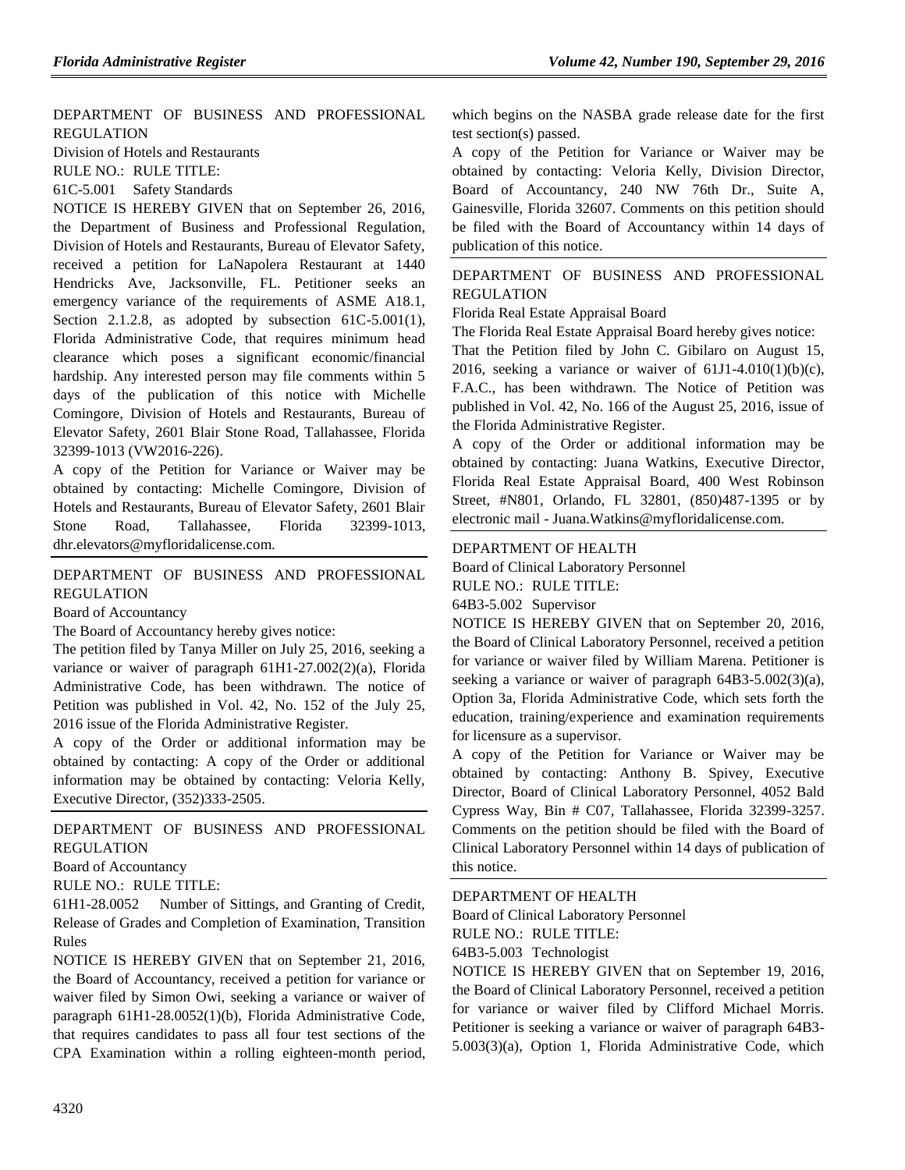[DEPARTMENT OF BUSINESS AND PROFESSIONAL](https://www.flrules.org/gateway/department.asp?id=61)  [REGULATION](https://www.flrules.org/gateway/department.asp?id=61)

[Division of Hotels and Restaurants](https://www.flrules.org/gateway/organization.asp?id=249)

RULE NO.: RULE TITLE:

[61C-5.001](https://www.flrules.org/gateway/ruleNo.asp?id=61C-5.001) Safety Standards

NOTICE IS HEREBY GIVEN that on September 26, 2016, the Department of Business and Professional Regulation, Division of Hotels and Restaurants, Bureau of Elevator Safety, received a petition for LaNapolera Restaurant at 1440 Hendricks Ave, Jacksonville, FL. Petitioner seeks an emergency variance of the requirements of ASME A18.1, Section 2.1.2.8, as adopted by subsection 61C-5.001(1), Florida Administrative Code, that requires minimum head clearance which poses a significant economic/financial hardship. Any interested person may file comments within 5 days of the publication of this notice with Michelle Comingore, Division of Hotels and Restaurants, Bureau of Elevator Safety, 2601 Blair Stone Road, Tallahassee, Florida 32399-1013 (VW2016-226).

A copy of the Petition for Variance or Waiver may be obtained by contacting: Michelle Comingore, Division of Hotels and Restaurants, Bureau of Elevator Safety, 2601 Blair Stone Road, Tallahassee, Florida 32399-1013, dhr.elevators@myfloridalicense.com.

[DEPARTMENT OF BUSINESS AND PROFESSIONAL](https://www.flrules.org/gateway/department.asp?id=61)  [REGULATION](https://www.flrules.org/gateway/department.asp?id=61)

[Board of Accountancy](https://www.flrules.org/gateway/organization.asp?id=280)

The Board of Accountancy hereby gives notice:

The petition filed by Tanya Miller on July 25, 2016, seeking a variance or waiver of paragraph 61H1-27.002(2)(a), Florida Administrative Code, has been withdrawn. The notice of Petition was published in Vol. 42, No. 152 of the July 25, 2016 issue of the Florida Administrative Register.

A copy of the Order or additional information may be obtained by contacting: A copy of the Order or additional information may be obtained by contacting: Veloria Kelly, Executive Director, (352)333-2505.

# [DEPARTMENT OF BUSINESS AND PROFESSIONAL](https://www.flrules.org/gateway/department.asp?id=61)  [REGULATION](https://www.flrules.org/gateway/department.asp?id=61)

[Board of Accountancy](https://www.flrules.org/gateway/organization.asp?id=280)

RULE NO.: RULE TITLE:

[61H1-28.0052](https://www.flrules.org/gateway/ruleNo.asp?id=61H1-28.0052) Number of Sittings, and Granting of Credit, Release of Grades and Completion of Examination, Transition Rules

NOTICE IS HEREBY GIVEN that on September 21, 2016, the Board of Accountancy, received a petition for variance or waiver filed by Simon Owi, seeking a variance or waiver of paragraph 61H1-28.0052(1)(b), Florida Administrative Code, that requires candidates to pass all four test sections of the CPA Examination within a rolling eighteen-month period, which begins on the NASBA grade release date for the first test section(s) passed.

A copy of the Petition for Variance or Waiver may be obtained by contacting: Veloria Kelly, Division Director, Board of Accountancy, 240 NW 76th Dr., Suite A, Gainesville, Florida 32607. Comments on this petition should be filed with the Board of Accountancy within 14 days of publication of this notice.

## [DEPARTMENT OF BUSINESS AND PROFESSIONAL](https://www.flrules.org/gateway/department.asp?id=61)  [REGULATION](https://www.flrules.org/gateway/department.asp?id=61)

[Florida Real Estate Appraisal Board](https://www.flrules.org/gateway/organization.asp?id=282)

The Florida Real Estate Appraisal Board hereby gives notice:

That the Petition filed by John C. Gibilaro on August 15, 2016, seeking a variance or waiver of  $61J1-4.010(1)(b)(c)$ , F.A.C., has been withdrawn. The Notice of Petition was published in Vol. 42, No. 166 of the August 25, 2016, issue of the Florida Administrative Register.

A copy of the Order or additional information may be obtained by contacting: Juana Watkins, Executive Director, Florida Real Estate Appraisal Board, 400 West Robinson Street, #N801, Orlando, FL 32801, (850)487-1395 or by electronic mail - Juana.Watkins@myfloridalicense.com.

#### [DEPARTMENT OF HEALTH](https://www.flrules.org/gateway/department.asp?id=64)

[Board of Clinical Laboratory Personnel](https://www.flrules.org/gateway/organization.asp?id=322)

RULE NO.: RULE TITLE:

[64B3-5.002](https://www.flrules.org/gateway/ruleNo.asp?id=64B3-5.002) Supervisor

NOTICE IS HEREBY GIVEN that on September 20, 2016, the Board of Clinical Laboratory Personnel, received a petition for variance or waiver filed by William Marena. Petitioner is seeking a variance or waiver of paragraph 64B3-5.002(3)(a), Option 3a, Florida Administrative Code, which sets forth the education, training/experience and examination requirements for licensure as a supervisor.

A copy of the Petition for Variance or Waiver may be obtained by contacting: Anthony B. Spivey, Executive Director, Board of Clinical Laboratory Personnel, 4052 Bald Cypress Way, Bin # C07, Tallahassee, Florida 32399-3257. Comments on the petition should be filed with the Board of Clinical Laboratory Personnel within 14 days of publication of this notice.

#### [DEPARTMENT OF HEALTH](https://www.flrules.org/gateway/department.asp?id=64)

[Board of Clinical Laboratory Personnel](https://www.flrules.org/gateway/organization.asp?id=322)

RULE NO.: RULE TITLE:

[64B3-5.003](https://www.flrules.org/gateway/ruleNo.asp?id=64B3-5.003) Technologist

NOTICE IS HEREBY GIVEN that on September 19, 2016, the Board of Clinical Laboratory Personnel, received a petition for variance or waiver filed by Clifford Michael Morris. Petitioner is seeking a variance or waiver of paragraph 64B3- 5.003(3)(a), Option 1, Florida Administrative Code, which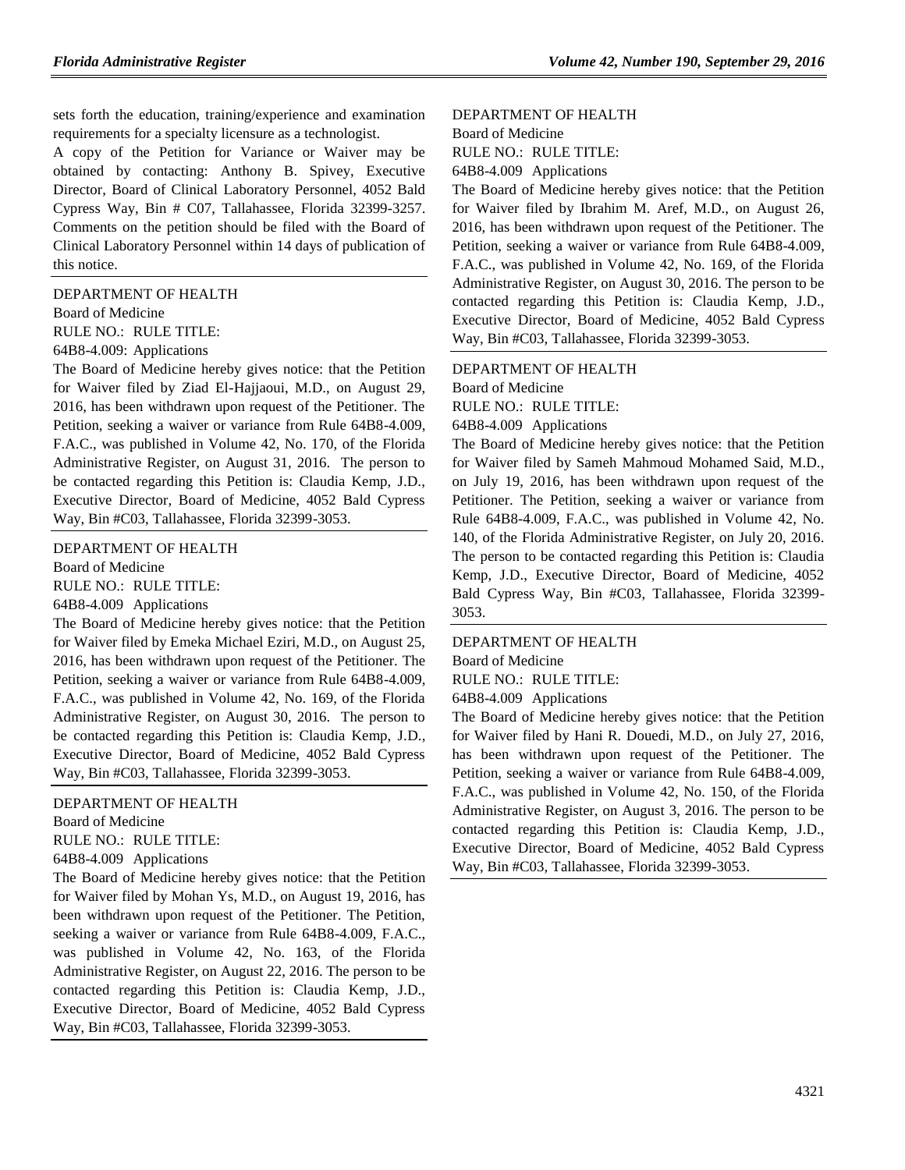sets forth the education, training/experience and examination requirements for a specialty licensure as a technologist.

A copy of the Petition for Variance or Waiver may be obtained by contacting: Anthony B. Spivey, Executive Director, Board of Clinical Laboratory Personnel, 4052 Bald Cypress Way, Bin # C07, Tallahassee, Florida 32399-3257. Comments on the petition should be filed with the Board of Clinical Laboratory Personnel within 14 days of publication of this notice.

[DEPARTMENT OF HEALTH](https://www.flrules.org/gateway/department.asp?id=64)

[Board of Medicine](https://www.flrules.org/gateway/organization.asp?id=331)

RULE NO.: RULE TITLE:

[64B8-4.009:](https://www.flrules.org/gateway/ruleNo.asp?id=64B8-4.009) Applications

The Board of Medicine hereby gives notice: that the Petition for Waiver filed by Ziad El-Hajjaoui, M.D., on August 29, 2016, has been withdrawn upon request of the Petitioner. The Petition, seeking a waiver or variance from Rule 64B8-4.009, F.A.C., was published in Volume 42, No. 170, of the Florida Administrative Register, on August 31, 2016. The person to be contacted regarding this Petition is: Claudia Kemp, J.D., Executive Director, Board of Medicine, 4052 Bald Cypress Way, Bin #C03, Tallahassee, Florida 32399-3053.

[DEPARTMENT OF HEALTH](https://www.flrules.org/gateway/department.asp?id=64)

[Board of Medicine](https://www.flrules.org/gateway/organization.asp?id=331)

RULE NO.: RULE TITLE:

[64B8-4.009](https://www.flrules.org/gateway/ruleNo.asp?id=64B8-4.009) Applications

The Board of Medicine hereby gives notice: that the Petition for Waiver filed by Emeka Michael Eziri, M.D., on August 25, 2016, has been withdrawn upon request of the Petitioner. The Petition, seeking a waiver or variance from Rule 64B8-4.009, F.A.C., was published in Volume 42, No. 169, of the Florida Administrative Register, on August 30, 2016. The person to be contacted regarding this Petition is: Claudia Kemp, J.D., Executive Director, Board of Medicine, 4052 Bald Cypress Way, Bin #C03, Tallahassee, Florida 32399-3053.

#### [DEPARTMENT OF HEALTH](https://www.flrules.org/gateway/department.asp?id=64)

[Board of Medicine](https://www.flrules.org/gateway/organization.asp?id=331)

RULE NO.: RULE TITLE:

[64B8-4.009](https://www.flrules.org/gateway/ruleNo.asp?id=64B8-4.009) Applications

The Board of Medicine hereby gives notice: that the Petition for Waiver filed by Mohan Ys, M.D., on August 19, 2016, has been withdrawn upon request of the Petitioner. The Petition, seeking a waiver or variance from Rule 64B8-4.009, F.A.C., was published in Volume 42, No. 163, of the Florida Administrative Register, on August 22, 2016. The person to be contacted regarding this Petition is: Claudia Kemp, J.D., Executive Director, Board of Medicine, 4052 Bald Cypress Way, Bin #C03, Tallahassee, Florida 32399-3053.

#### [DEPARTMENT OF HEALTH](https://www.flrules.org/gateway/department.asp?id=64) [Board of Medicine](https://www.flrules.org/gateway/organization.asp?id=331) RULE NO.: RULE TITLE:

[64B8-4.009](https://www.flrules.org/gateway/ruleNo.asp?id=64B8-4.009) Applications

The Board of Medicine hereby gives notice: that the Petition for Waiver filed by Ibrahim M. Aref, M.D., on August 26, 2016, has been withdrawn upon request of the Petitioner. The Petition, seeking a waiver or variance from Rule 64B8-4.009, F.A.C., was published in Volume 42, No. 169, of the Florida Administrative Register, on August 30, 2016. The person to be contacted regarding this Petition is: Claudia Kemp, J.D., Executive Director, Board of Medicine, 4052 Bald Cypress Way, Bin #C03, Tallahassee, Florida 32399-3053.

[DEPARTMENT OF HEALTH](https://www.flrules.org/gateway/department.asp?id=64) [Board of Medicine](https://www.flrules.org/gateway/organization.asp?id=331) RULE NO.: RULE TITLE: [64B8-4.009](https://www.flrules.org/gateway/ruleNo.asp?id=64B8-4.009) Applications

The Board of Medicine hereby gives notice: that the Petition for Waiver filed by Sameh Mahmoud Mohamed Said, M.D., on July 19, 2016, has been withdrawn upon request of the Petitioner. The Petition, seeking a waiver or variance from Rule 64B8-4.009, F.A.C., was published in Volume 42, No. 140, of the Florida Administrative Register, on July 20, 2016. The person to be contacted regarding this Petition is: Claudia Kemp, J.D., Executive Director, Board of Medicine, 4052 Bald Cypress Way, Bin #C03, Tallahassee, Florida 32399- 3053.

[DEPARTMENT OF HEALTH](https://www.flrules.org/gateway/department.asp?id=64) [Board of Medicine](https://www.flrules.org/gateway/organization.asp?id=331) RULE NO.: RULE TITLE: [64B8-4.009](https://www.flrules.org/gateway/ruleNo.asp?id=64B8-4.009) Applications

The Board of Medicine hereby gives notice: that the Petition for Waiver filed by Hani R. Douedi, M.D., on July 27, 2016, has been withdrawn upon request of the Petitioner. The Petition, seeking a waiver or variance from Rule 64B8-4.009, F.A.C., was published in Volume 42, No. 150, of the Florida Administrative Register, on August 3, 2016. The person to be contacted regarding this Petition is: Claudia Kemp, J.D., Executive Director, Board of Medicine, 4052 Bald Cypress Way, Bin #C03, Tallahassee, Florida 32399-3053.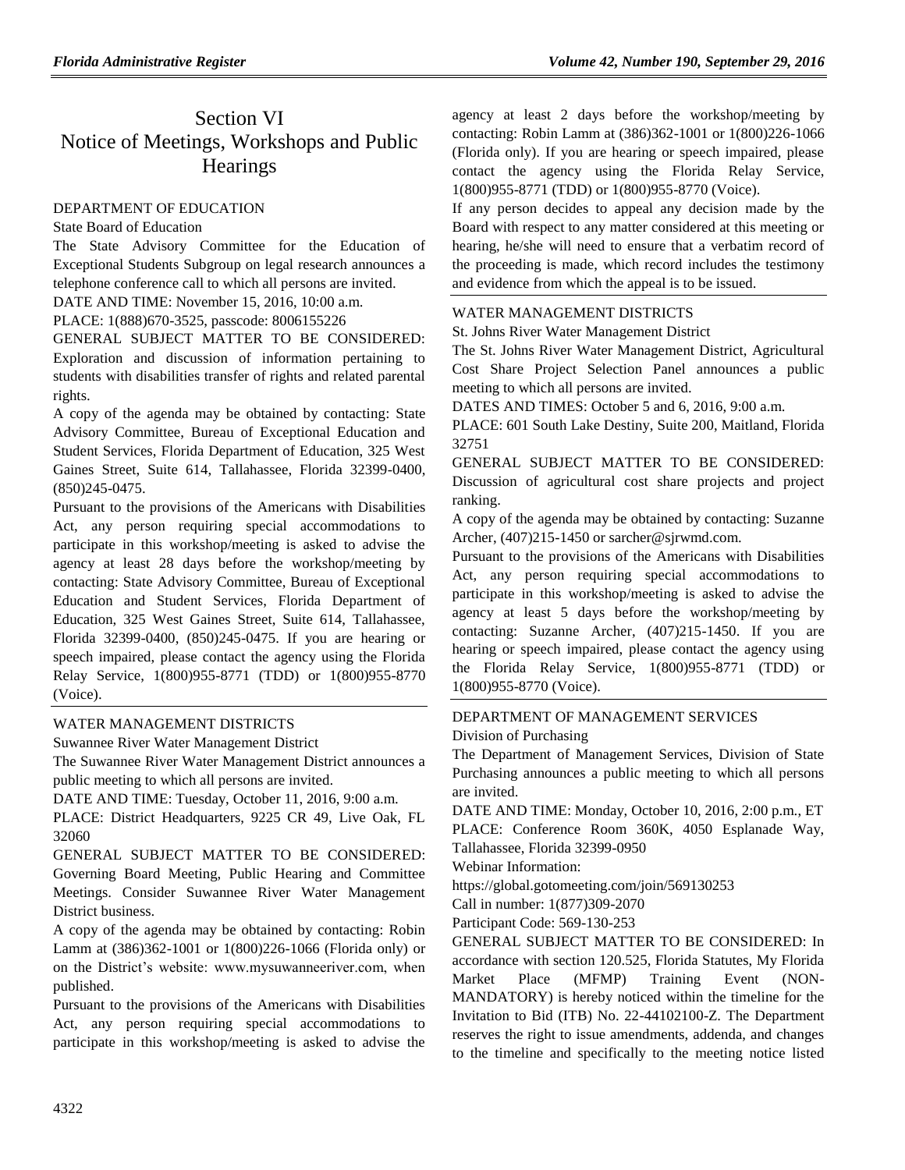# Section VI Notice of Meetings, Workshops and Public **Hearings**

# [DEPARTMENT OF EDUCATION](https://www.flrules.org/gateway/department.asp?id=6)

# [State Board of Education](https://www.flrules.org/gateway/organization.asp?id=195)

The State Advisory Committee for the Education of Exceptional Students Subgroup on legal research announces a telephone conference call to which all persons are invited.

DATE AND TIME: November 15, 2016, 10:00 a.m.

PLACE: 1(888)670-3525, passcode: 8006155226

GENERAL SUBJECT MATTER TO BE CONSIDERED: Exploration and discussion of information pertaining to students with disabilities transfer of rights and related parental rights.

A copy of the agenda may be obtained by contacting: State Advisory Committee, Bureau of Exceptional Education and Student Services, Florida Department of Education, 325 West Gaines Street, Suite 614, Tallahassee, Florida 32399-0400, (850)245-0475.

Pursuant to the provisions of the Americans with Disabilities Act, any person requiring special accommodations to participate in this workshop/meeting is asked to advise the agency at least 28 days before the workshop/meeting by contacting: State Advisory Committee, Bureau of Exceptional Education and Student Services, Florida Department of Education, 325 West Gaines Street, Suite 614, Tallahassee, Florida 32399-0400, (850)245-0475. If you are hearing or speech impaired, please contact the agency using the Florida Relay Service, 1(800)955-8771 (TDD) or 1(800)955-8770 (Voice).

# [WATER MANAGEMENT DISTRICTS](https://www.flrules.org/gateway/department.asp?id=40)

[Suwannee River Water Management District](https://www.flrules.org/gateway/organization.asp?id=121)

The Suwannee River Water Management District announces a public meeting to which all persons are invited.

DATE AND TIME: Tuesday, October 11, 2016, 9:00 a.m.

PLACE: District Headquarters, 9225 CR 49, Live Oak, FL 32060

GENERAL SUBJECT MATTER TO BE CONSIDERED: Governing Board Meeting, Public Hearing and Committee Meetings. Consider Suwannee River Water Management District business.

A copy of the agenda may be obtained by contacting: Robin Lamm at (386)362-1001 or 1(800)226-1066 (Florida only) or on the District's website: www.mysuwanneeriver.com, when published.

Pursuant to the provisions of the Americans with Disabilities Act, any person requiring special accommodations to participate in this workshop/meeting is asked to advise the

agency at least 2 days before the workshop/meeting by contacting: Robin Lamm at (386)362-1001 or 1(800)226-1066 (Florida only). If you are hearing or speech impaired, please contact the agency using the Florida Relay Service, 1(800)955-8771 (TDD) or 1(800)955-8770 (Voice).

If any person decides to appeal any decision made by the Board with respect to any matter considered at this meeting or hearing, he/she will need to ensure that a verbatim record of the proceeding is made, which record includes the testimony and evidence from which the appeal is to be issued.

## [WATER MANAGEMENT DISTRICTS](https://www.flrules.org/gateway/department.asp?id=40)

[St. Johns River Water Management District](https://www.flrules.org/gateway/organization.asp?id=122)

The St. Johns River Water Management District, Agricultural Cost Share Project Selection Panel announces a public meeting to which all persons are invited.

DATES AND TIMES: October 5 and 6, 2016, 9:00 a.m.

PLACE: 601 South Lake Destiny, Suite 200, Maitland, Florida 32751

GENERAL SUBJECT MATTER TO BE CONSIDERED: Discussion of agricultural cost share projects and project ranking.

A copy of the agenda may be obtained by contacting: Suzanne Archer, (407)215-1450 or sarcher@sjrwmd.com.

Pursuant to the provisions of the Americans with Disabilities Act, any person requiring special accommodations to participate in this workshop/meeting is asked to advise the agency at least 5 days before the workshop/meeting by contacting: Suzanne Archer, (407)215-1450. If you are hearing or speech impaired, please contact the agency using the Florida Relay Service, 1(800)955-8771 (TDD) or 1(800)955-8770 (Voice).

# [DEPARTMENT OF MANAGEMENT SERVICES](https://www.flrules.org/gateway/department.asp?id=60)

[Division of Purchasing](https://www.flrules.org/gateway/organization.asp?id=220)

The Department of Management Services, Division of State Purchasing announces a public meeting to which all persons are invited.

DATE AND TIME: Monday, October 10, 2016, 2:00 p.m., ET PLACE: Conference Room 360K, 4050 Esplanade Way, Tallahassee, Florida 32399-0950

Webinar Information:

https://global.gotomeeting.com/join/569130253

Call in number: 1(877)309-2070

Participant Code: 569-130-253

GENERAL SUBJECT MATTER TO BE CONSIDERED: In accordance with section 120.525, Florida Statutes, My Florida Market Place (MFMP) Training Event (NON-MANDATORY) is hereby noticed within the timeline for the Invitation to Bid (ITB) No. 22-44102100-Z. The Department reserves the right to issue amendments, addenda, and changes to the timeline and specifically to the meeting notice listed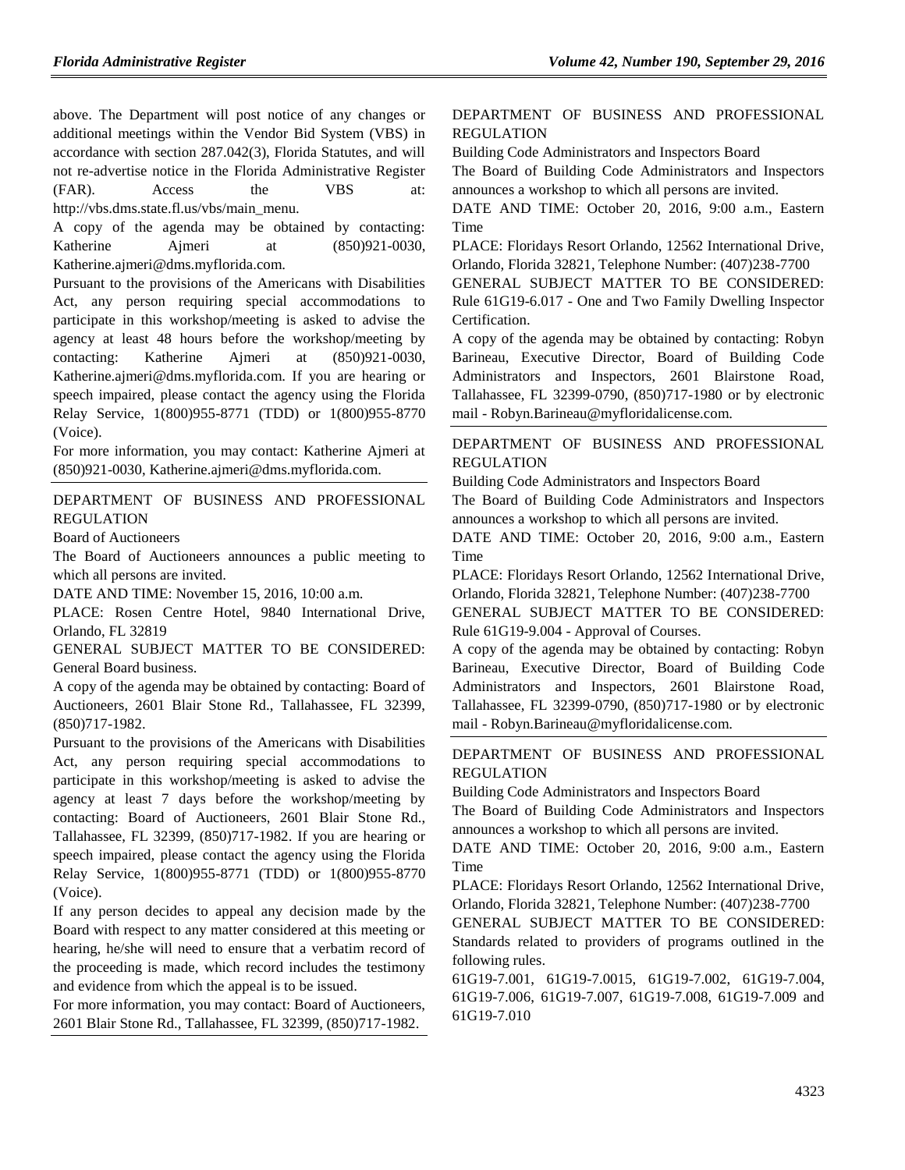above. The Department will post notice of any changes or additional meetings within the Vendor Bid System (VBS) in accordance with section 287.042(3), Florida Statutes, and will not re-advertise notice in the Florida Administrative Register (FAR). Access the VBS at: http://vbs.dms.state.fl.us/vbs/main\_menu.

A copy of the agenda may be obtained by contacting: Katherine Ajmeri at (850)921-0030, Katherine.ajmeri@dms.myflorida.com.

Pursuant to the provisions of the Americans with Disabilities Act, any person requiring special accommodations to participate in this workshop/meeting is asked to advise the agency at least 48 hours before the workshop/meeting by contacting: Katherine Ajmeri at (850)921-0030, Katherine.ajmeri@dms.myflorida.com. If you are hearing or speech impaired, please contact the agency using the Florida Relay Service, 1(800)955-8771 (TDD) or 1(800)955-8770 (Voice).

For more information, you may contact: Katherine Ajmeri at (850)921-0030, Katherine.ajmeri@dms.myflorida.com.

[DEPARTMENT OF BUSINESS AND PROFESSIONAL](https://www.flrules.org/gateway/department.asp?id=61)  [REGULATION](https://www.flrules.org/gateway/department.asp?id=61)

[Board of Auctioneers](https://www.flrules.org/gateway/organization.asp?id=272)

The Board of Auctioneers announces a public meeting to which all persons are invited.

DATE AND TIME: November 15, 2016, 10:00 a.m.

PLACE: Rosen Centre Hotel, 9840 International Drive, Orlando, FL 32819

GENERAL SUBJECT MATTER TO BE CONSIDERED: General Board business.

A copy of the agenda may be obtained by contacting: Board of Auctioneers, 2601 Blair Stone Rd., Tallahassee, FL 32399, (850)717-1982.

Pursuant to the provisions of the Americans with Disabilities Act, any person requiring special accommodations to participate in this workshop/meeting is asked to advise the agency at least 7 days before the workshop/meeting by contacting: Board of Auctioneers, 2601 Blair Stone Rd., Tallahassee, FL 32399, (850)717-1982. If you are hearing or speech impaired, please contact the agency using the Florida Relay Service, 1(800)955-8771 (TDD) or 1(800)955-8770 (Voice).

If any person decides to appeal any decision made by the Board with respect to any matter considered at this meeting or hearing, he/she will need to ensure that a verbatim record of the proceeding is made, which record includes the testimony and evidence from which the appeal is to be issued.

For more information, you may contact: Board of Auctioneers, 2601 Blair Stone Rd., Tallahassee, FL 32399, (850)717-1982.

#### [DEPARTMENT OF BUSINESS AND PROFESSIONAL](https://www.flrules.org/gateway/department.asp?id=61)  [REGULATION](https://www.flrules.org/gateway/department.asp?id=61)

[Building Code Administrators and Inspectors Board](https://www.flrules.org/gateway/organization.asp?id=271) The Board of Building Code Administrators and Inspectors announces a workshop to which all persons are invited.

DATE AND TIME: October 20, 2016, 9:00 a.m., Eastern Time

PLACE: Floridays Resort Orlando, 12562 International Drive, Orlando, Florida 32821, Telephone Number: (407)238-7700

GENERAL SUBJECT MATTER TO BE CONSIDERED: Rule 61G19-6.017 - One and Two Family Dwelling Inspector Certification.

A copy of the agenda may be obtained by contacting: Robyn Barineau, Executive Director, Board of Building Code Administrators and Inspectors, 2601 Blairstone Road, Tallahassee, FL 32399-0790, (850)717-1980 or by electronic mail - Robyn.Barineau@myfloridalicense.com.

[DEPARTMENT OF BUSINESS AND PROFESSIONAL](https://www.flrules.org/gateway/department.asp?id=61)  [REGULATION](https://www.flrules.org/gateway/department.asp?id=61)

[Building Code Administrators and Inspectors Board](https://www.flrules.org/gateway/organization.asp?id=271)

The Board of Building Code Administrators and Inspectors announces a workshop to which all persons are invited.

DATE AND TIME: October 20, 2016, 9:00 a.m., Eastern Time

PLACE: Floridays Resort Orlando, 12562 International Drive, Orlando, Florida 32821, Telephone Number: (407)238-7700

GENERAL SUBJECT MATTER TO BE CONSIDERED: Rule 61G19-9.004 - Approval of Courses.

A copy of the agenda may be obtained by contacting: Robyn Barineau, Executive Director, Board of Building Code Administrators and Inspectors, 2601 Blairstone Road, Tallahassee, FL 32399-0790, (850)717-1980 or by electronic mail - Robyn.Barineau@myfloridalicense.com.

[DEPARTMENT OF BUSINESS AND PROFESSIONAL](https://www.flrules.org/gateway/department.asp?id=61)  [REGULATION](https://www.flrules.org/gateway/department.asp?id=61)

[Building Code Administrators and Inspectors Board](https://www.flrules.org/gateway/organization.asp?id=271)

The Board of Building Code Administrators and Inspectors announces a workshop to which all persons are invited.

DATE AND TIME: October 20, 2016, 9:00 a.m., Eastern Time

PLACE: Floridays Resort Orlando, 12562 International Drive, Orlando, Florida 32821, Telephone Number: (407)238-7700

GENERAL SUBJECT MATTER TO BE CONSIDERED: Standards related to providers of programs outlined in the following rules.

61G19-7.001, 61G19-7.0015, 61G19-7.002, 61G19-7.004, 61G19-7.006, 61G19-7.007, 61G19-7.008, 61G19-7.009 and 61G19-7.010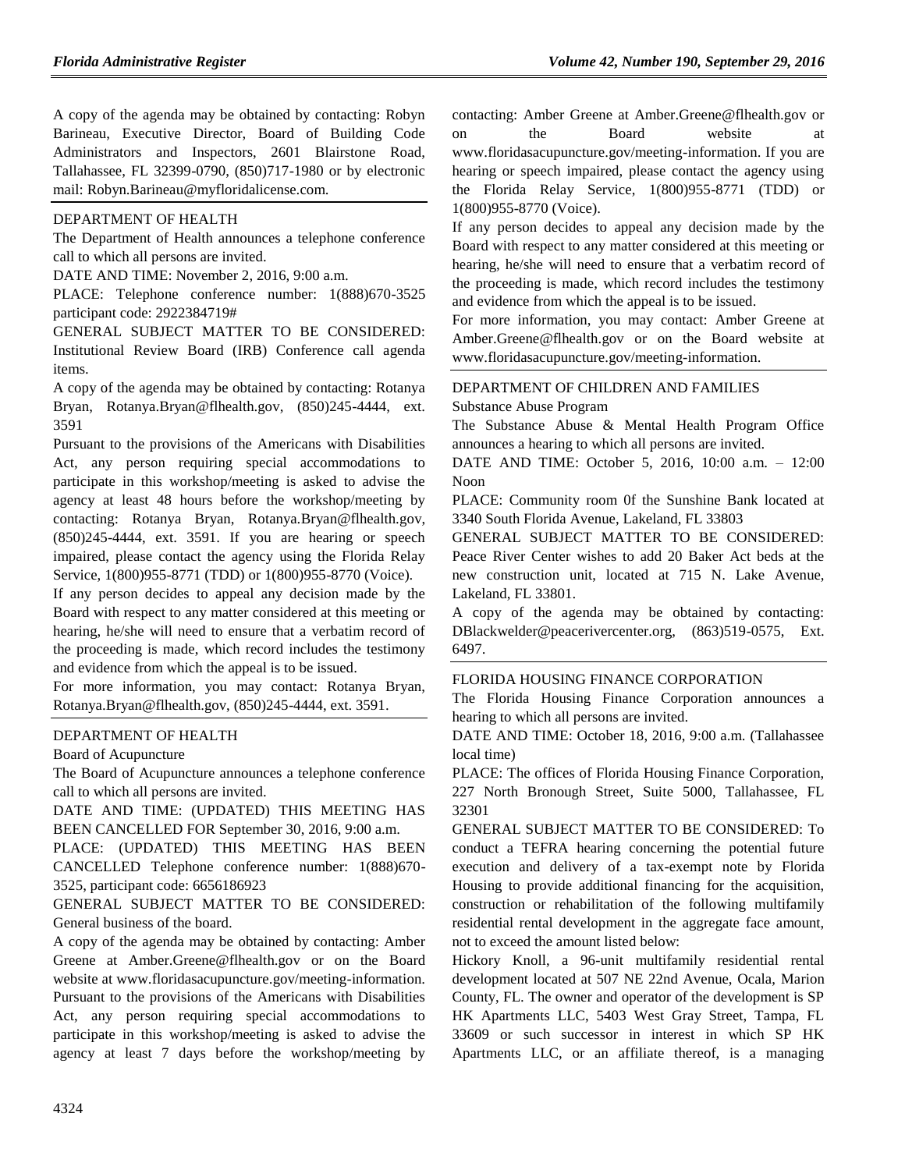A copy of the agenda may be obtained by contacting: Robyn Barineau, Executive Director, Board of Building Code Administrators and Inspectors, 2601 Blairstone Road, Tallahassee, FL 32399-0790, (850)717-1980 or by electronic mail: Robyn.Barineau@myfloridalicense.com.

#### [DEPARTMENT OF HEALTH](https://www.flrules.org/gateway/department.asp?id=64)

The Department of Health announces a telephone conference call to which all persons are invited.

DATE AND TIME: November 2, 2016, 9:00 a.m.

PLACE: Telephone conference number: 1(888)670-3525 participant code: 2922384719#

GENERAL SUBJECT MATTER TO BE CONSIDERED: Institutional Review Board (IRB) Conference call agenda items.

A copy of the agenda may be obtained by contacting: Rotanya Bryan, Rotanya.Bryan@flhealth.gov, (850)245-4444, ext. 3591

Pursuant to the provisions of the Americans with Disabilities Act, any person requiring special accommodations to participate in this workshop/meeting is asked to advise the agency at least 48 hours before the workshop/meeting by contacting: Rotanya Bryan, Rotanya.Bryan@flhealth.gov, (850)245-4444, ext. 3591. If you are hearing or speech impaired, please contact the agency using the Florida Relay Service, 1(800)955-8771 (TDD) or 1(800)955-8770 (Voice).

If any person decides to appeal any decision made by the Board with respect to any matter considered at this meeting or hearing, he/she will need to ensure that a verbatim record of the proceeding is made, which record includes the testimony and evidence from which the appeal is to be issued.

For more information, you may contact: Rotanya Bryan, Rotanya.Bryan@flhealth.gov, (850)245-4444, ext. 3591.

## [DEPARTMENT OF HEALTH](https://www.flrules.org/gateway/department.asp?id=64)

[Board of Acupuncture](https://www.flrules.org/gateway/organization.asp?id=300)

The Board of Acupuncture announces a telephone conference call to which all persons are invited.

DATE AND TIME: (UPDATED) THIS MEETING HAS BEEN CANCELLED FOR September 30, 2016, 9:00 a.m.

PLACE: (UPDATED) THIS MEETING HAS BEEN CANCELLED Telephone conference number: 1(888)670- 3525, participant code: 6656186923

GENERAL SUBJECT MATTER TO BE CONSIDERED: General business of the board.

A copy of the agenda may be obtained by contacting: Amber Greene at Amber.Greene@flhealth.gov or on the Board website at www.floridasacupuncture.gov/meeting-information. Pursuant to the provisions of the Americans with Disabilities Act, any person requiring special accommodations to participate in this workshop/meeting is asked to advise the agency at least 7 days before the workshop/meeting by

contacting: Amber Greene at Amber.Greene@flhealth.gov or on the Board website at www.floridasacupuncture.gov/meeting-information. If you are hearing or speech impaired, please contact the agency using the Florida Relay Service, 1(800)955-8771 (TDD) or 1(800)955-8770 (Voice).

If any person decides to appeal any decision made by the Board with respect to any matter considered at this meeting or hearing, he/she will need to ensure that a verbatim record of the proceeding is made, which record includes the testimony and evidence from which the appeal is to be issued.

For more information, you may contact: Amber Greene at Amber.Greene@flhealth.gov or on the Board website at www.floridasacupuncture.gov/meeting-information.

### [DEPARTMENT OF CHILDREN AND FAMILIES](https://www.flrules.org/gateway/department.asp?id=65) [Substance Abuse Program](https://www.flrules.org/gateway/organization.asp?id=343)

The Substance Abuse & Mental Health Program Office announces a hearing to which all persons are invited.

DATE AND TIME: October 5, 2016, 10:00 a.m. – 12:00 Noon

PLACE: Community room 0f the Sunshine Bank located at 3340 South Florida Avenue, Lakeland, FL 33803

GENERAL SUBJECT MATTER TO BE CONSIDERED: Peace River Center wishes to add 20 Baker Act beds at the new construction unit, located at 715 N. Lake Avenue, Lakeland, FL 33801.

A copy of the agenda may be obtained by contacting: DBlackwelder@peacerivercenter.org, (863)519-0575, Ext. 6497.

#### [FLORIDA HOUSING FINANCE CORPORATION](https://www.flrules.org/gateway/department.asp?id=67)

The Florida Housing Finance Corporation announces a hearing to which all persons are invited.

DATE AND TIME: October 18, 2016, 9:00 a.m. (Tallahassee local time)

PLACE: The offices of Florida Housing Finance Corporation, 227 North Bronough Street, Suite 5000, Tallahassee, FL 32301

GENERAL SUBJECT MATTER TO BE CONSIDERED: To conduct a TEFRA hearing concerning the potential future execution and delivery of a tax-exempt note by Florida Housing to provide additional financing for the acquisition, construction or rehabilitation of the following multifamily residential rental development in the aggregate face amount, not to exceed the amount listed below:

Hickory Knoll, a 96-unit multifamily residential rental development located at 507 NE 22nd Avenue, Ocala, Marion County, FL. The owner and operator of the development is SP HK Apartments LLC, 5403 West Gray Street, Tampa, FL 33609 or such successor in interest in which SP HK Apartments LLC, or an affiliate thereof, is a managing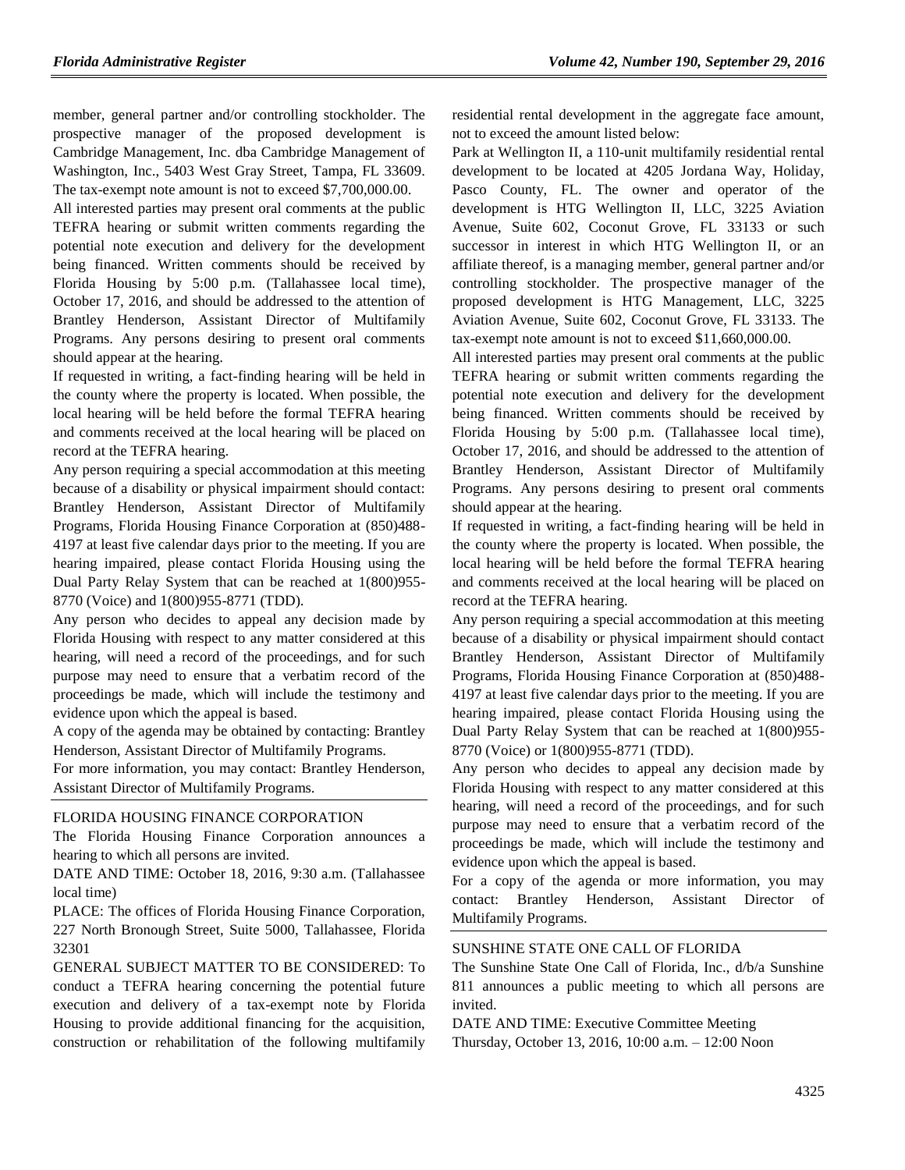member, general partner and/or controlling stockholder. The prospective manager of the proposed development is Cambridge Management, Inc. dba Cambridge Management of Washington, Inc., 5403 West Gray Street, Tampa, FL 33609. The tax-exempt note amount is not to exceed \$7,700,000.00.

All interested parties may present oral comments at the public TEFRA hearing or submit written comments regarding the potential note execution and delivery for the development being financed. Written comments should be received by Florida Housing by 5:00 p.m. (Tallahassee local time), October 17, 2016, and should be addressed to the attention of Brantley Henderson, Assistant Director of Multifamily Programs. Any persons desiring to present oral comments should appear at the hearing.

If requested in writing, a fact-finding hearing will be held in the county where the property is located. When possible, the local hearing will be held before the formal TEFRA hearing and comments received at the local hearing will be placed on record at the TEFRA hearing.

Any person requiring a special accommodation at this meeting because of a disability or physical impairment should contact: Brantley Henderson, Assistant Director of Multifamily Programs, Florida Housing Finance Corporation at (850)488- 4197 at least five calendar days prior to the meeting. If you are hearing impaired, please contact Florida Housing using the Dual Party Relay System that can be reached at 1(800)955- 8770 (Voice) and 1(800)955-8771 (TDD).

Any person who decides to appeal any decision made by Florida Housing with respect to any matter considered at this hearing, will need a record of the proceedings, and for such purpose may need to ensure that a verbatim record of the proceedings be made, which will include the testimony and evidence upon which the appeal is based.

A copy of the agenda may be obtained by contacting: Brantley Henderson, Assistant Director of Multifamily Programs.

For more information, you may contact: Brantley Henderson, Assistant Director of Multifamily Programs.

### [FLORIDA HOUSING FINANCE CORPORATION](https://www.flrules.org/gateway/department.asp?id=67)

The Florida Housing Finance Corporation announces a hearing to which all persons are invited.

DATE AND TIME: October 18, 2016, 9:30 a.m. (Tallahassee local time)

PLACE: The offices of Florida Housing Finance Corporation, 227 North Bronough Street, Suite 5000, Tallahassee, Florida 32301

GENERAL SUBJECT MATTER TO BE CONSIDERED: To conduct a TEFRA hearing concerning the potential future execution and delivery of a tax-exempt note by Florida Housing to provide additional financing for the acquisition, construction or rehabilitation of the following multifamily residential rental development in the aggregate face amount, not to exceed the amount listed below:

Park at Wellington II, a 110-unit multifamily residential rental development to be located at 4205 Jordana Way, Holiday, Pasco County, FL. The owner and operator of the development is HTG Wellington II, LLC, 3225 Aviation Avenue, Suite 602, Coconut Grove, FL 33133 or such successor in interest in which HTG Wellington II, or an affiliate thereof, is a managing member, general partner and/or controlling stockholder. The prospective manager of the proposed development is HTG Management, LLC, 3225 Aviation Avenue, Suite 602, Coconut Grove, FL 33133. The tax-exempt note amount is not to exceed \$11,660,000.00.

All interested parties may present oral comments at the public TEFRA hearing or submit written comments regarding the potential note execution and delivery for the development being financed. Written comments should be received by Florida Housing by 5:00 p.m. (Tallahassee local time), October 17, 2016, and should be addressed to the attention of Brantley Henderson, Assistant Director of Multifamily Programs. Any persons desiring to present oral comments should appear at the hearing.

If requested in writing, a fact-finding hearing will be held in the county where the property is located. When possible, the local hearing will be held before the formal TEFRA hearing and comments received at the local hearing will be placed on record at the TEFRA hearing.

Any person requiring a special accommodation at this meeting because of a disability or physical impairment should contact Brantley Henderson, Assistant Director of Multifamily Programs, Florida Housing Finance Corporation at (850)488- 4197 at least five calendar days prior to the meeting. If you are hearing impaired, please contact Florida Housing using the Dual Party Relay System that can be reached at 1(800)955- 8770 (Voice) or 1(800)955-8771 (TDD).

Any person who decides to appeal any decision made by Florida Housing with respect to any matter considered at this hearing, will need a record of the proceedings, and for such purpose may need to ensure that a verbatim record of the proceedings be made, which will include the testimony and evidence upon which the appeal is based.

For a copy of the agenda or more information, you may contact: Brantley Henderson, Assistant Director of Multifamily Programs.

#### [SUNSHINE STATE ONE CALL OF FLORIDA](https://www.flrules.org/gateway/organization.asp?id=700)

The Sunshine State One Call of Florida, Inc., d/b/a Sunshine 811 announces a public meeting to which all persons are invited.

DATE AND TIME: Executive Committee Meeting Thursday, October 13, 2016, 10:00 a.m. – 12:00 Noon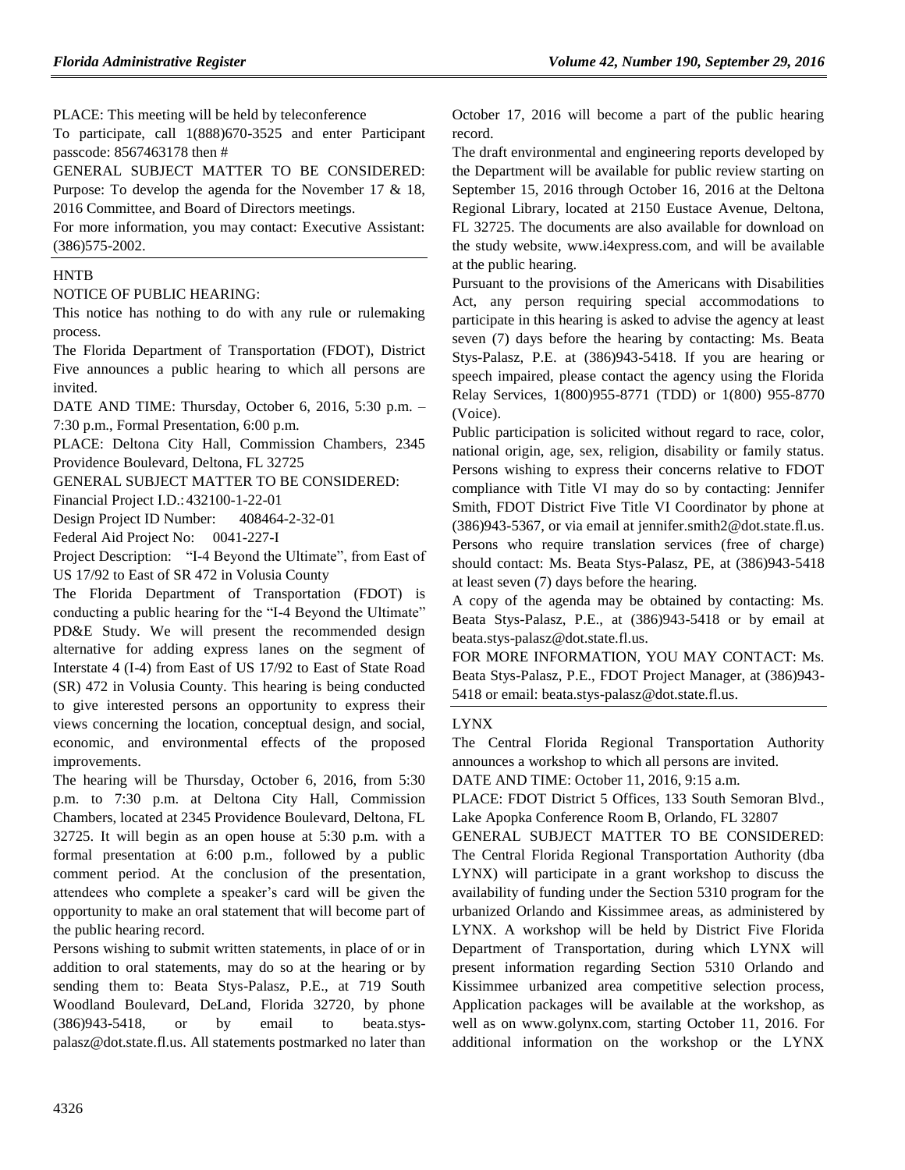PLACE: This meeting will be held by teleconference

To participate, call 1(888)670-3525 and enter Participant passcode: 8567463178 then #

GENERAL SUBJECT MATTER TO BE CONSIDERED: Purpose: To develop the agenda for the November 17 & 18, 2016 Committee, and Board of Directors meetings.

For more information, you may contact: Executive Assistant: (386)575-2002.

#### **[HNTB](https://www.flrules.org/gateway/organization.asp?id=987)**

### NOTICE OF PUBLIC HEARING:

This notice has nothing to do with any rule or rulemaking process.

The Florida Department of Transportation (FDOT), District Five announces a public hearing to which all persons are invited.

DATE AND TIME: Thursday, October 6, 2016, 5:30 p.m. – 7:30 p.m., Formal Presentation, 6:00 p.m.

PLACE: Deltona City Hall, Commission Chambers, 2345 Providence Boulevard, Deltona, FL 32725

GENERAL SUBJECT MATTER TO BE CONSIDERED:

Financial Project I.D.:432100-1-22-01

Design Project ID Number: 408464-2-32-01

Federal Aid Project No: 0041-227-I

Project Description: "I-4 Beyond the Ultimate", from East of US 17/92 to East of SR 472 in Volusia County

The Florida Department of Transportation (FDOT) is conducting a public hearing for the "I-4 Beyond the Ultimate" PD&E Study. We will present the recommended design alternative for adding express lanes on the segment of Interstate 4 (I-4) from East of US 17/92 to East of State Road (SR) 472 in Volusia County. This hearing is being conducted to give interested persons an opportunity to express their views concerning the location, conceptual design, and social, economic, and environmental effects of the proposed improvements.

The hearing will be Thursday, October 6, 2016, from 5:30 p.m. to 7:30 p.m. at Deltona City Hall, Commission Chambers, located at 2345 Providence Boulevard, Deltona, FL 32725. It will begin as an open house at 5:30 p.m. with a formal presentation at 6:00 p.m., followed by a public comment period. At the conclusion of the presentation, attendees who complete a speaker's card will be given the opportunity to make an oral statement that will become part of the public hearing record.

Persons wishing to submit written statements, in place of or in addition to oral statements, may do so at the hearing or by sending them to: Beata Stys-Palasz, P.E., at 719 South Woodland Boulevard, DeLand, Florida 32720, by phone (386)943-5418, or by email to [beata.stys](mailto:beata.stys-palasz@dot.state.fl.us)[palasz@dot.state.fl.us.](mailto:beata.stys-palasz@dot.state.fl.us) All statements postmarked no later than October 17, 2016 will become a part of the public hearing record.

The draft environmental and engineering reports developed by the Department will be available for public review starting on September 15, 2016 through October 16, 2016 at the Deltona Regional Library, located at 2150 Eustace Avenue, Deltona, FL 32725. The documents are also available for download on the study website, [www.i4express.com,](http://www.i4express.com/) and will be available at the public hearing.

Pursuant to the provisions of the Americans with Disabilities Act, any person requiring special accommodations to participate in this hearing is asked to advise the agency at least seven (7) days before the hearing by contacting: Ms. Beata Stys-Palasz, P.E. at (386)943-5418. If you are hearing or speech impaired, please contact the agency using the Florida Relay Services, 1(800)955-8771 (TDD) or 1(800) 955-8770 (Voice).

Public participation is solicited without regard to race, color, national origin, age, sex, religion, disability or family status. Persons wishing to express their concerns relative to FDOT compliance with Title VI may do so by contacting: Jennifer Smith, FDOT District Five Title VI Coordinator by phone at (386)943-5367, or via email at [jennifer.smith2@dot.state.fl.us.](mailto:jennifer.smith2@dot.state.fl.us) Persons who require translation services (free of charge) should contact: Ms. Beata Stys-Palasz, PE, at (386)943-5418 at least seven (7) days before the hearing.

A copy of the agenda may be obtained by contacting: Ms. Beata Stys-Palasz, P.E., at (386)943-5418 or by email at [beata.stys-palasz@dot.state.fl.us.](mailto:beata.stys-palasz@dot.state.fl.us)

FOR MORE INFORMATION, YOU MAY CONTACT: Ms. Beata Stys-Palasz, P.E., FDOT Project Manager, at (386)943- 5418 or email: [beata.stys-palasz@dot.state.fl.us.](mailto:beata.stys-palasz@dot.state.fl.us)

## [LYNX](https://www.flrules.org/gateway/organization.asp?id=1255)

The Central Florida Regional Transportation Authority announces a workshop to which all persons are invited.

DATE AND TIME: October 11, 2016, 9:15 a.m.

PLACE: FDOT District 5 Offices, 133 South Semoran Blvd., Lake Apopka Conference Room B, Orlando, FL 32807

GENERAL SUBJECT MATTER TO BE CONSIDERED: The Central Florida Regional Transportation Authority (dba LYNX) will participate in a grant workshop to discuss the availability of funding under the Section 5310 program for the urbanized Orlando and Kissimmee areas, as administered by LYNX. A workshop will be held by District Five Florida Department of Transportation, during which LYNX will present information regarding Section 5310 Orlando and Kissimmee urbanized area competitive selection process, Application packages will be available at the workshop, as well as on www.golynx.com, starting October 11, 2016. For additional information on the workshop or the LYNX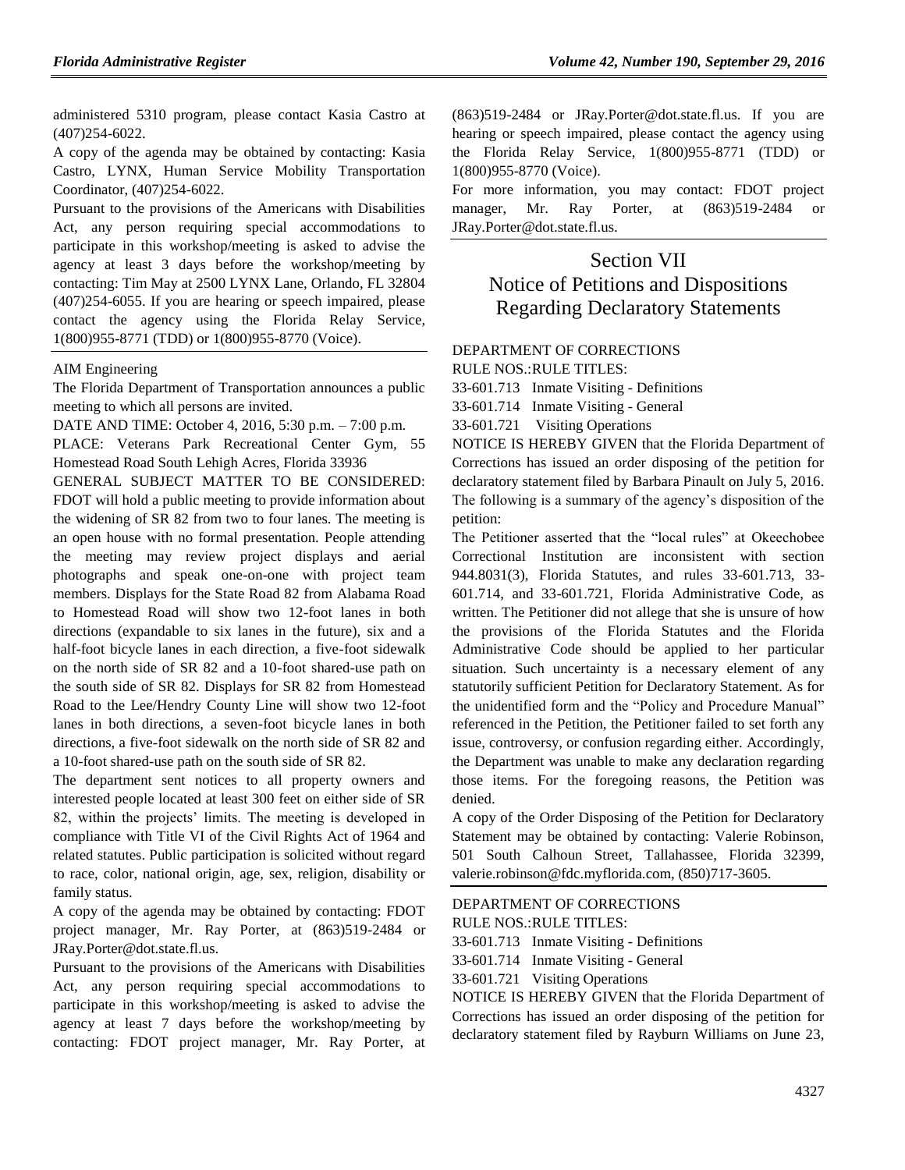administered 5310 program, please contact Kasia Castro at (407)254-6022.

A copy of the agenda may be obtained by contacting: Kasia Castro, LYNX, Human Service Mobility Transportation Coordinator, (407)254-6022.

Pursuant to the provisions of the Americans with Disabilities Act, any person requiring special accommodations to participate in this workshop/meeting is asked to advise the agency at least 3 days before the workshop/meeting by contacting: Tim May at 2500 LYNX Lane, Orlando, FL 32804 (407)254-6055. If you are hearing or speech impaired, please contact the agency using the Florida Relay Service, 1(800)955-8771 (TDD) or 1(800)955-8770 (Voice).

### [AIM Engineering](https://www.flrules.org/gateway/organization.asp?id=1034)

The Florida Department of Transportation announces a public meeting to which all persons are invited.

DATE AND TIME: October 4, 2016, 5:30 p.m. – 7:00 p.m.

PLACE: Veterans Park Recreational Center Gym, 55 Homestead Road South Lehigh Acres, Florida 33936

GENERAL SUBJECT MATTER TO BE CONSIDERED: FDOT will hold a public meeting to provide information about the widening of SR 82 from two to four lanes. The meeting is an open house with no formal presentation. People attending the meeting may review project displays and aerial photographs and speak one-on-one with project team members. Displays for the State Road 82 from Alabama Road to Homestead Road will show two 12-foot lanes in both directions (expandable to six lanes in the future), six and a half-foot bicycle lanes in each direction, a five-foot sidewalk on the north side of SR 82 and a 10-foot shared-use path on the south side of SR 82. Displays for SR 82 from Homestead Road to the Lee/Hendry County Line will show two 12-foot lanes in both directions, a seven-foot bicycle lanes in both directions, a five-foot sidewalk on the north side of SR 82 and a 10-foot shared-use path on the south side of SR 82.

The department sent notices to all property owners and interested people located at least 300 feet on either side of SR 82, within the projects' limits. The meeting is developed in compliance with Title VI of the Civil Rights Act of 1964 and related statutes. Public participation is solicited without regard to race, color, national origin, age, sex, religion, disability or family status.

A copy of the agenda may be obtained by contacting: FDOT project manager, Mr. Ray Porter, at (863)519-2484 or JRay.Porter@dot.state.fl.us.

Pursuant to the provisions of the Americans with Disabilities Act, any person requiring special accommodations to participate in this workshop/meeting is asked to advise the agency at least 7 days before the workshop/meeting by contacting: FDOT project manager, Mr. Ray Porter, at (863)519-2484 or JRay.Porter@dot.state.fl.us. If you are hearing or speech impaired, please contact the agency using the Florida Relay Service, 1(800)955-8771 (TDD) or 1(800)955-8770 (Voice).

For more information, you may contact: FDOT project manager, Mr. Ray Porter, at (863)519-2484 or JRay.Porter@dot.state.fl.us.

# Section VII Notice of Petitions and Dispositions Regarding Declaratory Statements

## [DEPARTMENT OF CORRECTIONS](https://www.flrules.org/gateway/department.asp?id=33)

RULE NOS.:RULE TITLES:

[33-601.713](https://www.flrules.org/gateway/ruleNo.asp?id=33-601.713) Inmate Visiting - Definitions

[33-601.714](https://www.flrules.org/gateway/ruleNo.asp?id=33-601.714) Inmate Visiting - General

[33-601.721](https://www.flrules.org/gateway/ruleNo.asp?id=33-601.721) Visiting Operations

NOTICE IS HEREBY GIVEN that the Florida Department of Corrections has issued an order disposing of the petition for declaratory statement filed by Barbara Pinault on July 5, 2016. The following is a summary of the agency's disposition of the petition:

The Petitioner asserted that the "local rules" at Okeechobee Correctional Institution are inconsistent with section 944.8031(3), Florida Statutes, and rules 33-601.713, 33- 601.714, and 33-601.721, Florida Administrative Code, as written. The Petitioner did not allege that she is unsure of how the provisions of the Florida Statutes and the Florida Administrative Code should be applied to her particular situation. Such uncertainty is a necessary element of any statutorily sufficient Petition for Declaratory Statement. As for the unidentified form and the "Policy and Procedure Manual" referenced in the Petition, the Petitioner failed to set forth any issue, controversy, or confusion regarding either. Accordingly, the Department was unable to make any declaration regarding those items. For the foregoing reasons, the Petition was denied.

A copy of the Order Disposing of the Petition for Declaratory Statement may be obtained by contacting: Valerie Robinson, 501 South Calhoun Street, Tallahassee, Florida 32399, valerie.robinson@fdc.myflorida.com, (850)717-3605.

# [DEPARTMENT OF CORRECTIONS](https://www.flrules.org/gateway/department.asp?id=33)

RULE NOS.:RULE TITLES:

[33-601.713](https://www.flrules.org/gateway/ruleNo.asp?id=33-601.713) Inmate Visiting - Definitions

[33-601.714](https://www.flrules.org/gateway/ruleNo.asp?id=33-601.714) Inmate Visiting - General

[33-601.721](https://www.flrules.org/gateway/ruleNo.asp?id=33-601.721) Visiting Operations

NOTICE IS HEREBY GIVEN that the Florida Department of Corrections has issued an order disposing of the petition for declaratory statement filed by Rayburn Williams on June 23,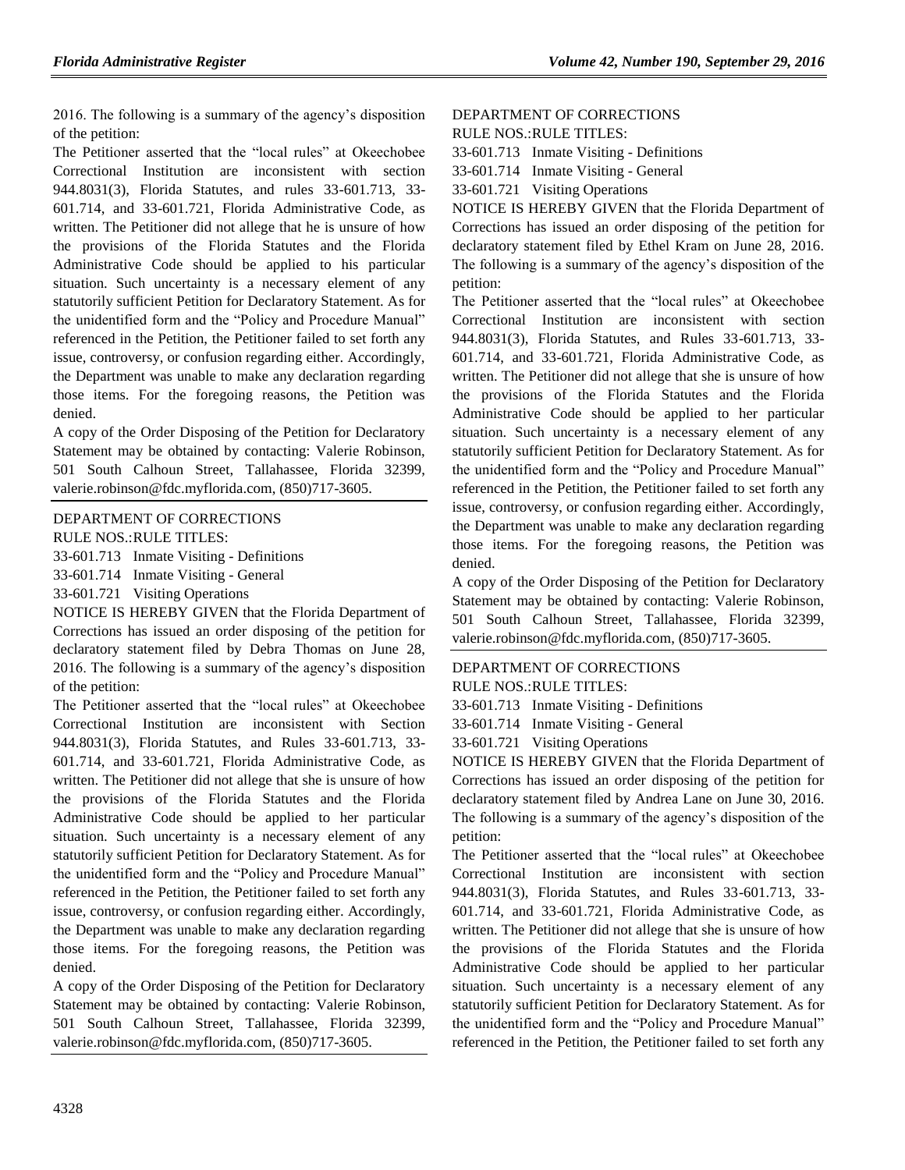2016. The following is a summary of the agency's disposition of the petition:

The Petitioner asserted that the "local rules" at Okeechobee Correctional Institution are inconsistent with section 944.8031(3), Florida Statutes, and rules 33-601.713, 33- 601.714, and 33-601.721, Florida Administrative Code, as written. The Petitioner did not allege that he is unsure of how the provisions of the Florida Statutes and the Florida Administrative Code should be applied to his particular situation. Such uncertainty is a necessary element of any statutorily sufficient Petition for Declaratory Statement. As for the unidentified form and the "Policy and Procedure Manual" referenced in the Petition, the Petitioner failed to set forth any issue, controversy, or confusion regarding either. Accordingly, the Department was unable to make any declaration regarding those items. For the foregoing reasons, the Petition was denied.

A copy of the Order Disposing of the Petition for Declaratory Statement may be obtained by contacting: Valerie Robinson, 501 South Calhoun Street, Tallahassee, Florida 32399, [valerie.robinson@fdc.myflorida.com,](mailto:valerie.robinson@fdc.myflorida.com) (850)717-3605.

### [DEPARTMENT OF CORRECTIONS](https://www.flrules.org/gateway/department.asp?id=33)

RULE NOS.:RULE TITLES:

[33-601.713](https://www.flrules.org/gateway/ruleNo.asp?id=33-601.713) Inmate Visiting - Definitions

[33-601.714](https://www.flrules.org/gateway/ruleNo.asp?id=33-601.714) Inmate Visiting - General

[33-601.721](https://www.flrules.org/gateway/ruleNo.asp?id=33-601.721) Visiting Operations

NOTICE IS HEREBY GIVEN that the Florida Department of Corrections has issued an order disposing of the petition for declaratory statement filed by Debra Thomas on June 28, 2016. The following is a summary of the agency's disposition of the petition:

The Petitioner asserted that the "local rules" at Okeechobee Correctional Institution are inconsistent with Section 944.8031(3), Florida Statutes, and Rules 33-601.713, 33- 601.714, and 33-601.721, Florida Administrative Code, as written. The Petitioner did not allege that she is unsure of how the provisions of the Florida Statutes and the Florida Administrative Code should be applied to her particular situation. Such uncertainty is a necessary element of any statutorily sufficient Petition for Declaratory Statement. As for the unidentified form and the "Policy and Procedure Manual" referenced in the Petition, the Petitioner failed to set forth any issue, controversy, or confusion regarding either. Accordingly, the Department was unable to make any declaration regarding those items. For the foregoing reasons, the Petition was denied.

A copy of the Order Disposing of the Petition for Declaratory Statement may be obtained by contacting: Valerie Robinson, 501 South Calhoun Street, Tallahassee, Florida 32399, [valerie.robinson@fdc.myflorida.com,](mailto:valerie.robinson@fdc.myflorida.com) (850)717-3605.

#### [DEPARTMENT OF CORRECTIONS](https://www.flrules.org/gateway/department.asp?id=33) RULE NOS.:RULE TITLES:

[33-601.713](https://www.flrules.org/gateway/ruleNo.asp?id=33-601.713) Inmate Visiting - Definitions

[33-601.714](https://www.flrules.org/gateway/ruleNo.asp?id=33-601.714) Inmate Visiting - General

[33-601.721](https://www.flrules.org/gateway/ruleNo.asp?id=33-601.721) Visiting Operations

NOTICE IS HEREBY GIVEN that the Florida Department of Corrections has issued an order disposing of the petition for declaratory statement filed by Ethel Kram on June 28, 2016. The following is a summary of the agency's disposition of the petition:

The Petitioner asserted that the "local rules" at Okeechobee Correctional Institution are inconsistent with section 944.8031(3), Florida Statutes, and Rules 33-601.713, 33- 601.714, and 33-601.721, Florida Administrative Code, as written. The Petitioner did not allege that she is unsure of how the provisions of the Florida Statutes and the Florida Administrative Code should be applied to her particular situation. Such uncertainty is a necessary element of any statutorily sufficient Petition for Declaratory Statement. As for the unidentified form and the "Policy and Procedure Manual" referenced in the Petition, the Petitioner failed to set forth any issue, controversy, or confusion regarding either. Accordingly, the Department was unable to make any declaration regarding those items. For the foregoing reasons, the Petition was denied.

A copy of the Order Disposing of the Petition for Declaratory Statement may be obtained by contacting: Valerie Robinson, 501 South Calhoun Street, Tallahassee, Florida 32399, [valerie.robinson@fdc.myflorida.com,](mailto:valerie.robinson@fdc.myflorida.com) (850)717-3605.

## [DEPARTMENT OF CORRECTIONS](https://www.flrules.org/gateway/department.asp?id=33) RULE NOS.:RULE TITLES:

[33-601.713](https://www.flrules.org/gateway/ruleNo.asp?id=33-601.713) Inmate Visiting - Definitions

[33-601.714](https://www.flrules.org/gateway/ruleNo.asp?id=33-601.714) Inmate Visiting - General

[33-601.721](https://www.flrules.org/gateway/ruleNo.asp?id=33-601.721) Visiting Operations

NOTICE IS HEREBY GIVEN that the Florida Department of Corrections has issued an order disposing of the petition for declaratory statement filed by Andrea Lane on June 30, 2016. The following is a summary of the agency's disposition of the petition:

The Petitioner asserted that the "local rules" at Okeechobee Correctional Institution are inconsistent with section 944.8031(3), Florida Statutes, and Rules 33-601.713, 33- 601.714, and 33-601.721, Florida Administrative Code, as written. The Petitioner did not allege that she is unsure of how the provisions of the Florida Statutes and the Florida Administrative Code should be applied to her particular situation. Such uncertainty is a necessary element of any statutorily sufficient Petition for Declaratory Statement. As for the unidentified form and the "Policy and Procedure Manual" referenced in the Petition, the Petitioner failed to set forth any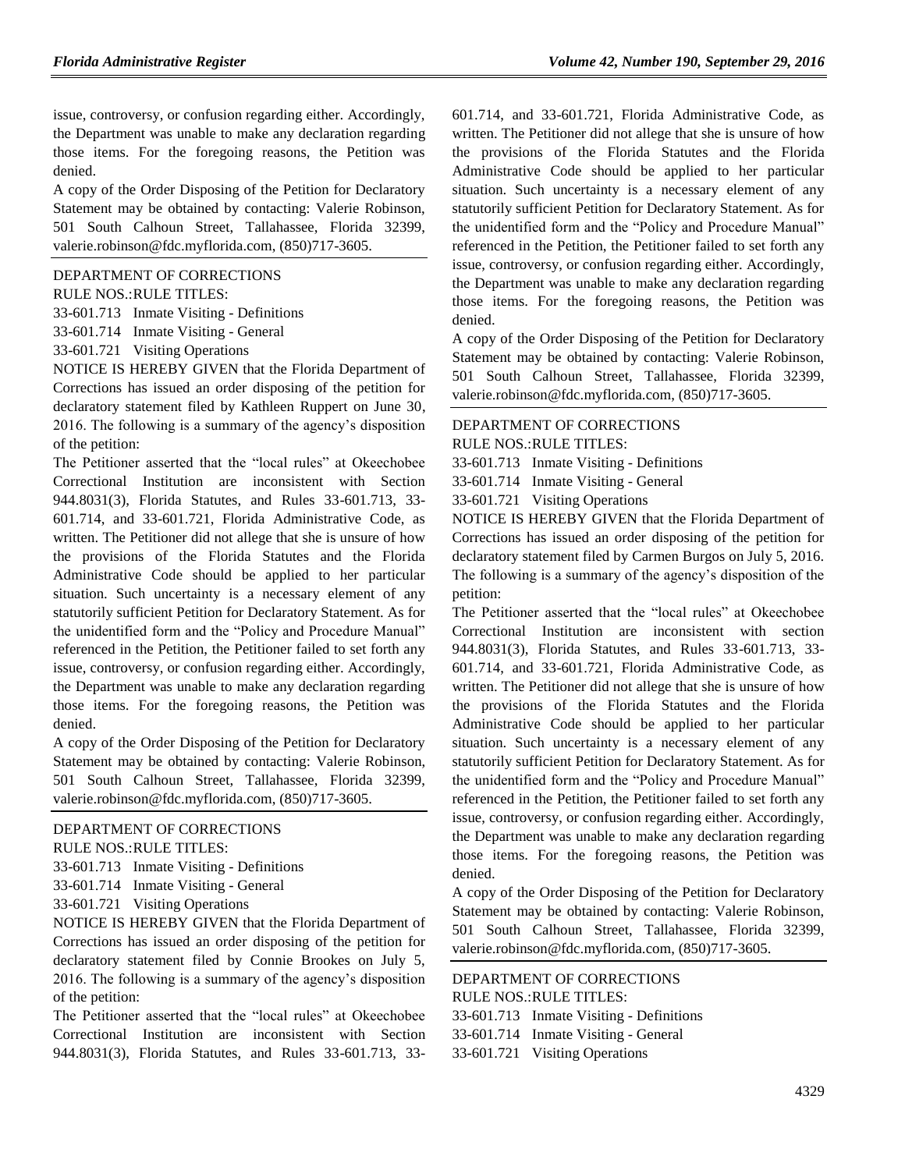issue, controversy, or confusion regarding either. Accordingly, the Department was unable to make any declaration regarding those items. For the foregoing reasons, the Petition was denied.

A copy of the Order Disposing of the Petition for Declaratory Statement may be obtained by contacting: Valerie Robinson, 501 South Calhoun Street, Tallahassee, Florida 32399, [valerie.robinson@fdc.myflorida.com,](mailto:valerie.robinson@fdc.myflorida.com) (850)717-3605.

#### [DEPARTMENT OF CORRECTIONS](https://www.flrules.org/gateway/department.asp?id=33)

RULE NOS.:RULE TITLES:

[33-601.713](https://www.flrules.org/gateway/ruleNo.asp?id=33-601.713) Inmate Visiting - Definitions

[33-601.714](https://www.flrules.org/gateway/ruleNo.asp?id=33-601.714) Inmate Visiting - General

[33-601.721](https://www.flrules.org/gateway/ruleNo.asp?id=33-601.721) Visiting Operations

NOTICE IS HEREBY GIVEN that the Florida Department of Corrections has issued an order disposing of the petition for declaratory statement filed by Kathleen Ruppert on June 30, 2016. The following is a summary of the agency's disposition of the petition:

The Petitioner asserted that the "local rules" at Okeechobee Correctional Institution are inconsistent with Section 944.8031(3), Florida Statutes, and Rules 33-601.713, 33- 601.714, and 33-601.721, Florida Administrative Code, as written. The Petitioner did not allege that she is unsure of how the provisions of the Florida Statutes and the Florida Administrative Code should be applied to her particular situation. Such uncertainty is a necessary element of any statutorily sufficient Petition for Declaratory Statement. As for the unidentified form and the "Policy and Procedure Manual" referenced in the Petition, the Petitioner failed to set forth any issue, controversy, or confusion regarding either. Accordingly, the Department was unable to make any declaration regarding those items. For the foregoing reasons, the Petition was denied.

A copy of the Order Disposing of the Petition for Declaratory Statement may be obtained by contacting: Valerie Robinson, 501 South Calhoun Street, Tallahassee, Florida 32399, [valerie.robinson@fdc.myflorida.com,](mailto:valerie.robinson@fdc.myflorida.com) (850)717-3605.

#### [DEPARTMENT OF CORRECTIONS](https://www.flrules.org/gateway/department.asp?id=33)

RULE NOS.:RULE TITLES:

[33-601.713](https://www.flrules.org/gateway/ruleNo.asp?id=33-601.713) Inmate Visiting - Definitions

[33-601.714](https://www.flrules.org/gateway/ruleNo.asp?id=33-601.714) Inmate Visiting - General

[33-601.721](https://www.flrules.org/gateway/ruleNo.asp?id=33-601.721) Visiting Operations

NOTICE IS HEREBY GIVEN that the Florida Department of Corrections has issued an order disposing of the petition for declaratory statement filed by Connie Brookes on July 5, 2016. The following is a summary of the agency's disposition of the petition:

The Petitioner asserted that the "local rules" at Okeechobee Correctional Institution are inconsistent with Section 944.8031(3), Florida Statutes, and Rules 33-601.713, 33601.714, and 33-601.721, Florida Administrative Code, as written. The Petitioner did not allege that she is unsure of how the provisions of the Florida Statutes and the Florida Administrative Code should be applied to her particular situation. Such uncertainty is a necessary element of any statutorily sufficient Petition for Declaratory Statement. As for the unidentified form and the "Policy and Procedure Manual" referenced in the Petition, the Petitioner failed to set forth any issue, controversy, or confusion regarding either. Accordingly, the Department was unable to make any declaration regarding those items. For the foregoing reasons, the Petition was denied.

A copy of the Order Disposing of the Petition for Declaratory Statement may be obtained by contacting: Valerie Robinson, 501 South Calhoun Street, Tallahassee, Florida 32399, [valerie.robinson@fdc.myflorida.com,](mailto:valerie.robinson@fdc.myflorida.com) (850)717-3605.

# [DEPARTMENT OF CORRECTIONS](https://www.flrules.org/gateway/department.asp?id=33)

RULE NOS.:RULE TITLES:

[33-601.713](https://www.flrules.org/gateway/ruleNo.asp?id=33-601.713) Inmate Visiting - Definitions

[33-601.714](https://www.flrules.org/gateway/ruleNo.asp?id=33-601.714) Inmate Visiting - General

[33-601.721](https://www.flrules.org/gateway/ruleNo.asp?id=33-601.721) Visiting Operations

NOTICE IS HEREBY GIVEN that the Florida Department of Corrections has issued an order disposing of the petition for declaratory statement filed by Carmen Burgos on July 5, 2016. The following is a summary of the agency's disposition of the petition:

The Petitioner asserted that the "local rules" at Okeechobee Correctional Institution are inconsistent with section 944.8031(3), Florida Statutes, and Rules 33-601.713, 33- 601.714, and 33-601.721, Florida Administrative Code, as written. The Petitioner did not allege that she is unsure of how the provisions of the Florida Statutes and the Florida Administrative Code should be applied to her particular situation. Such uncertainty is a necessary element of any statutorily sufficient Petition for Declaratory Statement. As for the unidentified form and the "Policy and Procedure Manual" referenced in the Petition, the Petitioner failed to set forth any issue, controversy, or confusion regarding either. Accordingly, the Department was unable to make any declaration regarding those items. For the foregoing reasons, the Petition was denied.

A copy of the Order Disposing of the Petition for Declaratory Statement may be obtained by contacting: Valerie Robinson, 501 South Calhoun Street, Tallahassee, Florida 32399, [valerie.robinson@fdc.myflorida.com,](mailto:valerie.robinson@fdc.myflorida.com) (850)717-3605.

# [DEPARTMENT OF CORRECTIONS](https://www.flrules.org/gateway/department.asp?id=33)

RULE NOS.:RULE TITLES: [33-601.713](https://www.flrules.org/gateway/ruleNo.asp?id=33-601.713) Inmate Visiting - Definitions [33-601.714](https://www.flrules.org/gateway/ruleNo.asp?id=33-601.714) Inmate Visiting - General [33-601.721](https://www.flrules.org/gateway/ruleNo.asp?id=33-601.721) Visiting Operations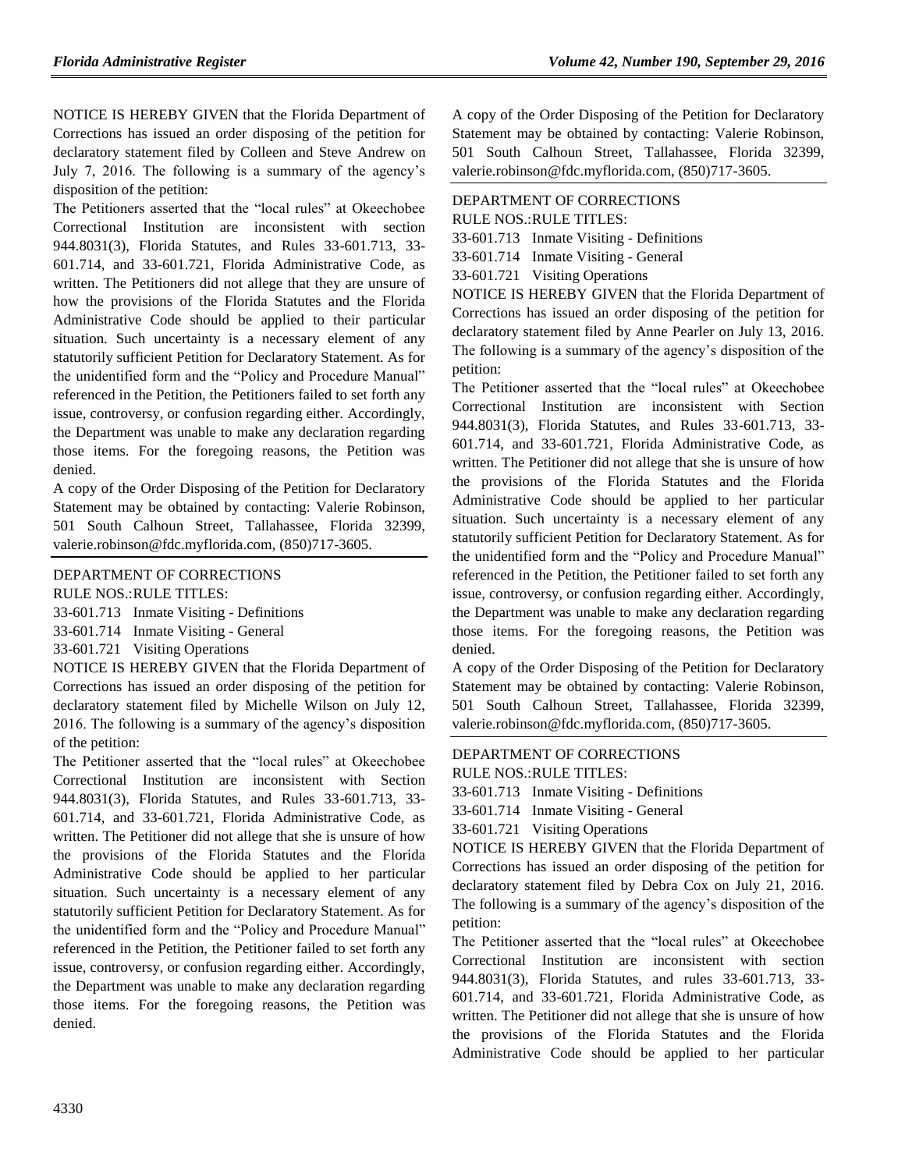NOTICE IS HEREBY GIVEN that the Florida Department of Corrections has issued an order disposing of the petition for declaratory statement filed by Colleen and Steve Andrew on July 7, 2016. The following is a summary of the agency's disposition of the petition:

The Petitioners asserted that the "local rules" at Okeechobee Correctional Institution are inconsistent with section 944.8031(3), Florida Statutes, and Rules 33-601.713, 33- 601.714, and 33-601.721, Florida Administrative Code, as written. The Petitioners did not allege that they are unsure of how the provisions of the Florida Statutes and the Florida Administrative Code should be applied to their particular situation. Such uncertainty is a necessary element of any statutorily sufficient Petition for Declaratory Statement. As for the unidentified form and the "Policy and Procedure Manual" referenced in the Petition, the Petitioners failed to set forth any issue, controversy, or confusion regarding either. Accordingly, the Department was unable to make any declaration regarding those items. For the foregoing reasons, the Petition was denied.

A copy of the Order Disposing of the Petition for Declaratory Statement may be obtained by contacting: Valerie Robinson, 501 South Calhoun Street, Tallahassee, Florida 32399, [valerie.robinson@fdc.myflorida.com,](mailto:valerie.robinson@fdc.myflorida.com) (850)717-3605.

# [DEPARTMENT OF CORRECTIONS](https://www.flrules.org/gateway/department.asp?id=33)

RULE NOS.:RULE TITLES:

[33-601.713](https://www.flrules.org/gateway/ruleNo.asp?id=33-601.713) Inmate Visiting - Definitions

[33-601.714](https://www.flrules.org/gateway/ruleNo.asp?id=33-601.714) Inmate Visiting - General

[33-601.721](https://www.flrules.org/gateway/ruleNo.asp?id=33-601.721) Visiting Operations

NOTICE IS HEREBY GIVEN that the Florida Department of Corrections has issued an order disposing of the petition for declaratory statement filed by Michelle Wilson on July 12, 2016. The following is a summary of the agency's disposition of the petition:

The Petitioner asserted that the "local rules" at Okeechobee Correctional Institution are inconsistent with Section 944.8031(3), Florida Statutes, and Rules 33-601.713, 33- 601.714, and 33-601.721, Florida Administrative Code, as written. The Petitioner did not allege that she is unsure of how the provisions of the Florida Statutes and the Florida Administrative Code should be applied to her particular situation. Such uncertainty is a necessary element of any statutorily sufficient Petition for Declaratory Statement. As for the unidentified form and the "Policy and Procedure Manual" referenced in the Petition, the Petitioner failed to set forth any issue, controversy, or confusion regarding either. Accordingly, the Department was unable to make any declaration regarding those items. For the foregoing reasons, the Petition was denied.

A copy of the Order Disposing of the Petition for Declaratory Statement may be obtained by contacting: Valerie Robinson, 501 South Calhoun Street, Tallahassee, Florida 32399, valerie.robinson@fdc.myflorida.com, (850)717-3605.

# [DEPARTMENT OF CORRECTIONS](https://www.flrules.org/gateway/department.asp?id=33)

RULE NOS.:RULE TITLES:

[33-601.713](https://www.flrules.org/gateway/ruleNo.asp?id=33-601.713) Inmate Visiting - Definitions

[33-601.714](https://www.flrules.org/gateway/ruleNo.asp?id=33-601.714) Inmate Visiting - General

[33-601.721](https://www.flrules.org/gateway/ruleNo.asp?id=33-601.721) Visiting Operations

NOTICE IS HEREBY GIVEN that the Florida Department of Corrections has issued an order disposing of the petition for declaratory statement filed by Anne Pearler on July 13, 2016. The following is a summary of the agency's disposition of the petition:

The Petitioner asserted that the "local rules" at Okeechobee Correctional Institution are inconsistent with Section 944.8031(3), Florida Statutes, and Rules 33-601.713, 33- 601.714, and 33-601.721, Florida Administrative Code, as written. The Petitioner did not allege that she is unsure of how the provisions of the Florida Statutes and the Florida Administrative Code should be applied to her particular situation. Such uncertainty is a necessary element of any statutorily sufficient Petition for Declaratory Statement. As for the unidentified form and the "Policy and Procedure Manual" referenced in the Petition, the Petitioner failed to set forth any issue, controversy, or confusion regarding either. Accordingly, the Department was unable to make any declaration regarding those items. For the foregoing reasons, the Petition was denied.

A copy of the Order Disposing of the Petition for Declaratory Statement may be obtained by contacting: Valerie Robinson, 501 South Calhoun Street, Tallahassee, Florida 32399, [valerie.robinson@fdc.myflorida.com,](mailto:valerie.robinson@fdc.myflorida.com) (850)717-3605.

# [DEPARTMENT OF CORRECTIONS](https://www.flrules.org/gateway/department.asp?id=33)

RULE NOS.:RULE TITLES:

[33-601.713](https://www.flrules.org/gateway/ruleNo.asp?id=33-601.713) Inmate Visiting - Definitions

[33-601.714](https://www.flrules.org/gateway/ruleNo.asp?id=33-601.714) Inmate Visiting - General

[33-601.721](https://www.flrules.org/gateway/ruleNo.asp?id=33-601.721) Visiting Operations

NOTICE IS HEREBY GIVEN that the Florida Department of Corrections has issued an order disposing of the petition for declaratory statement filed by Debra Cox on July 21, 2016. The following is a summary of the agency's disposition of the petition:

The Petitioner asserted that the "local rules" at Okeechobee Correctional Institution are inconsistent with section 944.8031(3), Florida Statutes, and rules 33-601.713, 33- 601.714, and 33-601.721, Florida Administrative Code, as written. The Petitioner did not allege that she is unsure of how the provisions of the Florida Statutes and the Florida Administrative Code should be applied to her particular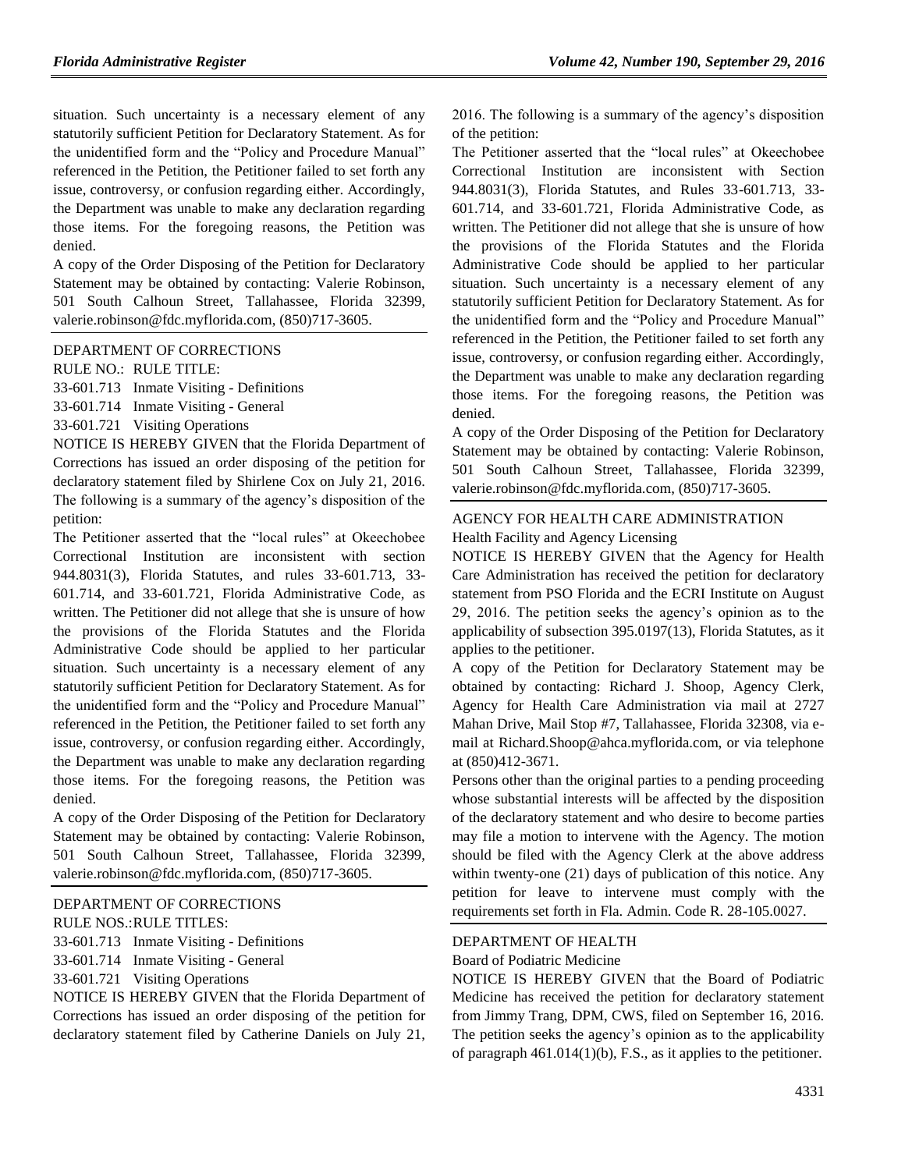situation. Such uncertainty is a necessary element of any statutorily sufficient Petition for Declaratory Statement. As for the unidentified form and the "Policy and Procedure Manual" referenced in the Petition, the Petitioner failed to set forth any issue, controversy, or confusion regarding either. Accordingly, the Department was unable to make any declaration regarding those items. For the foregoing reasons, the Petition was denied.

A copy of the Order Disposing of the Petition for Declaratory Statement may be obtained by contacting: Valerie Robinson, 501 South Calhoun Street, Tallahassee, Florida 32399, [valerie.robinson@fdc.myflorida.com,](mailto:valerie.robinson@fdc.myflorida.com) (850)717-3605.

[DEPARTMENT OF CORRECTIONS](https://www.flrules.org/gateway/department.asp?id=33)

RULE NO.: RULE TITLE:

[33-601.713](https://www.flrules.org/gateway/ruleNo.asp?id=33-601.713) Inmate Visiting - Definitions

[33-601.714](https://www.flrules.org/gateway/ruleNo.asp?id=33-601.714) Inmate Visiting - General

[33-601.721](https://www.flrules.org/gateway/ruleNo.asp?id=33-601.721) Visiting Operations

NOTICE IS HEREBY GIVEN that the Florida Department of Corrections has issued an order disposing of the petition for declaratory statement filed by Shirlene Cox on July 21, 2016. The following is a summary of the agency's disposition of the petition:

The Petitioner asserted that the "local rules" at Okeechobee Correctional Institution are inconsistent with section 944.8031(3), Florida Statutes, and rules 33-601.713, 33- 601.714, and 33-601.721, Florida Administrative Code, as written. The Petitioner did not allege that she is unsure of how the provisions of the Florida Statutes and the Florida Administrative Code should be applied to her particular situation. Such uncertainty is a necessary element of any statutorily sufficient Petition for Declaratory Statement. As for the unidentified form and the "Policy and Procedure Manual" referenced in the Petition, the Petitioner failed to set forth any issue, controversy, or confusion regarding either. Accordingly, the Department was unable to make any declaration regarding those items. For the foregoing reasons, the Petition was denied.

A copy of the Order Disposing of the Petition for Declaratory Statement may be obtained by contacting: Valerie Robinson, 501 South Calhoun Street, Tallahassee, Florida 32399, valerie.robinson@fdc.myflorida.com, (850)717-3605.

#### [DEPARTMENT OF CORRECTIONS](https://www.flrules.org/gateway/department.asp?id=33)

RULE NOS.:RULE TITLES:

[33-601.713](https://www.flrules.org/gateway/ruleNo.asp?id=33-601.713) Inmate Visiting - Definitions

[33-601.714](https://www.flrules.org/gateway/ruleNo.asp?id=33-601.714) Inmate Visiting - General

[33-601.721](https://www.flrules.org/gateway/ruleNo.asp?id=33-601.721) Visiting Operations

NOTICE IS HEREBY GIVEN that the Florida Department of Corrections has issued an order disposing of the petition for declaratory statement filed by Catherine Daniels on July 21,

2016. The following is a summary of the agency's disposition of the petition:

The Petitioner asserted that the "local rules" at Okeechobee Correctional Institution are inconsistent with Section 944.8031(3), Florida Statutes, and Rules 33-601.713, 33- 601.714, and 33-601.721, Florida Administrative Code, as written. The Petitioner did not allege that she is unsure of how the provisions of the Florida Statutes and the Florida Administrative Code should be applied to her particular situation. Such uncertainty is a necessary element of any statutorily sufficient Petition for Declaratory Statement. As for the unidentified form and the "Policy and Procedure Manual" referenced in the Petition, the Petitioner failed to set forth any issue, controversy, or confusion regarding either. Accordingly, the Department was unable to make any declaration regarding those items. For the foregoing reasons, the Petition was denied.

A copy of the Order Disposing of the Petition for Declaratory Statement may be obtained by contacting: Valerie Robinson, 501 South Calhoun Street, Tallahassee, Florida 32399, [valerie.robinson@fdc.myflorida.com,](mailto:valerie.robinson@fdc.myflorida.com) (850)717-3605.

#### [AGENCY FOR HEALTH CARE ADMINISTRATION](https://www.flrules.org/gateway/department.asp?id=59) [Health Facility and Agency Licensing](https://www.flrules.org/gateway/organization.asp?id=186)

NOTICE IS HEREBY GIVEN that the Agency for Health Care Administration has received the petition for declaratory statement from PSO Florida and the ECRI Institute on August 29, 2016. The petition seeks the agency's opinion as to the applicability of subsection 395.0197(13), Florida Statutes, as it applies to the petitioner.

A copy of the Petition for Declaratory Statement may be obtained by contacting: Richard J. Shoop, Agency Clerk, Agency for Health Care Administration via mail at 2727 Mahan Drive, Mail Stop #7, Tallahassee, Florida 32308, via email at Richard.Shoop@ahca.myflorida.com, or via telephone at (850)412-3671.

Persons other than the original parties to a pending proceeding whose substantial interests will be affected by the disposition of the declaratory statement and who desire to become parties may file a motion to intervene with the Agency. The motion should be filed with the Agency Clerk at the above address within twenty-one (21) days of publication of this notice. Any petition for leave to intervene must comply with the requirements set forth in Fla. Admin. Code R. 28-105.0027.

#### [DEPARTMENT OF HEALTH](https://www.flrules.org/gateway/department.asp?id=64)

#### [Board of Podiatric Medicine](https://www.flrules.org/gateway/organization.asp?id=309)

NOTICE IS HEREBY GIVEN that the Board of Podiatric Medicine has received the petition for declaratory statement from Jimmy Trang, DPM, CWS, filed on September 16, 2016. The petition seeks the agency's opinion as to the applicability of paragraph 461.014(1)(b), F.S., as it applies to the petitioner.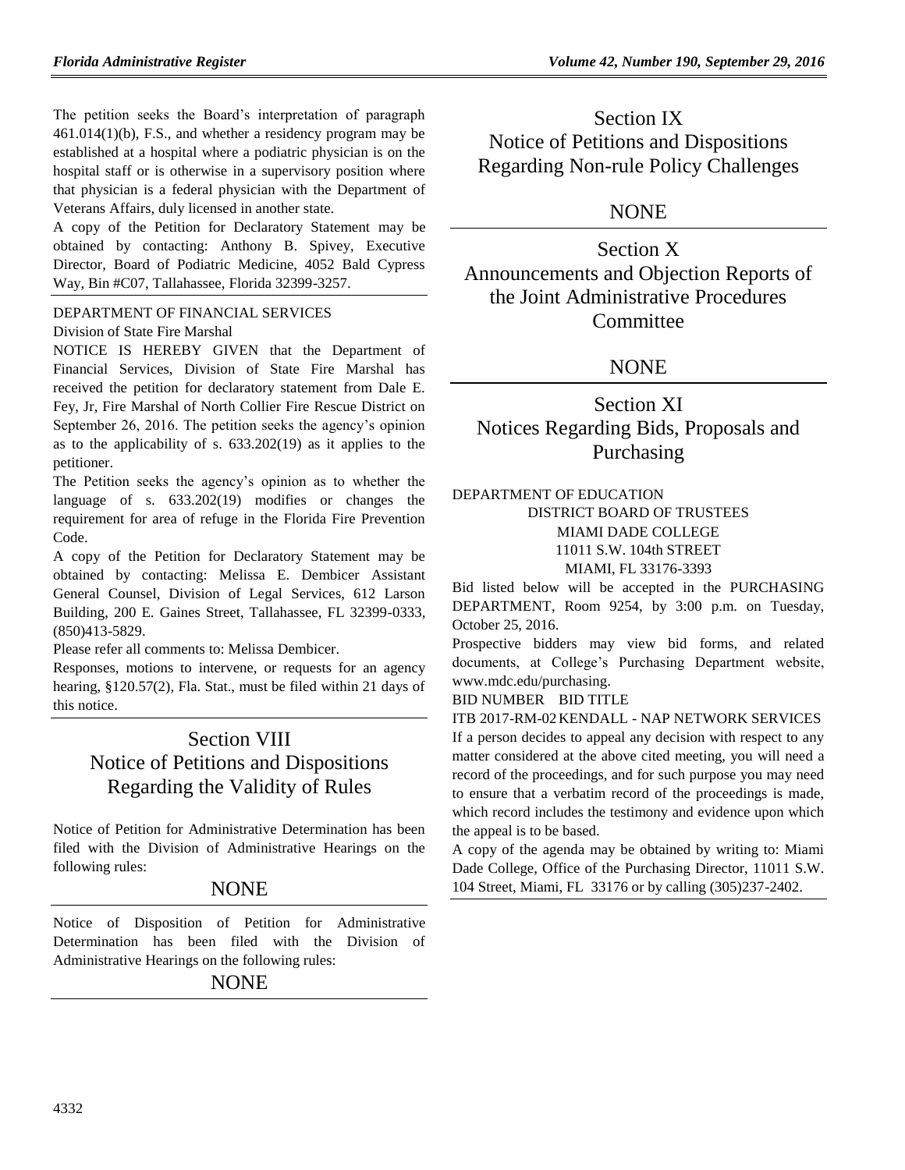The petition seeks the Board's interpretation of paragraph 461.014(1)(b), F.S., and whether a residency program may be established at a hospital where a podiatric physician is on the hospital staff or is otherwise in a supervisory position where that physician is a federal physician with the Department of Veterans Affairs, duly licensed in another state.

A copy of the Petition for Declaratory Statement may be obtained by contacting: Anthony B. Spivey, Executive Director, Board of Podiatric Medicine, 4052 Bald Cypress Way, Bin #C07, Tallahassee, Florida 32399-3257.

### [DEPARTMENT OF FINANCIAL SERVICES](https://www.flrules.org/gateway/department.asp?id=69)

#### [Division of State Fire Marshal](https://www.flrules.org/gateway/organization.asp?id=359)

NOTICE IS HEREBY GIVEN that the Department of Financial Services, Division of State Fire Marshal has received the petition for declaratory statement from Dale E. Fey, Jr, Fire Marshal of North Collier Fire Rescue District on September 26, 2016. The petition seeks the agency's opinion as to the applicability of s. 633.202(19) as it applies to the petitioner.

The Petition seeks the agency's opinion as to whether the language of s. 633.202(19) modifies or changes the requirement for area of refuge in the Florida Fire Prevention Code.

A copy of the Petition for Declaratory Statement may be obtained by contacting: Melissa E. Dembicer Assistant General Counsel, Division of Legal Services, 612 Larson Building, 200 E. Gaines Street, Tallahassee, FL 32399-0333, (850)413-5829.

Please refer all comments to: Melissa Dembicer.

Responses, motions to intervene, or requests for an agency hearing, §120.57(2), Fla. Stat., must be filed within 21 days of this notice.

# Section VIII Notice of Petitions and Dispositions Regarding the Validity of Rules

Notice of Petition for Administrative Determination has been filed with the Division of Administrative Hearings on the following rules:

# NONE

Notice of Disposition of Petition for Administrative Determination has been filed with the Division of Administrative Hearings on the following rules:

NONE

Section IX Notice of Petitions and Dispositions Regarding Non-rule Policy Challenges

# NONE

Section X Announcements and Objection Reports of the Joint Administrative Procedures Committee

# NONE

# Section XI Notices Regarding Bids, Proposals and Purchasing

### [DEPARTMENT OF EDUCATION](https://www.flrules.org/gateway/department.asp?id=6)

DISTRICT BOARD OF TRUSTEES MIAMI DADE COLLEGE 11011 S.W. 104th STREET MIAMI, FL 33176-3393

Bid listed below will be accepted in the PURCHASING DEPARTMENT, Room 9254, by 3:00 p.m. on Tuesday, October 25, 2016.

Prospective bidders may view bid forms, and related documents, at College's Purchasing Department website, [www.mdc.edu/purchasing.](http://www.mdc.edu/purchasing)

BID NUMBER BID TITLE

ITB 2017-RM-02KENDALL - NAP NETWORK SERVICES If a person decides to appeal any decision with respect to any matter considered at the above cited meeting, you will need a record of the proceedings, and for such purpose you may need to ensure that a verbatim record of the proceedings is made, which record includes the testimony and evidence upon which the appeal is to be based.

A copy of the agenda may be obtained by writing to: Miami Dade College, Office of the Purchasing Director, 11011 S.W. 104 Street, Miami, FL 33176 or by calling (305)237-2402.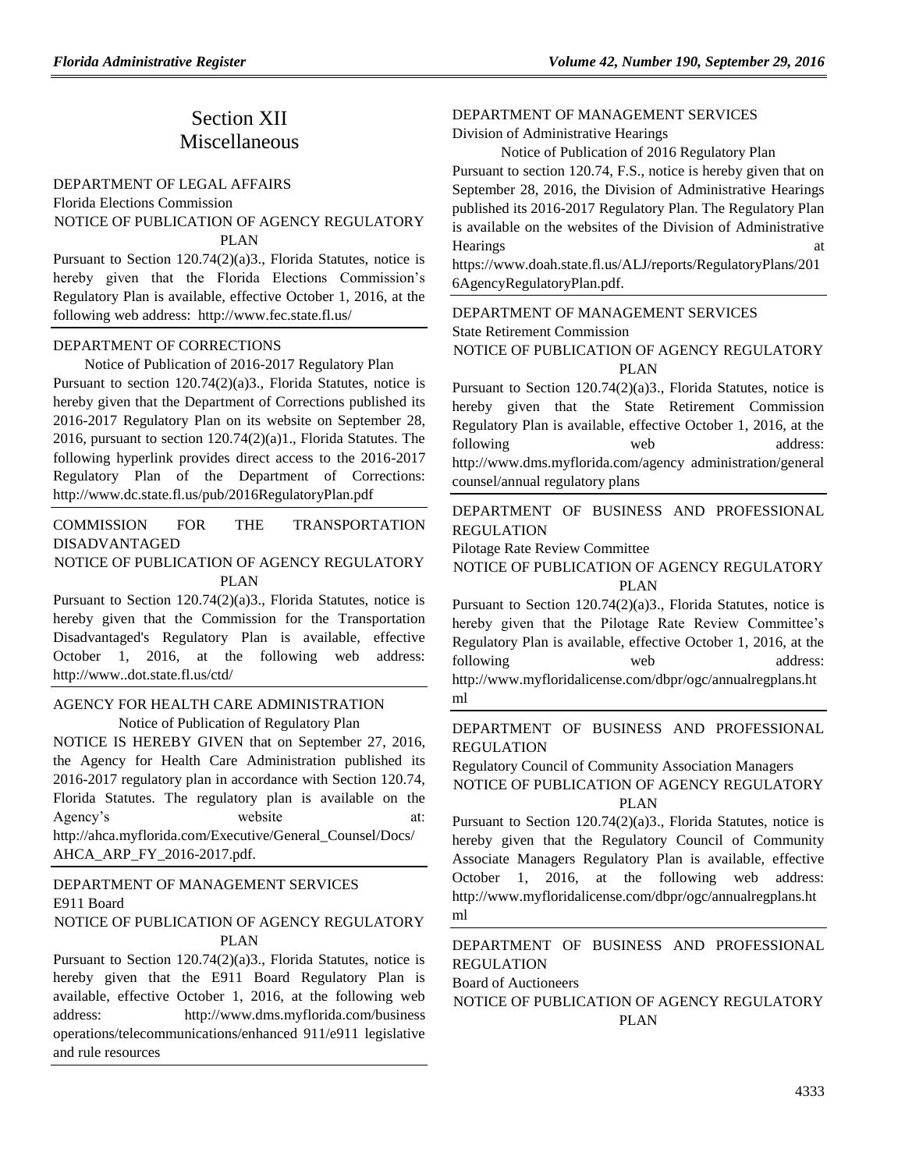# Section XII **Miscellaneous**

[DEPARTMENT OF LEGAL AFFAIRS](https://www.flrules.org/gateway/department.asp?id=2)

[Florida Elections Commission](https://www.flrules.org/gateway/organization.asp?id=49) NOTICE OF PUBLICATION OF AGENCY REGULATORY PLAN

Pursuant to Section 120.74(2)(a)3., Florida Statutes, notice is hereby given that the Florida Elections Commission's Regulatory Plan is available, effective October 1, 2016, at the following web address: http://www.fec.state.fl.us/

#### [DEPARTMENT OF CORRECTIONS](https://www.flrules.org/gateway/department.asp?id=33)

Notice of Publication of 2016-2017 Regulatory Plan Pursuant to section 120.74(2)(a)3., Florida Statutes, notice is hereby given that the Department of Corrections published its 2016-2017 Regulatory Plan on its website on September 28, 2016, pursuant to section 120.74(2)(a)1., Florida Statutes. The following hyperlink provides direct access to the 2016-2017 Regulatory Plan of the Department of Corrections: <http://www.dc.state.fl.us/pub/2016RegulatoryPlan.pdf>

[COMMISSION FOR THE TRANSPORTATION](https://www.flrules.org/gateway/department.asp?id=41)  [DISADVANTAGED](https://www.flrules.org/gateway/department.asp?id=41)

#### NOTICE OF PUBLICATION OF AGENCY REGULATORY PLAN

Pursuant to Section 120.74(2)(a)3., Florida Statutes, notice is hereby given that the Commission for the Transportation Disadvantaged's Regulatory Plan is available, effective October 1, 2016, at the following web address: http://www..dot.state.fl.us/ctd/

#### [AGENCY FOR HEALTH CARE ADMINISTRATION](https://www.flrules.org/gateway/department.asp?id=59) Notice of Publication of Regulatory Plan

NOTICE IS HEREBY GIVEN that on September 27, 2016, the Agency for Health Care Administration published its 2016-2017 regulatory plan in accordance with Section 120.74, Florida Statutes. The regulatory plan is available on the Agency's website at: [http://ahca.myflorida.com/Executive/General\\_Counsel/Docs/](http://ahca.myflorida.com/Executive/General_Counsel/Docs/AHCA_ARP_FY_2016-2017.pdf) [AHCA\\_ARP\\_FY\\_2016-2017.pdf.](http://ahca.myflorida.com/Executive/General_Counsel/Docs/AHCA_ARP_FY_2016-2017.pdf)

# DEPARTMENT OF [MANAGEMENT SERVICES](https://www.flrules.org/gateway/department.asp?id=60) [E911 Board](https://www.flrules.org/gateway/organization.asp?id=958)

### NOTICE OF PUBLICATION OF AGENCY REGULATORY PLAN

Pursuant to Section 120.74(2)(a)3., Florida Statutes, notice is hereby given that the E911 Board Regulatory Plan is available, effective October 1, 2016, at the following web address: [http://www.dms.myflorida.com/business](http://www.dms.myflorida.com/business%20operations/telecommunications/enhanced%20911/e911%20legislative%20and%20rule%20resources)  [operations/telecommunications/enhanced 911/e911 legislative](http://www.dms.myflorida.com/business%20operations/telecommunications/enhanced%20911/e911%20legislative%20and%20rule%20resources)  [and rule resources](http://www.dms.myflorida.com/business%20operations/telecommunications/enhanced%20911/e911%20legislative%20and%20rule%20resources)

### [DEPARTMENT OF MANAGEMENT SERVICES](https://www.flrules.org/gateway/department.asp?id=60)

[Division of Administrative Hearings](https://www.flrules.org/gateway/organization.asp?id=237)

Notice of Publication of 2016 Regulatory Plan Pursuant to section 120.74, F.S., notice is hereby given that on September 28, 2016, the Division of Administrative Hearings published its 2016-2017 Regulatory Plan. The Regulatory Plan is available on the websites of the Division of Administrative Hearings

https://www.doah.state.fl.us/ALJ/reports/RegulatoryPlans/201 6AgencyRegulatoryPlan.pdf.

### [DEPARTMENT OF MANAGEMENT SERVICES](https://www.flrules.org/gateway/department.asp?id=60)

[State Retirement Commission](https://www.flrules.org/gateway/organization.asp?id=238)

NOTICE OF PUBLICATION OF AGENCY REGULATORY PLAN

Pursuant to Section 120.74(2)(a)3., Florida Statutes, notice is hereby given that the State Retirement Commission Regulatory Plan is available, effective October 1, 2016, at the following web address: [http://www.dms.myflorida.com/agency administration/general](http://www.dms.myflorida.com/agency%20administration/general%20counsel/annual%20regulatory%20plans)  [counsel/annual regulatory plans](http://www.dms.myflorida.com/agency%20administration/general%20counsel/annual%20regulatory%20plans)

### [DEPARTMENT OF BUSINESS AND PROFESSIONAL](https://www.flrules.org/gateway/department.asp?id=61)  [REGULATION](https://www.flrules.org/gateway/department.asp?id=61)

[Pilotage Rate Review Committee](https://www.flrules.org/gateway/organization.asp?id=256)

#### NOTICE OF PUBLICATION OF AGENCY REGULATORY PLAN

Pursuant to Section 120.74(2)(a)3., Florida Statutes, notice is hereby given that the Pilotage Rate Review Committee's Regulatory Plan is available, effective October 1, 2016, at the following web address: http://www.myfloridalicense.com/dbpr/ogc/annualregplans.ht ml

## [DEPARTMENT OF BUSINESS AND PROFESSIONAL](https://www.flrules.org/gateway/department.asp?id=61)  [REGULATION](https://www.flrules.org/gateway/department.asp?id=61)

[Regulatory Council of Community Association Managers](https://www.flrules.org/gateway/organization.asp?id=835) NOTICE OF PUBLICATION OF AGENCY REGULATORY PLAN

Pursuant to Section 120.74(2)(a)3., Florida Statutes, notice is hereby given that the Regulatory Council of Community Associate Managers Regulatory Plan is available, effective October 1, 2016, at the following web address: [http://www.myfloridalicense.com/dbpr/ogc/annualregplans.ht](http://www.myfloridalicense.com/dbpr/ogc/annualregplans.html) [ml](http://www.myfloridalicense.com/dbpr/ogc/annualregplans.html)

## [DEPARTMENT OF BUSINESS AND PROFESSIONAL](https://www.flrules.org/gateway/department.asp?id=61)  [REGULATION](https://www.flrules.org/gateway/department.asp?id=61)

[Board of Auctioneers](https://www.flrules.org/gateway/organization.asp?id=272)

NOTICE OF PUBLICATION OF AGENCY REGULATORY PLAN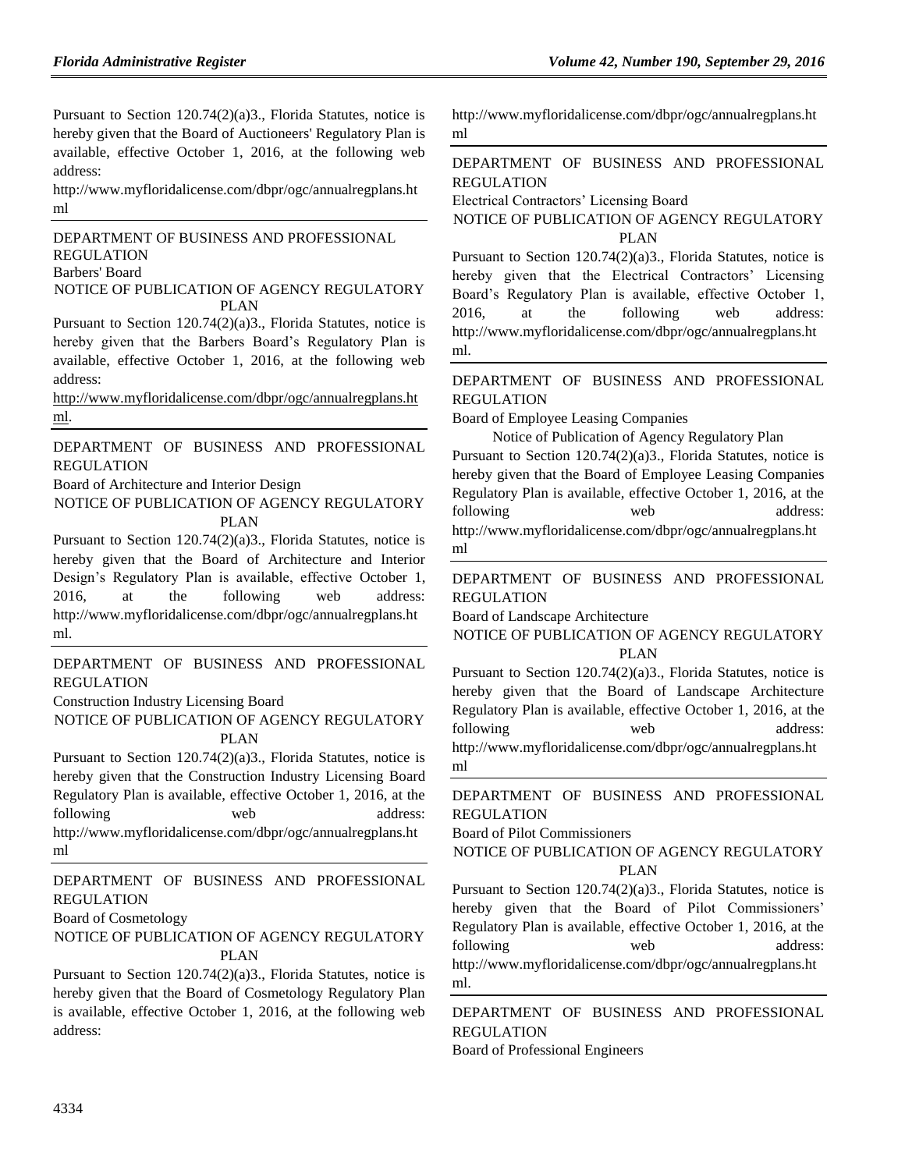Pursuant to Section 120.74(2)(a)3., Florida Statutes, notice is hereby given that the Board of Auctioneers' Regulatory Plan is available, effective October 1, 2016, at the following web address:

http://www.myfloridalicense.com/dbpr/ogc/annualregplans.ht ml

[DEPARTMENT OF BUSINESS AND PROFESSIONAL](https://www.flrules.org/gateway/department.asp?id=61)  [REGULATION](https://www.flrules.org/gateway/department.asp?id=61) [Barbers' Board](https://www.flrules.org/gateway/organization.asp?id=273) NOTICE OF PUBLICATION OF AGENCY REGULATORY

PLAN Pursuant to Section 120.74(2)(a)3., Florida Statutes, notice is

hereby given that the Barbers Board's Regulatory Plan is available, effective October 1, 2016, at the following web address:

[http://www.myfloridalicense.com/dbpr/ogc/annualregplans.ht](http://www.myfloridalicense.com/dbpr/ogc/annualregplans.html) [ml.](http://www.myfloridalicense.com/dbpr/ogc/annualregplans.html)

[DEPARTMENT OF BUSINESS AND PROFESSIONAL](https://www.flrules.org/gateway/department.asp?id=61)  [REGULATION](https://www.flrules.org/gateway/department.asp?id=61)

[Board of Architecture and Interior Design](https://www.flrules.org/gateway/organization.asp?id=263)

NOTICE OF PUBLICATION OF AGENCY REGULATORY PLAN

Pursuant to Section 120.74(2)(a)3., Florida Statutes, notice is hereby given that the Board of Architecture and Interior Design's Regulatory Plan is available, effective October 1, 2016, at the following web address: [http://www.myfloridalicense.com/dbpr/ogc/annualregplans.ht](http://www.myfloridalicense.com/dbpr/ogc/annualregplans.html) [ml.](http://www.myfloridalicense.com/dbpr/ogc/annualregplans.html)

[DEPARTMENT OF BUSINESS AND PROFESSIONAL](https://www.flrules.org/gateway/department.asp?id=61)  [REGULATION](https://www.flrules.org/gateway/department.asp?id=61)

[Construction Industry Licensing Board](https://www.flrules.org/gateway/organization.asp?id=274)

NOTICE OF PUBLICATION OF AGENCY REGULATORY PLAN

Pursuant to Section 120.74(2)(a)3., Florida Statutes, notice is hereby given that the Construction Industry Licensing Board Regulatory Plan is available, effective October 1, 2016, at the following web address: [http://www.myfloridalicense.com/dbpr/ogc/annualregplans.ht](http://www.myfloridalicense.com/dbpr/ogc/annualregplans.html) [ml](http://www.myfloridalicense.com/dbpr/ogc/annualregplans.html)

[DEPARTMENT OF BUSINESS AND PROFESSIONAL](https://www.flrules.org/gateway/department.asp?id=61)  [REGULATION](https://www.flrules.org/gateway/department.asp?id=61)

[Board of Cosmetology](https://www.flrules.org/gateway/organization.asp?id=275)

### NOTICE OF PUBLICATION OF AGENCY REGULATORY PLAN

Pursuant to Section 120.74(2)(a)3., Florida Statutes, notice is hereby given that the Board of Cosmetology Regulatory Plan is available, effective October 1, 2016, at the following web address:

[http://www.myfloridalicense.com/dbpr/ogc/annualregplans.ht](http://www.myfloridalicense.com/dbpr/ogc/annualregplans.html) [ml](http://www.myfloridalicense.com/dbpr/ogc/annualregplans.html)

[DEPARTMENT OF BUSINESS AND PROFESSIONAL](https://www.flrules.org/gateway/department.asp?id=61)  [REGULATION](https://www.flrules.org/gateway/department.asp?id=61)

[Electrical Contractors' Licensing Board](https://www.flrules.org/gateway/organization.asp?id=276)

NOTICE OF PUBLICATION OF AGENCY REGULATORY PLAN

Pursuant to Section 120.74(2)(a)3., Florida Statutes, notice is hereby given that the Electrical Contractors' Licensing Board's Regulatory Plan is available, effective October 1, 2016, at the following web address: [http://www.myfloridalicense.com/dbpr/ogc/annualregplans.ht](http://www.myfloridalicense.com/dbpr/ogc/annualregplans.html) [ml.](http://www.myfloridalicense.com/dbpr/ogc/annualregplans.html)

## [DEPARTMENT OF BUSINESS AND PROFESSIONAL](https://www.flrules.org/gateway/department.asp?id=61)  [REGULATION](https://www.flrules.org/gateway/department.asp?id=61)

[Board of Employee Leasing Companies](https://www.flrules.org/gateway/organization.asp?id=277)

Notice of Publication of Agency Regulatory Plan Pursuant to Section 120.74(2)(a)3., Florida Statutes, notice is hereby given that the Board of Employee Leasing Companies Regulatory Plan is available, effective October 1, 2016, at the following web address: [http://www.myfloridalicense.com/dbpr/ogc/annualregplans.ht](http://www.myfloridalicense.com/dbpr/ogc/annualregplans.html) [ml](http://www.myfloridalicense.com/dbpr/ogc/annualregplans.html)

## [DEPARTMENT OF BUSINESS AND PROFESSIONAL](https://www.flrules.org/gateway/department.asp?id=61)  [REGULATION](https://www.flrules.org/gateway/department.asp?id=61)

[Board of Landscape Architecture](https://www.flrules.org/gateway/organization.asp?id=264)

NOTICE OF PUBLICATION OF AGENCY REGULATORY PLAN

Pursuant to Section 120.74(2)(a)3., Florida Statutes, notice is hereby given that the Board of Landscape Architecture Regulatory Plan is available, effective October 1, 2016, at the following web address: [http://www.myfloridalicense.com/dbpr/ogc/annualregplans.ht](http://www.myfloridalicense.com/dbpr/ogc/annualregplans.html)

[ml](http://www.myfloridalicense.com/dbpr/ogc/annualregplans.html)

[DEPARTMENT OF BUSINESS AND PROFESSIONAL](https://www.flrules.org/gateway/department.asp?id=61)  [REGULATION](https://www.flrules.org/gateway/department.asp?id=61)

[Board of Pilot Commissioners](https://www.flrules.org/gateway/organization.asp?id=266)

NOTICE OF PUBLICATION OF AGENCY REGULATORY PL AN

Pursuant to Section 120.74(2)(a)3., Florida Statutes, notice is hereby given that the Board of Pilot Commissioners' Regulatory Plan is available, effective October 1, 2016, at the following web address: [http://www.myfloridalicense.com/dbpr/ogc/annualregplans.ht](http://www.myfloridalicense.com/dbpr/ogc/annualregplans.html) [ml.](http://www.myfloridalicense.com/dbpr/ogc/annualregplans.html)

[DEPARTMENT OF BUSINESS AND PROFESSIONAL](https://www.flrules.org/gateway/department.asp?id=61)  [REGULATION](https://www.flrules.org/gateway/department.asp?id=61) [Board of Professional Engineers](https://www.flrules.org/gateway/organization.asp?id=267)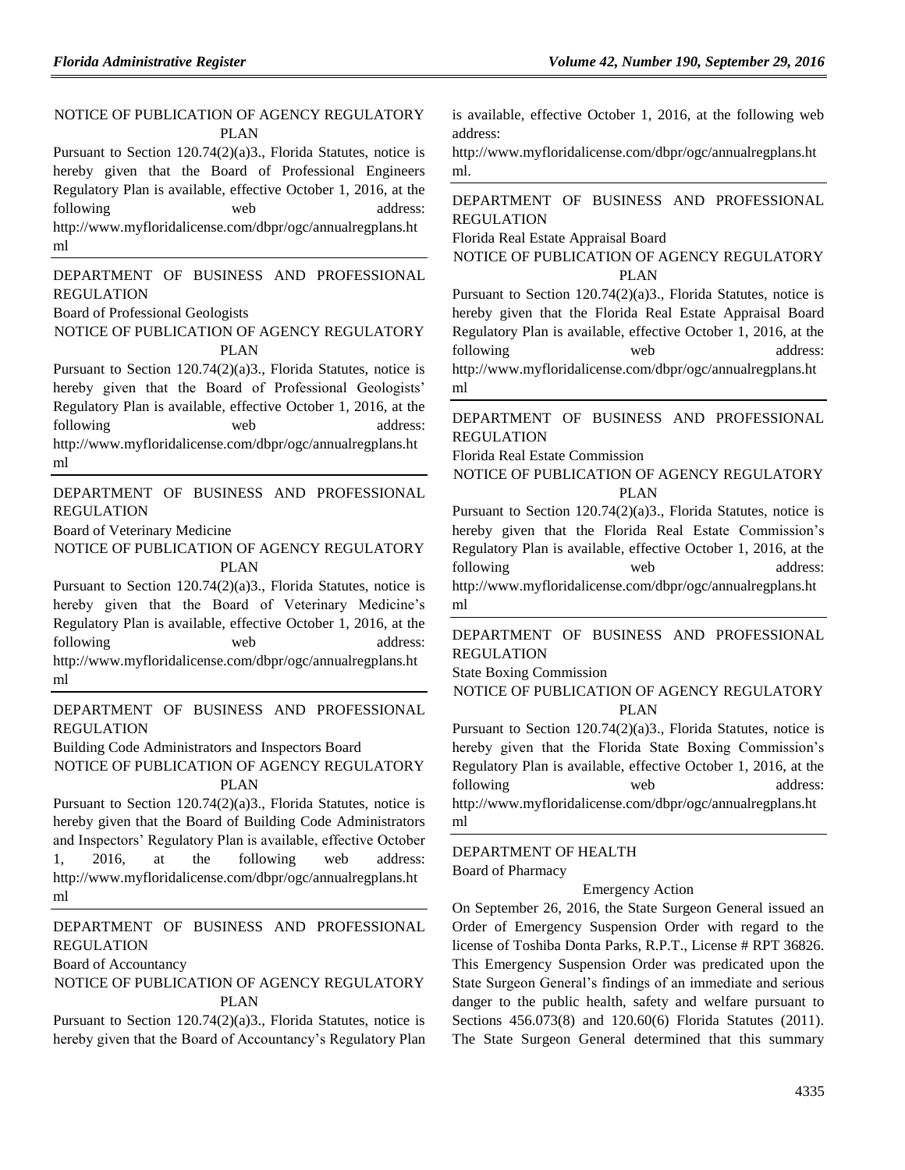# NOTICE OF PUBLICATION OF AGENCY REGULATORY PLAN

Pursuant to Section 120.74(2)(a)3., Florida Statutes, notice is hereby given that the Board of Professional Engineers Regulatory Plan is available, effective October 1, 2016, at the following web address: [http://www.myfloridalicense.com/dbpr/ogc/annualregplans.ht](http://www.myfloridalicense.com/dbpr/ogc/annualregplans.html) [ml](http://www.myfloridalicense.com/dbpr/ogc/annualregplans.html)

[DEPARTMENT OF BUSINESS AND PROFESSIONAL](https://www.flrules.org/gateway/department.asp?id=61)  [REGULATION](https://www.flrules.org/gateway/department.asp?id=61)

[Board of Professional Geologists](https://www.flrules.org/gateway/organization.asp?id=268)

NOTICE OF PUBLICATION OF AGENCY REGULATORY PLAN

Pursuant to Section 120.74(2)(a)3., Florida Statutes, notice is hereby given that the Board of Professional Geologists' Regulatory Plan is available, effective October 1, 2016, at the following web address: http://www.myfloridalicense.com/dbpr/ogc/annualregplans.ht ml

[DEPARTMENT OF BUSINESS AND PROFESSIONAL](https://www.flrules.org/gateway/department.asp?id=61)  [REGULATION](https://www.flrules.org/gateway/department.asp?id=61)

[Board of Veterinary Medicine](https://www.flrules.org/gateway/organization.asp?id=270)

NOTICE OF PUBLICATION OF AGENCY REGULATORY PLAN

Pursuant to Section 120.74(2)(a)3., Florida Statutes, notice is hereby given that the Board of Veterinary Medicine's Regulatory Plan is available, effective October 1, 2016, at the following web address: http://www.myfloridalicense.com/dbpr/ogc/annualregplans.ht ml

[DEPARTMENT OF BUSINESS AND PROFESSIONAL](https://www.flrules.org/gateway/department.asp?id=61)  [REGULATION](https://www.flrules.org/gateway/department.asp?id=61)

[Building Code Administrators and Inspectors Board](https://www.flrules.org/gateway/organization.asp?id=271)

NOTICE OF PUBLICATION OF AGENCY REGULATORY PLAN

Pursuant to Section 120.74(2)(a)3., Florida Statutes, notice is hereby given that the Board of Building Code Administrators and Inspectors' Regulatory Plan is available, effective October 1, 2016, at the following web address: http://www.myfloridalicense.com/dbpr/ogc/annualregplans.ht ml

[DEPARTMENT OF BUSINESS AND PROFESSIONAL](https://www.flrules.org/gateway/department.asp?id=61)  [REGULATION](https://www.flrules.org/gateway/department.asp?id=61)

[Board of Accountancy](https://www.flrules.org/gateway/organization.asp?id=280)

NOTICE OF PUBLICATION OF AGENCY REGULATORY PLAN

Pursuant to Section 120.74(2)(a)3., Florida Statutes, notice is hereby given that the Board of Accountancy's Regulatory Plan is available, effective October 1, 2016, at the following web address:

[http://www.myfloridalicense.com/dbpr/ogc/annualregplans.ht](http://www.myfloridalicense.com/dbpr/ogc/annualregplans.html) [ml.](http://www.myfloridalicense.com/dbpr/ogc/annualregplans.html)

[DEPARTMENT OF BUSINESS AND PROFESSIONAL](https://www.flrules.org/gateway/department.asp?id=61)  [REGULATION](https://www.flrules.org/gateway/department.asp?id=61)

[Florida Real Estate Appraisal Board](https://www.flrules.org/gateway/organization.asp?id=282)

NOTICE OF PUBLICATION OF AGENCY REGULATORY PLAN

Pursuant to Section 120.74(2)(a)3., Florida Statutes, notice is hereby given that the Florida Real Estate Appraisal Board Regulatory Plan is available, effective October 1, 2016, at the following web address: [http://www.myfloridalicense.com/dbpr/ogc/annualregplans.ht](http://www.myfloridalicense.com/dbpr/ogc/annualregplans.html) [ml](http://www.myfloridalicense.com/dbpr/ogc/annualregplans.html)

[DEPARTMENT OF BUSINESS AND PROFESSIONAL](https://www.flrules.org/gateway/department.asp?id=61)  [REGULATION](https://www.flrules.org/gateway/department.asp?id=61)

[Florida Real Estate Commission](https://www.flrules.org/gateway/organization.asp?id=283)

NOTICE OF PUBLICATION OF AGENCY REGULATORY PLAN

Pursuant to Section 120.74(2)(a)3., Florida Statutes, notice is hereby given that the Florida Real Estate Commission's Regulatory Plan is available, effective October 1, 2016, at the following web address: http://www.myfloridalicense.com/dbpr/ogc/annualregplans.ht ml

[DEPARTMENT OF BUSINESS AND PROFESSIONAL](https://www.flrules.org/gateway/department.asp?id=61)  [REGULATION](https://www.flrules.org/gateway/department.asp?id=61)

[State Boxing Commission](https://www.flrules.org/gateway/organization.asp?id=285)

NOTICE OF PUBLICATION OF AGENCY REGULATORY PLAN

Pursuant to Section 120.74(2)(a)3., Florida Statutes, notice is hereby given that the Florida State Boxing Commission's Regulatory Plan is available, effective October 1, 2016, at the following web address: http://www.myfloridalicense.com/dbpr/ogc/annualregplans.ht ml

[DEPARTMENT OF HEALTH](https://www.flrules.org/gateway/department.asp?id=64) [Board of Pharmacy](https://www.flrules.org/gateway/organization.asp?id=307)

#### Emergency Action

On September 26, 2016, the State Surgeon General issued an Order of Emergency Suspension Order with regard to the license of Toshiba Donta Parks, R.P.T., License # RPT 36826. This Emergency Suspension Order was predicated upon the State Surgeon General's findings of an immediate and serious danger to the public health, safety and welfare pursuant to Sections 456.073(8) and 120.60(6) Florida Statutes (2011). The State Surgeon General determined that this summary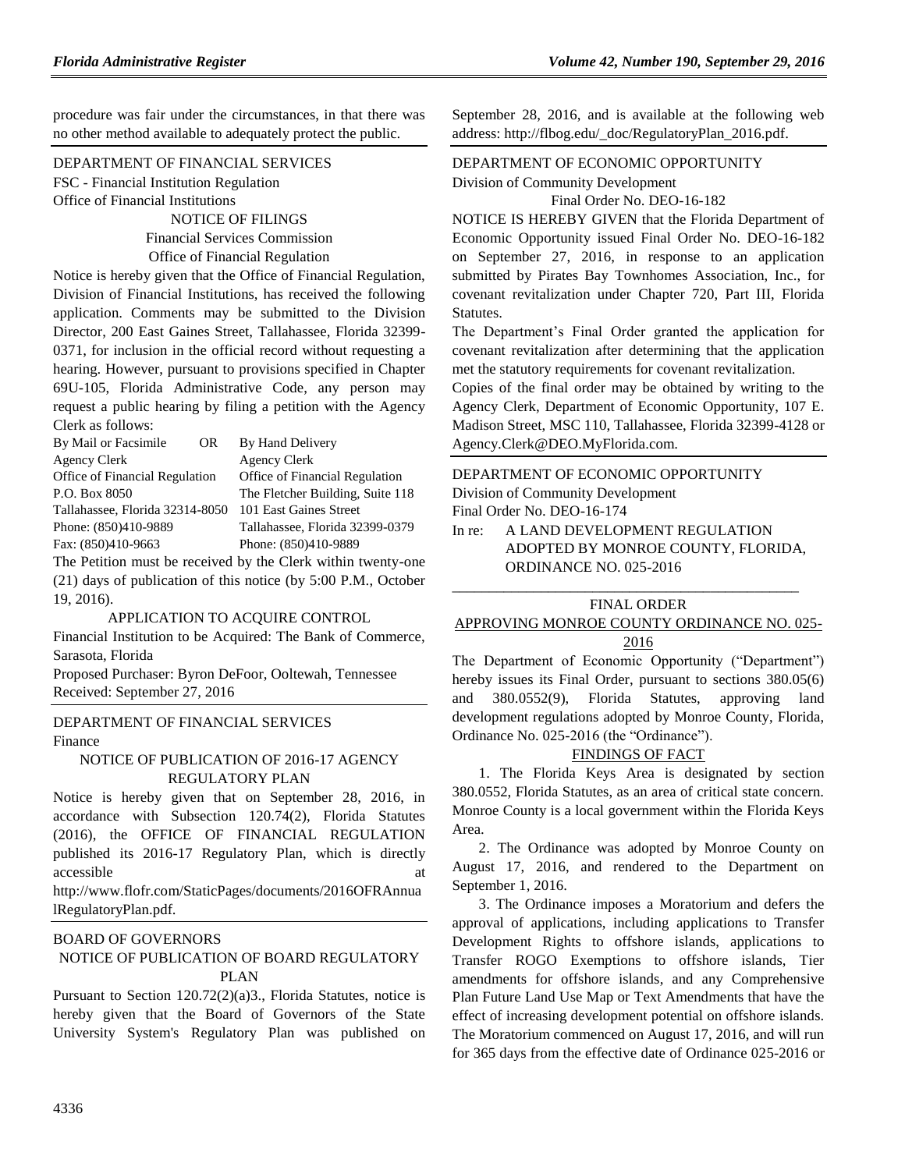procedure was fair under the circumstances, in that there was no other method available to adequately protect the public.

[DEPARTMENT OF FINANCIAL SERVICES](https://www.flrules.org/gateway/department.asp?id=69) FSC - [Financial Institution Regulation](https://www.flrules.org/gateway/organization.asp?id=523) Office of Financial Institutions

> NOTICE OF FILINGS Financial Services Commission Office of Financial Regulation

Notice is hereby given that the Office of Financial Regulation, Division of Financial Institutions, has received the following application. Comments may be submitted to the Division Director, 200 East Gaines Street, Tallahassee, Florida 32399- 0371, for inclusion in the official record without requesting a hearing. However, pursuant to provisions specified in Chapter 69U-105, Florida Administrative Code, any person may request a public hearing by filing a petition with the Agency Clerk as follows:

| By Mail or Facsimile<br>OR.     | By Hand Delivery                 |
|---------------------------------|----------------------------------|
| Agency Clerk                    | <b>Agency Clerk</b>              |
| Office of Financial Regulation  | Office of Financial Regulation   |
| P.O. Box 8050                   | The Fletcher Building, Suite 118 |
| Tallahassee, Florida 32314-8050 | 101 East Gaines Street           |
| Phone: (850)410-9889            | Tallahassee, Florida 32399-0379  |
| Fax: (850)410-9663              | Phone: (850)410-9889             |
|                                 |                                  |

The Petition must be received by the Clerk within twenty-one (21) days of publication of this notice (by 5:00 P.M., October 19, 2016).

#### APPLICATION TO ACQUIRE CONTROL

Financial Institution to be Acquired: The Bank of Commerce, Sarasota, Florida

Proposed Purchaser: Byron DeFoor, Ooltewah, Tennessee Received: September 27, 2016

#### [DEPARTMENT OF FINANCIAL SERVICES](https://www.flrules.org/gateway/department.asp?id=69) [Finance](https://www.flrules.org/gateway/organization.asp?id=524)

NOTICE OF PUBLICATION OF 2016-17 AGENCY REGULATORY PLAN

Notice is hereby given that on September 28, 2016, in accordance with Subsection 120.74(2), Florida Statutes (2016), the OFFICE OF FINANCIAL REGULATION published its 2016-17 Regulatory Plan, which is directly accessible

http://www.flofr.com/StaticPages/documents/2016OFRAnnua lRegulatoryPlan.pdf.

#### [BOARD OF GOVERNORS](https://www.flrules.org/gateway/department.asp?id=72)

#### NOTICE OF PUBLICATION OF BOARD REGULATORY PLAN

Pursuant to Section 120.72(2)(a)3., Florida Statutes, notice is hereby given that the Board of Governors of the State University System's Regulatory Plan was published on

September 28, 2016, and is available at the following web address: [http://flbog.edu/\\_doc/RegulatoryPlan\\_2016.pdf.](http://flbog.edu/_doc/RegulatoryPlan_2016.pdf)

#### [DEPARTMENT OF ECONOMIC OPPORTUNITY](https://www.flrules.org/gateway/department.asp?id=73) Division [of Community Development](https://www.flrules.org/gateway/organization.asp?id=1066)

Final Order No. DEO-16-182

NOTICE IS HEREBY GIVEN that the Florida Department of Economic Opportunity issued Final Order No. DEO-16-182 on September 27, 2016, in response to an application submitted by Pirates Bay Townhomes Association, Inc., for covenant revitalization under Chapter 720, Part III, Florida Statutes.

The Department's Final Order granted the application for covenant revitalization after determining that the application met the statutory requirements for covenant revitalization.

Copies of the final order may be obtained by writing to the Agency Clerk, Department of Economic Opportunity, 107 E. Madison Street, MSC 110, Tallahassee, Florida 32399-4128 or Agency.Clerk@DEO.MyFlorida.com.

[DEPARTMENT OF ECONOMIC OPPORTUNITY](https://www.flrules.org/gateway/department.asp?id=73) [Division of Community Development](https://www.flrules.org/gateway/organization.asp?id=1066) Final Order No. DEO-16-174 In re: A LAND DEVELOPMENT REGULATION

ADOPTED BY MONROE COUNTY, FLORIDA, ORDINANCE NO. 025-2016

#### \_\_\_\_\_\_\_\_\_\_\_\_\_\_\_\_\_\_\_\_\_\_\_\_\_\_\_\_\_\_\_\_\_\_\_\_\_\_\_\_\_\_\_\_\_\_\_ FINAL ORDER

### APPROVING MONROE COUNTY ORDINANCE NO. 025- 2016

The Department of Economic Opportunity ("Department") hereby issues its Final Order, pursuant to sections 380.05(6) and 380.0552(9), Florida Statutes, approving land development regulations adopted by Monroe County, Florida, Ordinance No. 025-2016 (the "Ordinance").

#### FINDINGS OF FACT

1. The Florida Keys Area is designated by section 380.0552, Florida Statutes, as an area of critical state concern. Monroe County is a local government within the Florida Keys Area.

2. The Ordinance was adopted by Monroe County on August 17, 2016, and rendered to the Department on September 1, 2016.

3. The Ordinance imposes a Moratorium and defers the approval of applications, including applications to Transfer Development Rights to offshore islands, applications to Transfer ROGO Exemptions to offshore islands, Tier amendments for offshore islands, and any Comprehensive Plan Future Land Use Map or Text Amendments that have the effect of increasing development potential on offshore islands. The Moratorium commenced on August 17, 2016, and will run for 365 days from the effective date of Ordinance 025-2016 or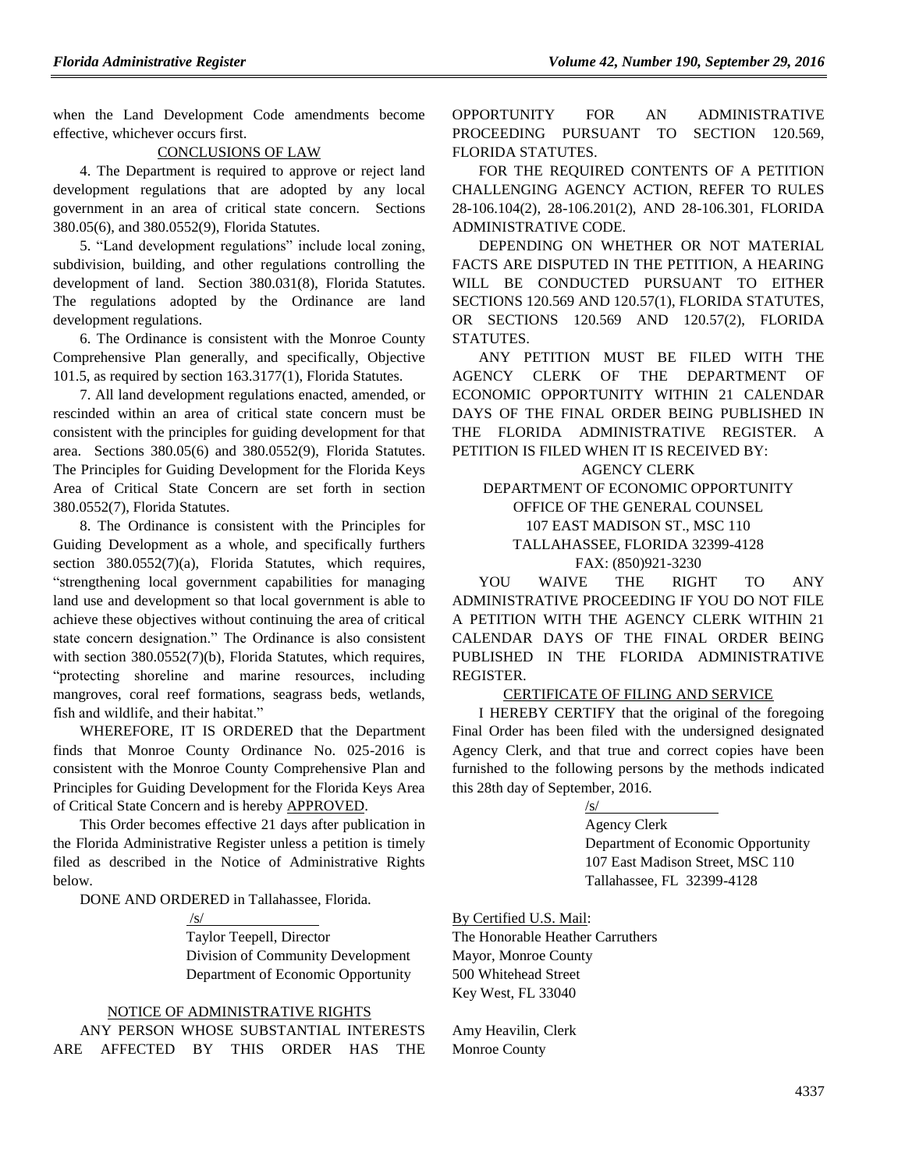when the Land Development Code amendments become effective, whichever occurs first.

### CONCLUSIONS OF LAW

4. The Department is required to approve or reject land development regulations that are adopted by any local government in an area of critical state concern. Sections 380.05(6), and 380.0552(9), Florida Statutes.

5. "Land development regulations" include local zoning, subdivision, building, and other regulations controlling the development of land. Section 380.031(8), Florida Statutes. The regulations adopted by the Ordinance are land development regulations.

6. The Ordinance is consistent with the Monroe County Comprehensive Plan generally, and specifically, Objective 101.5, as required by section 163.3177(1), Florida Statutes.

7. All land development regulations enacted, amended, or rescinded within an area of critical state concern must be consistent with the principles for guiding development for that area. Sections 380.05(6) and 380.0552(9), Florida Statutes. The Principles for Guiding Development for the Florida Keys Area of Critical State Concern are set forth in section 380.0552(7), Florida Statutes.

8. The Ordinance is consistent with the Principles for Guiding Development as a whole, and specifically furthers section 380.0552(7)(a), Florida Statutes, which requires, "strengthening local government capabilities for managing land use and development so that local government is able to achieve these objectives without continuing the area of critical state concern designation." The Ordinance is also consistent with section 380.0552(7)(b), Florida Statutes, which requires, "protecting shoreline and marine resources, including mangroves, coral reef formations, seagrass beds, wetlands, fish and wildlife, and their habitat."

WHEREFORE, IT IS ORDERED that the Department finds that Monroe County Ordinance No. 025-2016 is consistent with the Monroe County Comprehensive Plan and Principles for Guiding Development for the Florida Keys Area of Critical State Concern and is hereby APPROVED.

This Order becomes effective 21 days after publication in the Florida Administrative Register unless a petition is timely filed as described in the Notice of Administrative Rights below.

DONE AND ORDERED in Tallahassee, Florida.

#### /s/

Taylor Teepell, Director Division of Community Development Department of Economic Opportunity

#### NOTICE OF ADMINISTRATIVE RIGHTS

ANY PERSON WHOSE SUBSTANTIAL INTERESTS ARE AFFECTED BY THIS ORDER HAS THE OPPORTUNITY FOR AN ADMINISTRATIVE PROCEEDING PURSUANT TO SECTION 120.569, FLORIDA STATUTES.

FOR THE REQUIRED CONTENTS OF A PETITION CHALLENGING AGENCY ACTION, REFER TO RULES 28-106.104(2), 28-106.201(2), AND 28-106.301, FLORIDA ADMINISTRATIVE CODE.

DEPENDING ON WHETHER OR NOT MATERIAL FACTS ARE DISPUTED IN THE PETITION, A HEARING WILL BE CONDUCTED PURSUANT TO EITHER SECTIONS 120.569 AND 120.57(1), FLORIDA STATUTES, OR SECTIONS 120.569 AND 120.57(2), FLORIDA STATUTES.

ANY PETITION MUST BE FILED WITH THE AGENCY CLERK OF THE DEPARTMENT OF ECONOMIC OPPORTUNITY WITHIN 21 CALENDAR DAYS OF THE FINAL ORDER BEING PUBLISHED IN THE FLORIDA ADMINISTRATIVE REGISTER. PETITION IS FILED WHEN IT IS RECEIVED BY:

AGENCY CLERK

DEPARTMENT OF ECONOMIC OPPORTUNITY OFFICE OF THE GENERAL COUNSEL 107 EAST MADISON ST., MSC 110 TALLAHASSEE, FLORIDA 32399-4128 FAX: (850)921-3230

YOU WAIVE THE RIGHT TO ANY ADMINISTRATIVE PROCEEDING IF YOU DO NOT FILE A PETITION WITH THE AGENCY CLERK WITHIN 21 CALENDAR DAYS OF THE FINAL ORDER BEING PUBLISHED IN THE FLORIDA ADMINISTRATIVE REGISTER.

#### CERTIFICATE OF FILING AND SERVICE

I HEREBY CERTIFY that the original of the foregoing Final Order has been filed with the undersigned designated Agency Clerk, and that true and correct copies have been furnished to the following persons by the methods indicated this 28th day of September, 2016.

/s/

Agency Clerk Department of Economic Opportunity 107 East Madison Street, MSC 110 Tallahassee, FL 32399-4128

By Certified U.S. Mail: The Honorable Heather Carruthers Mayor, Monroe County 500 Whitehead Street Key West, FL 33040

Amy Heavilin, Clerk Monroe County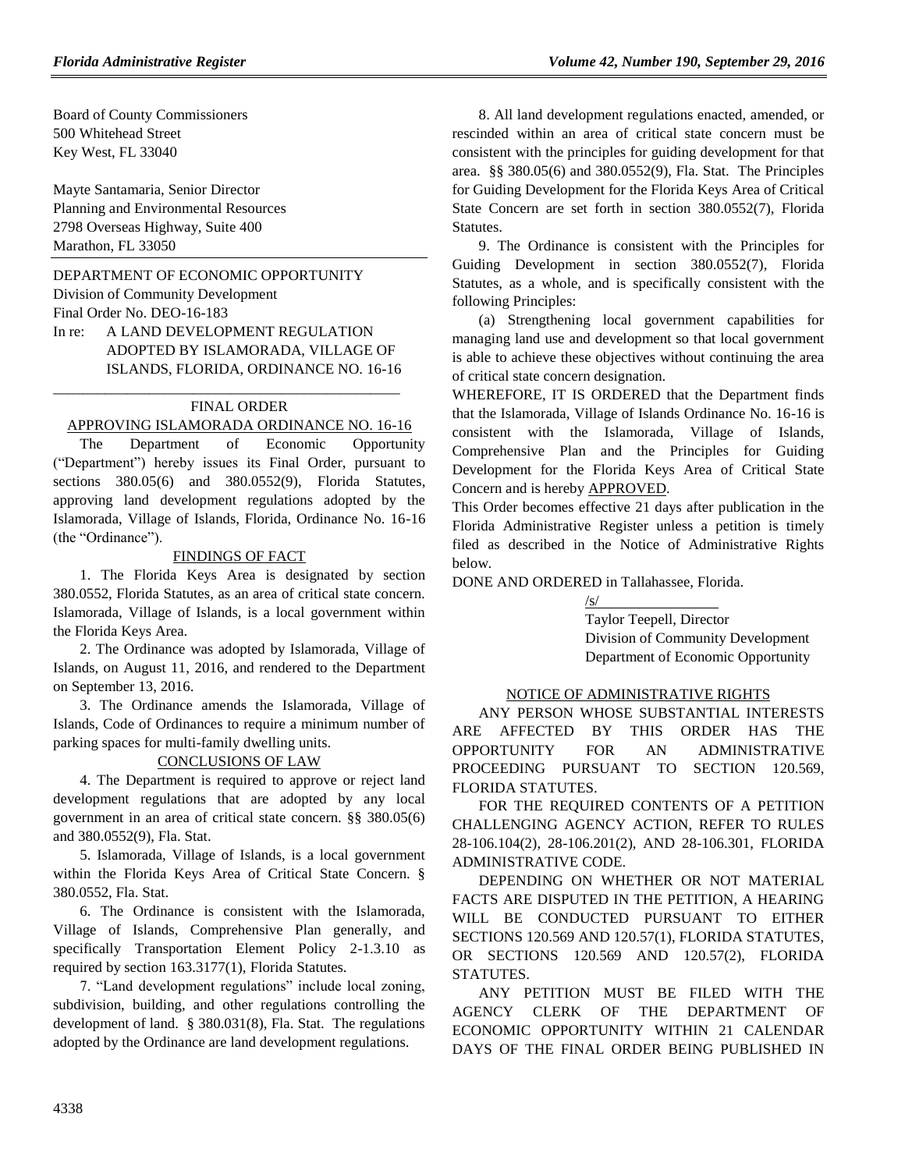Board of County Commissioners 500 Whitehead Street Key West, FL 33040

Mayte Santamaria, Senior Director Planning and Environmental Resources 2798 Overseas Highway, Suite 400 Marathon, FL 33050

# [DEPARTMENT OF ECONOMIC OPPORTUNITY](https://www.flrules.org/gateway/department.asp?id=73)

[Division of Community Development](https://www.flrules.org/gateway/organization.asp?id=1066) Final Order No. DEO-16-183

In re: A LAND DEVELOPMENT REGULATION ADOPTED BY ISLAMORADA, VILLAGE OF ISLANDS, FLORIDA, ORDINANCE NO. 16-16

\_\_\_\_\_\_\_\_\_\_\_\_\_\_\_\_\_\_\_\_\_\_\_\_\_\_\_\_\_\_\_\_\_\_\_\_\_\_\_\_\_\_\_\_\_\_\_

### FINAL ORDER

### APPROVING ISLAMORADA ORDINANCE NO. 16-16

The Department of Economic Opportunity ("Department") hereby issues its Final Order, pursuant to sections 380.05(6) and 380.0552(9), Florida Statutes, approving land development regulations adopted by the Islamorada, Village of Islands, Florida, Ordinance No. 16-16 (the "Ordinance").

### FINDINGS OF FACT

1. The Florida Keys Area is designated by section 380.0552, Florida Statutes, as an area of critical state concern. Islamorada, Village of Islands, is a local government within the Florida Keys Area.

2. The Ordinance was adopted by Islamorada, Village of Islands, on August 11, 2016, and rendered to the Department on September 13, 2016.

3. The Ordinance amends the Islamorada, Village of Islands, Code of Ordinances to require a minimum number of parking spaces for multi-family dwelling units.

## CONCLUSIONS OF LAW

4. The Department is required to approve or reject land development regulations that are adopted by any local government in an area of critical state concern. §§ 380.05(6) and 380.0552(9), Fla. Stat.

5. Islamorada, Village of Islands, is a local government within the Florida Keys Area of Critical State Concern. § 380.0552, Fla. Stat.

6. The Ordinance is consistent with the Islamorada, Village of Islands, Comprehensive Plan generally, and specifically Transportation Element Policy 2-1.3.10 as required by section 163.3177(1), Florida Statutes.

7. "Land development regulations" include local zoning, subdivision, building, and other regulations controlling the development of land. § 380.031(8), Fla. Stat. The regulations adopted by the Ordinance are land development regulations.

8. All land development regulations enacted, amended, or rescinded within an area of critical state concern must be consistent with the principles for guiding development for that area. §§ 380.05(6) and 380.0552(9), Fla. Stat. The Principles for Guiding Development for the Florida Keys Area of Critical State Concern are set forth in section 380.0552(7), Florida Statutes.

9. The Ordinance is consistent with the Principles for Guiding Development in section 380.0552(7), Florida Statutes, as a whole, and is specifically consistent with the following Principles:

(a) Strengthening local government capabilities for managing land use and development so that local government is able to achieve these objectives without continuing the area of critical state concern designation.

WHEREFORE, IT IS ORDERED that the Department finds that the Islamorada, Village of Islands Ordinance No. 16-16 is consistent with the Islamorada, Village of Islands, Comprehensive Plan and the Principles for Guiding Development for the Florida Keys Area of Critical State Concern and is hereby APPROVED.

This Order becomes effective 21 days after publication in the Florida Administrative Register unless a petition is timely filed as described in the Notice of Administrative Rights below.

DONE AND ORDERED in Tallahassee, Florida.

/s/ Taylor Teepell, Director Division of Community Development Department of Economic Opportunity

#### NOTICE OF ADMINISTRATIVE RIGHTS

ANY PERSON WHOSE SUBSTANTIAL INTERESTS ARE AFFECTED BY THIS ORDER HAS THE OPPORTUNITY FOR AN ADMINISTRATIVE PROCEEDING PURSUANT TO SECTION 120.569, FLORIDA STATUTES.

FOR THE REQUIRED CONTENTS OF A PETITION CHALLENGING AGENCY ACTION, REFER TO RULES 28-106.104(2), 28-106.201(2), AND 28-106.301, FLORIDA ADMINISTRATIVE CODE.

DEPENDING ON WHETHER OR NOT MATERIAL FACTS ARE DISPUTED IN THE PETITION, A HEARING WILL BE CONDUCTED PURSUANT TO EITHER SECTIONS 120.569 AND 120.57(1), FLORIDA STATUTES, OR SECTIONS 120.569 AND 120.57(2), FLORIDA STATUTES.

ANY PETITION MUST BE FILED WITH THE AGENCY CLERK OF THE DEPARTMENT OF ECONOMIC OPPORTUNITY WITHIN 21 CALENDAR DAYS OF THE FINAL ORDER BEING PUBLISHED IN